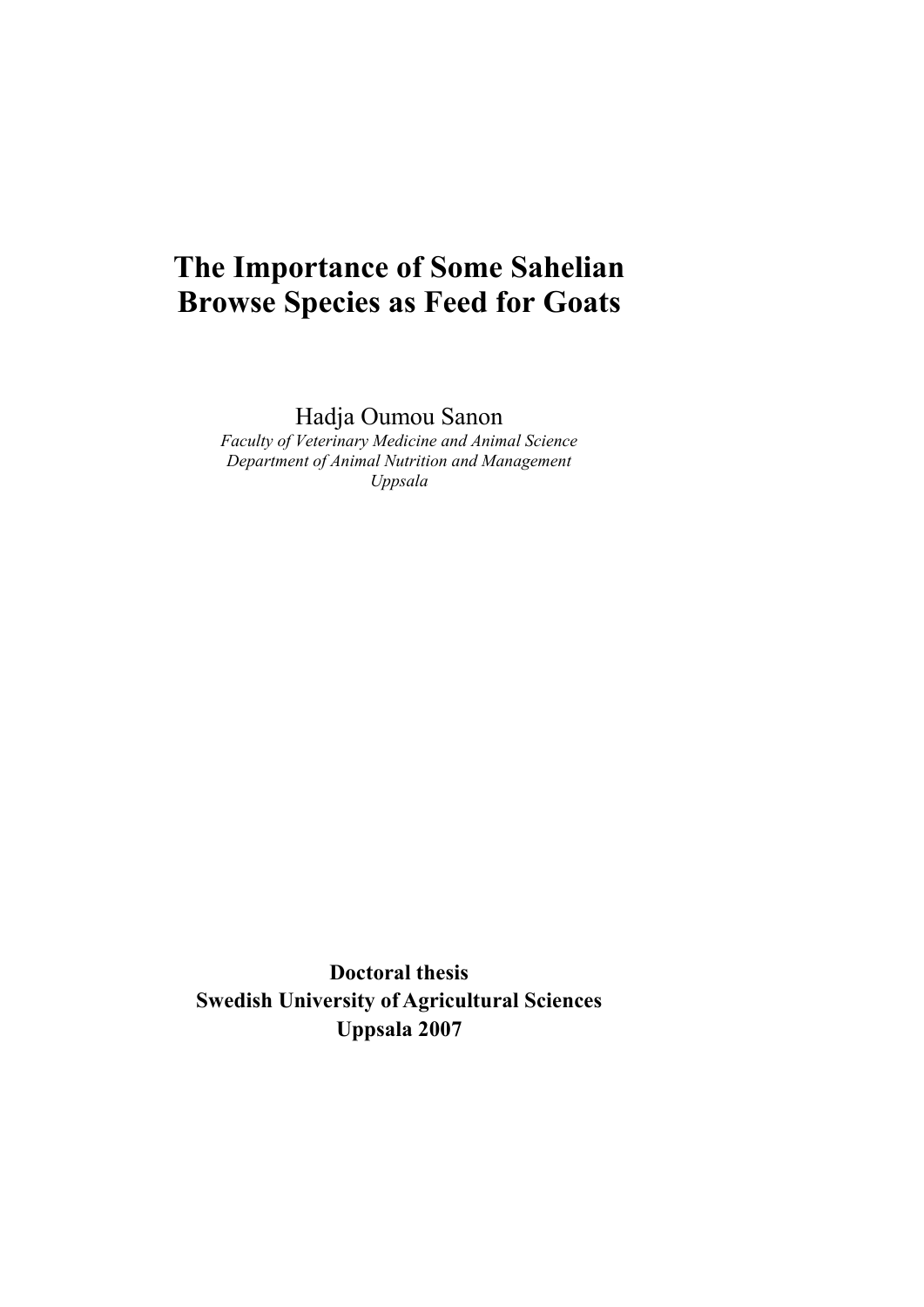# **The Importance of Some Sahelian Browse Species as Feed for Goats**

Hadja Oumou Sanon

*Faculty of Veterinary Medicine and Animal Science Department of Animal Nutrition and Management Uppsala* 

**Doctoral thesis Swedish University of Agricultural Sciences Uppsala 2007**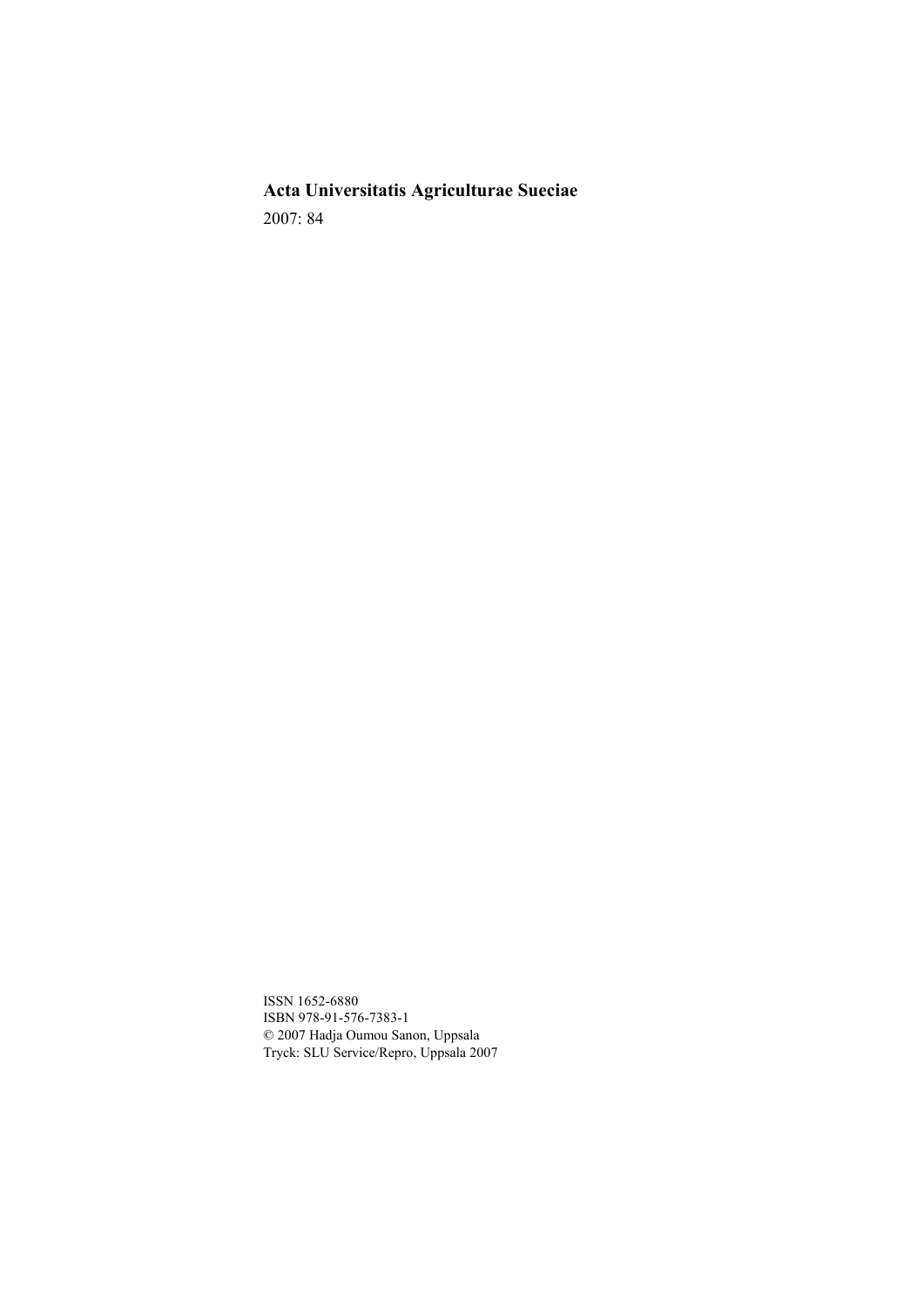**Acta Universitatis Agriculturae Sueciae**  2007: 84

ISSN 1652-6880 ISBN 978-91-576-7383-1 © 2007 Hadja Oumou Sanon, Uppsala Tryck: SLU Service/Repro, Uppsala 2007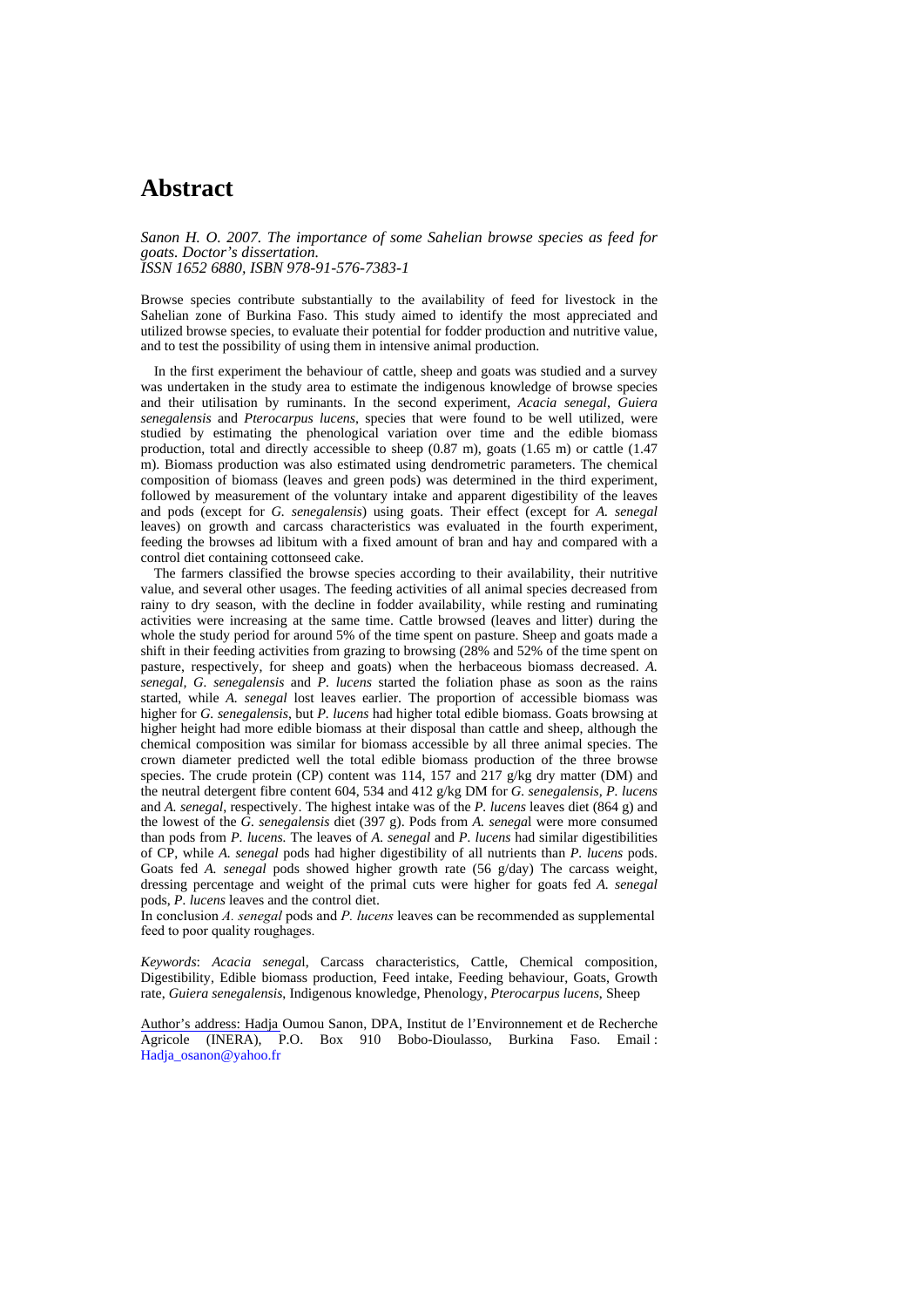## **Abstract**

*Sanon H. O. 2007. The importance of some Sahelian browse species as feed for goats. Doctor's dissertation. ISSN 1652 6880, ISBN 978-91-576-7383-1* 

Browse species contribute substantially to the availability of feed for livestock in the Sahelian zone of Burkina Faso. This study aimed to identify the most appreciated and utilized browse species, to evaluate their potential for fodder production and nutritive value, and to test the possibility of using them in intensive animal production.

In the first experiment the behaviour of cattle, sheep and goats was studied and a survey was undertaken in the study area to estimate the indigenous knowledge of browse species and their utilisation by ruminants. In the second experiment, *Acacia senegal*, *Guiera senegalensis* and *Pterocarpus lucens*, species that were found to be well utilized, were studied by estimating the phenological variation over time and the edible biomass production, total and directly accessible to sheep (0.87 m), goats (1.65 m) or cattle (1.47 m). Biomass production was also estimated using dendrometric parameters. The chemical composition of biomass (leaves and green pods) was determined in the third experiment, followed by measurement of the voluntary intake and apparent digestibility of the leaves and pods (except for *G. senegalensis*) using goats. Their effect (except for *A. senegal* leaves) on growth and carcass characteristics was evaluated in the fourth experiment, feeding the browses ad libitum with a fixed amount of bran and hay and compared with a control diet containing cottonseed cake.

The farmers classified the browse species according to their availability, their nutritive value, and several other usages. The feeding activities of all animal species decreased from rainy to dry season, with the decline in fodder availability, while resting and ruminating activities were increasing at the same time. Cattle browsed (leaves and litter) during the whole the study period for around 5% of the time spent on pasture. Sheep and goats made a shift in their feeding activities from grazing to browsing (28% and 52% of the time spent on pasture, respectively, for sheep and goats) when the herbaceous biomass decreased. *A. senegal, G. senegalensis* and *P. lucens* started the foliation phase as soon as the rains started, while *A. senegal* lost leaves earlier. The proportion of accessible biomass was higher for *G. senegalensis*, but *P. lucens* had higher total edible biomass. Goats browsing at higher height had more edible biomass at their disposal than cattle and sheep, although the chemical composition was similar for biomass accessible by all three animal species. The crown diameter predicted well the total edible biomass production of the three browse species. The crude protein (CP) content was 114, 157 and 217 g/kg dry matter (DM) and the neutral detergent fibre content 604, 534 and 412 g/kg DM for *G. senegalensis, P. lucens* and *A. senegal*, respectively. The highest intake was of the *P. lucens* leaves diet (864 g) and the lowest of the *G. senegalensis* diet (397 g). Pods from *A. senega*l were more consumed than pods from *P. lucens.* The leaves of *A. senegal* and *P. lucens* had similar digestibilities of CP, while *A. senegal* pods had higher digestibility of all nutrients than *P. lucens* pods. Goats fed *A. senegal* pods showed higher growth rate (56 g/day) The carcass weight, dressing percentage and weight of the primal cuts were higher for goats fed *A. senegal* pods, *P. lucens* leaves and the control diet.

In conclusion *A. senegal* pods and *P. lucens* leaves can be recommended as supplemental feed to poor quality roughages.

*Keywords*: *Acacia senega*l, Carcass characteristics, Cattle, Chemical composition, Digestibility, Edible biomass production, Feed intake, Feeding behaviour, Goats, Growth rate, *Guiera senegalensis*, Indigenous knowledge, Phenology, *Pterocarpus lucens*, Sheep

Author's address: Hadja Oumou Sanon, DPA, Institut de l'Environnement et de Recherche Agricole (INERA), P.O. Box 910 Bobo-Dioulasso, Burkina Faso. Email : Hadja\_osanon@yahoo.fr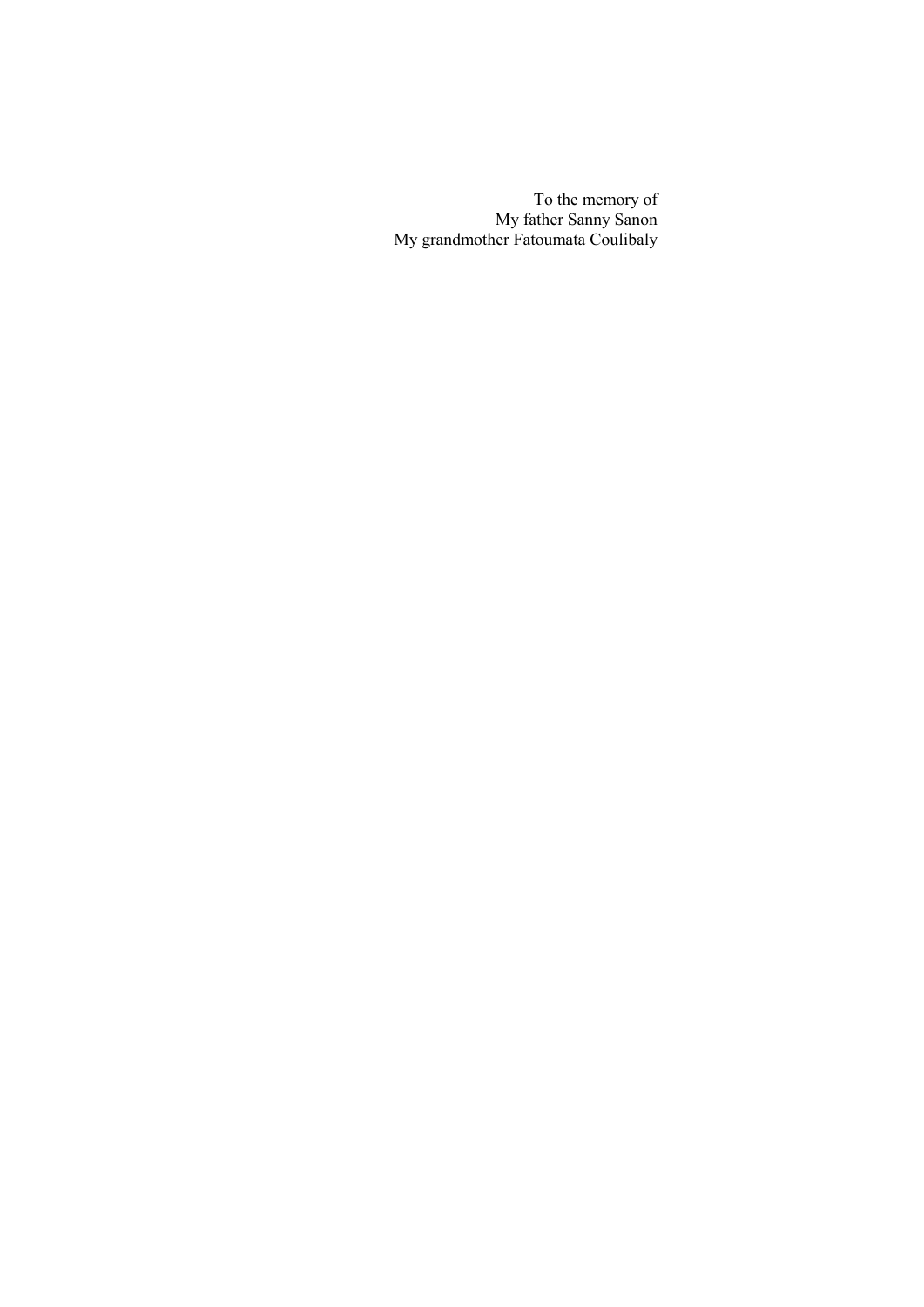To the memory of My father Sanny Sanon My grandmother Fatoumata Coulibaly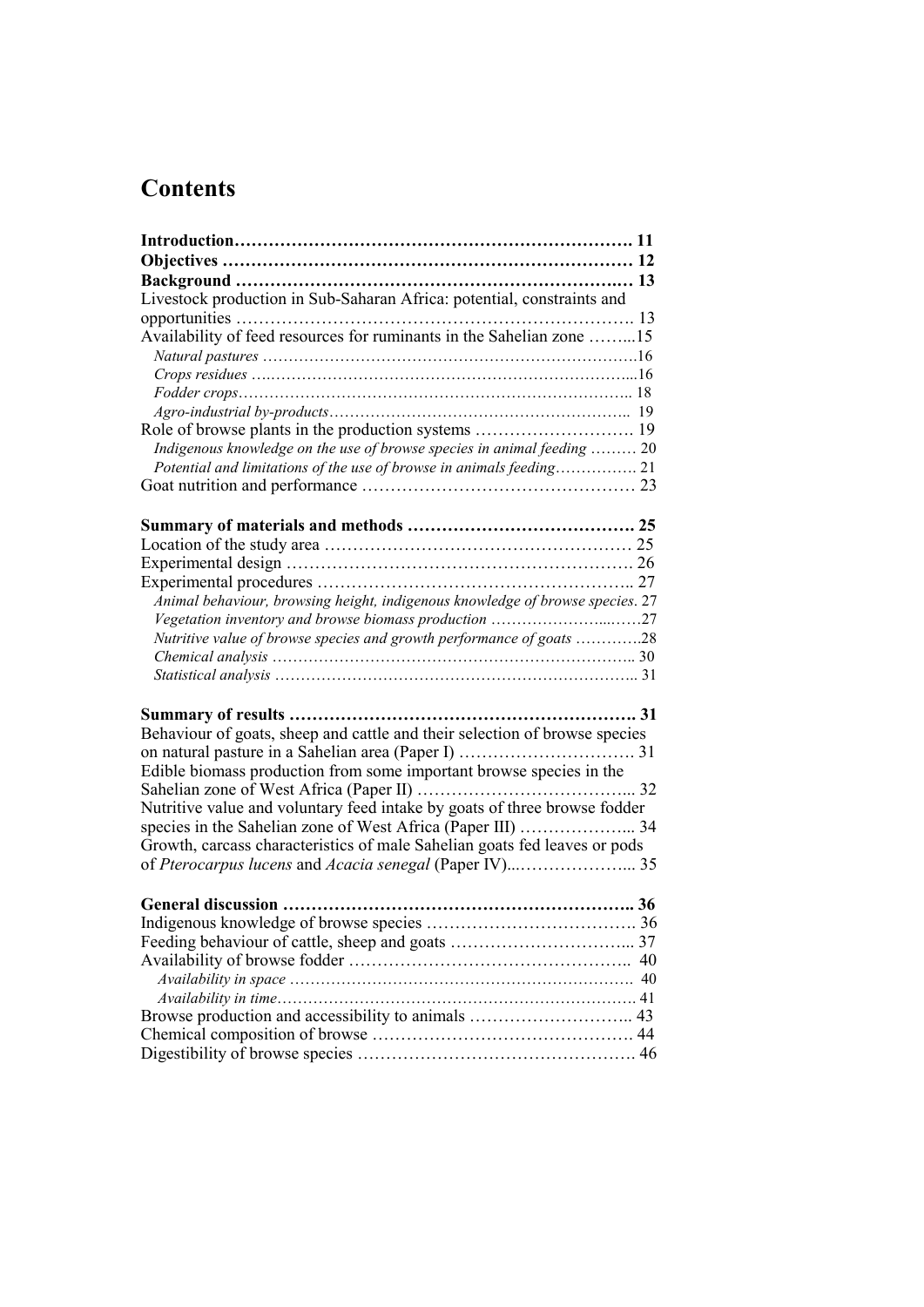# **Contents**

| Livestock production in Sub-Saharan Africa: potential, constraints and        |    |
|-------------------------------------------------------------------------------|----|
|                                                                               |    |
| Availability of feed resources for ruminants in the Sahelian zone 15          |    |
|                                                                               |    |
|                                                                               |    |
|                                                                               |    |
|                                                                               |    |
|                                                                               |    |
| Indigenous knowledge on the use of browse species in animal feeding  20       |    |
|                                                                               |    |
|                                                                               |    |
|                                                                               |    |
|                                                                               |    |
|                                                                               |    |
|                                                                               |    |
|                                                                               |    |
| Animal behaviour, browsing height, indigenous knowledge of browse species. 27 |    |
|                                                                               |    |
| Nutritive value of browse species and growth performance of goats 28          |    |
|                                                                               |    |
|                                                                               |    |
|                                                                               |    |
|                                                                               |    |
| Behaviour of goats, sheep and cattle and their selection of browse species    |    |
|                                                                               |    |
| Edible biomass production from some important browse species in the           |    |
|                                                                               |    |
| Nutritive value and voluntary feed intake by goats of three browse fodder     |    |
|                                                                               |    |
| Growth, carcass characteristics of male Sahelian goats fed leaves or pods     |    |
|                                                                               |    |
|                                                                               |    |
|                                                                               |    |
|                                                                               |    |
|                                                                               |    |
|                                                                               | 40 |
|                                                                               |    |
|                                                                               |    |
|                                                                               |    |
|                                                                               |    |
|                                                                               |    |
|                                                                               |    |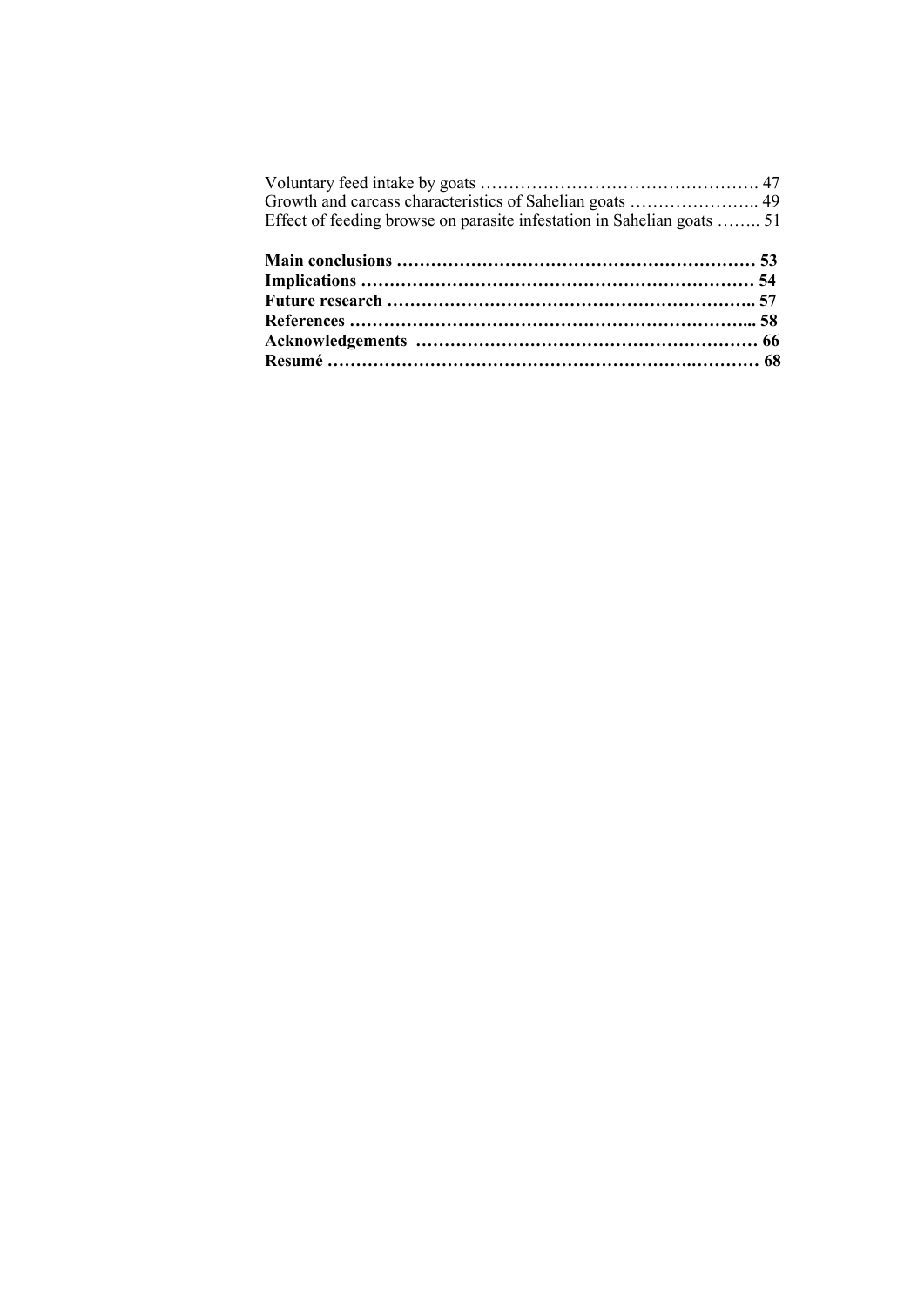| Growth and carcass characteristics of Sahelian goats  49               |  |
|------------------------------------------------------------------------|--|
| Effect of feeding browse on parasite infestation in Sahelian goats  51 |  |
|                                                                        |  |
|                                                                        |  |
|                                                                        |  |
|                                                                        |  |
|                                                                        |  |
|                                                                        |  |
|                                                                        |  |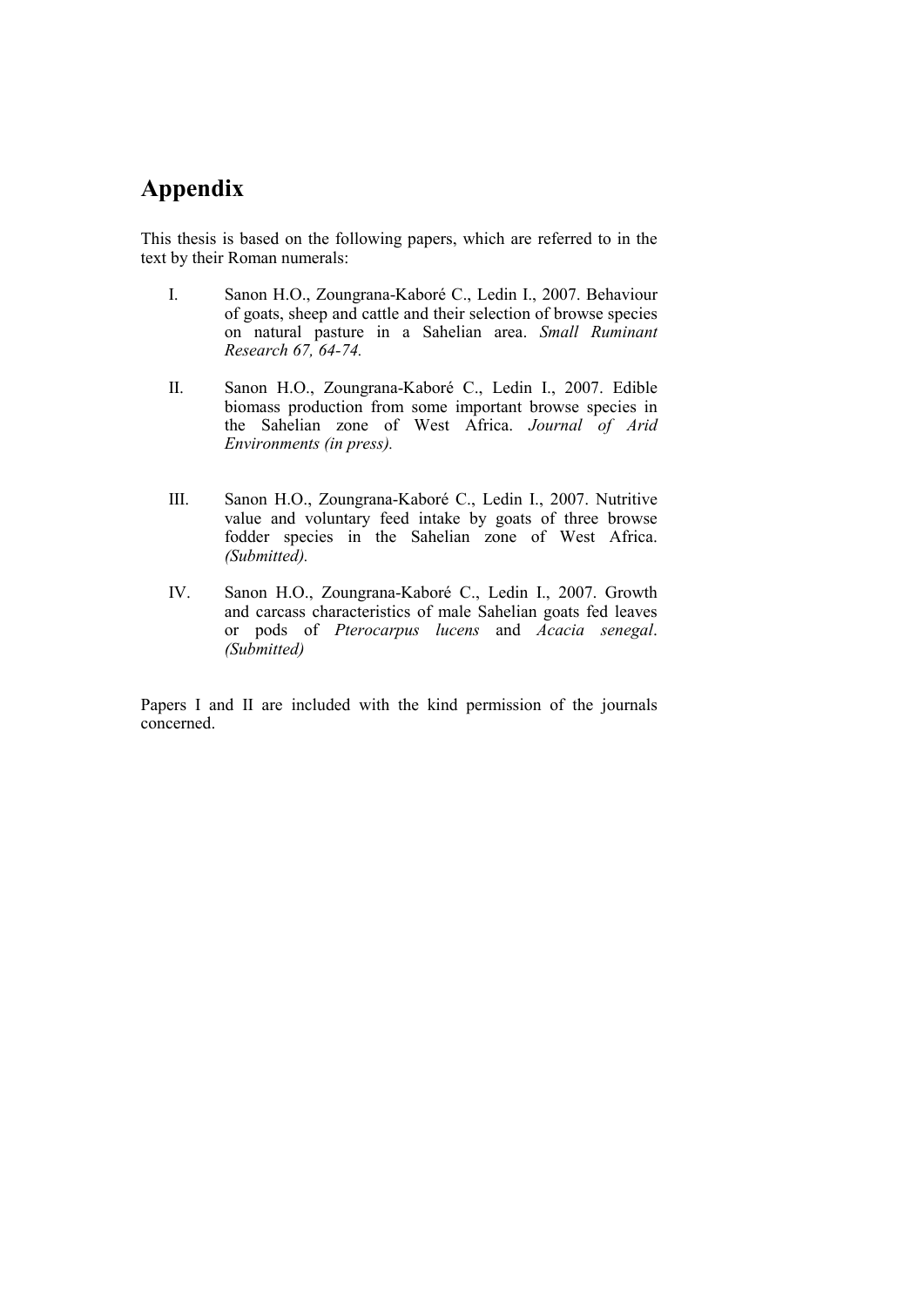## **Appendix**

This thesis is based on the following papers, which are referred to in the text by their Roman numerals:

- I. Sanon H.O., Zoungrana-Kaboré C., Ledin I., 2007. Behaviour of goats, sheep and cattle and their selection of browse species on natural pasture in a Sahelian area. *Small Ruminant Research 67, 64-74.*
- II. Sanon H.O., Zoungrana-Kaboré C., Ledin I., 2007. Edible biomass production from some important browse species in the Sahelian zone of West Africa. *Journal of Arid Environments (in press).*
- III. Sanon H.O., Zoungrana-Kaboré C., Ledin I., 2007. Nutritive value and voluntary feed intake by goats of three browse fodder species in the Sahelian zone of West Africa. *(Submitted).*
- IV. Sanon H.O., Zoungrana-Kaboré C., Ledin I., 2007. Growth and carcass characteristics of male Sahelian goats fed leaves or pods of *Pterocarpus lucens* and *Acacia senegal*. *(Submitted)*

Papers I and II are included with the kind permission of the journals concerned.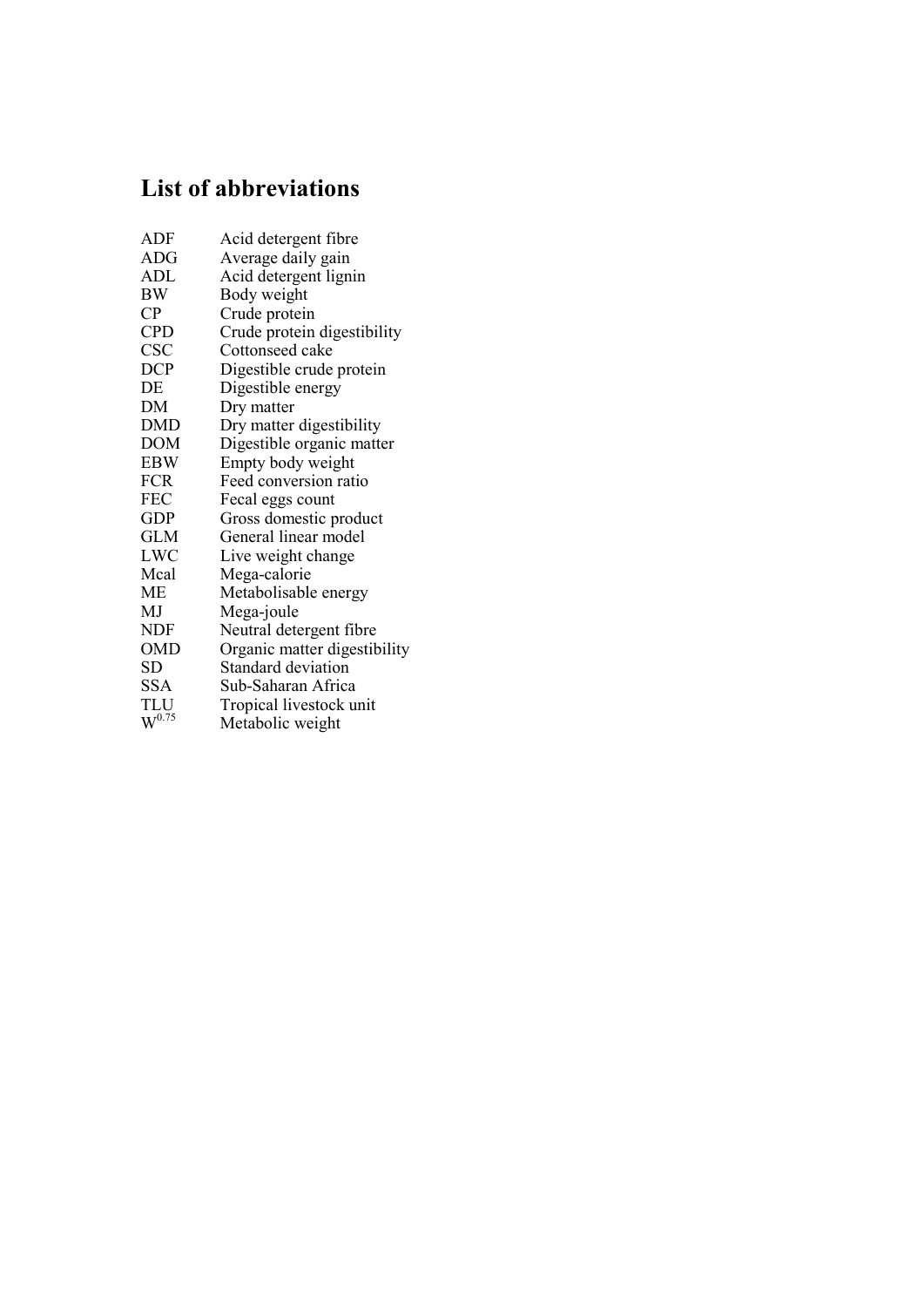# **List of abbreviations**

| ADF                    | Acid detergent fibre         |
|------------------------|------------------------------|
| ADG                    | Average daily gain           |
| ADL                    | Acid detergent lignin        |
| ΒW                     | Body weight                  |
| $\mathsf{C}\mathsf{P}$ | Crude protein                |
| <b>CPD</b>             | Crude protein digestibility  |
| CSC                    | Cottonseed cake              |
| <b>DCP</b>             | Digestible crude protein     |
| DE                     | Digestible energy            |
| DМ                     | Dry matter                   |
| DMD                    | Dry matter digestibility     |
| <b>DOM</b>             | Digestible organic matter    |
| <b>EBW</b>             | Empty body weight            |
| <b>FCR</b>             | Feed conversion ratio        |
| FEC                    | Fecal eggs count             |
| <b>GDP</b>             | Gross domestic product       |
| GLM                    | General linear model         |
| LWC                    | Live weight change           |
| Mcal                   | Mega-calorie                 |
| МE                     | Metabolisable energy         |
| MJ                     | Mega-joule                   |
| <b>NDF</b>             | Neutral detergent fibre      |
| <b>OMD</b>             | Organic matter digestibility |
| <b>SD</b>              | Standard deviation           |
| <b>SSA</b>             | Sub-Saharan Africa           |
| TLU                    | Tropical livestock unit      |
| $W^{0.75}$             | Metabolic weight             |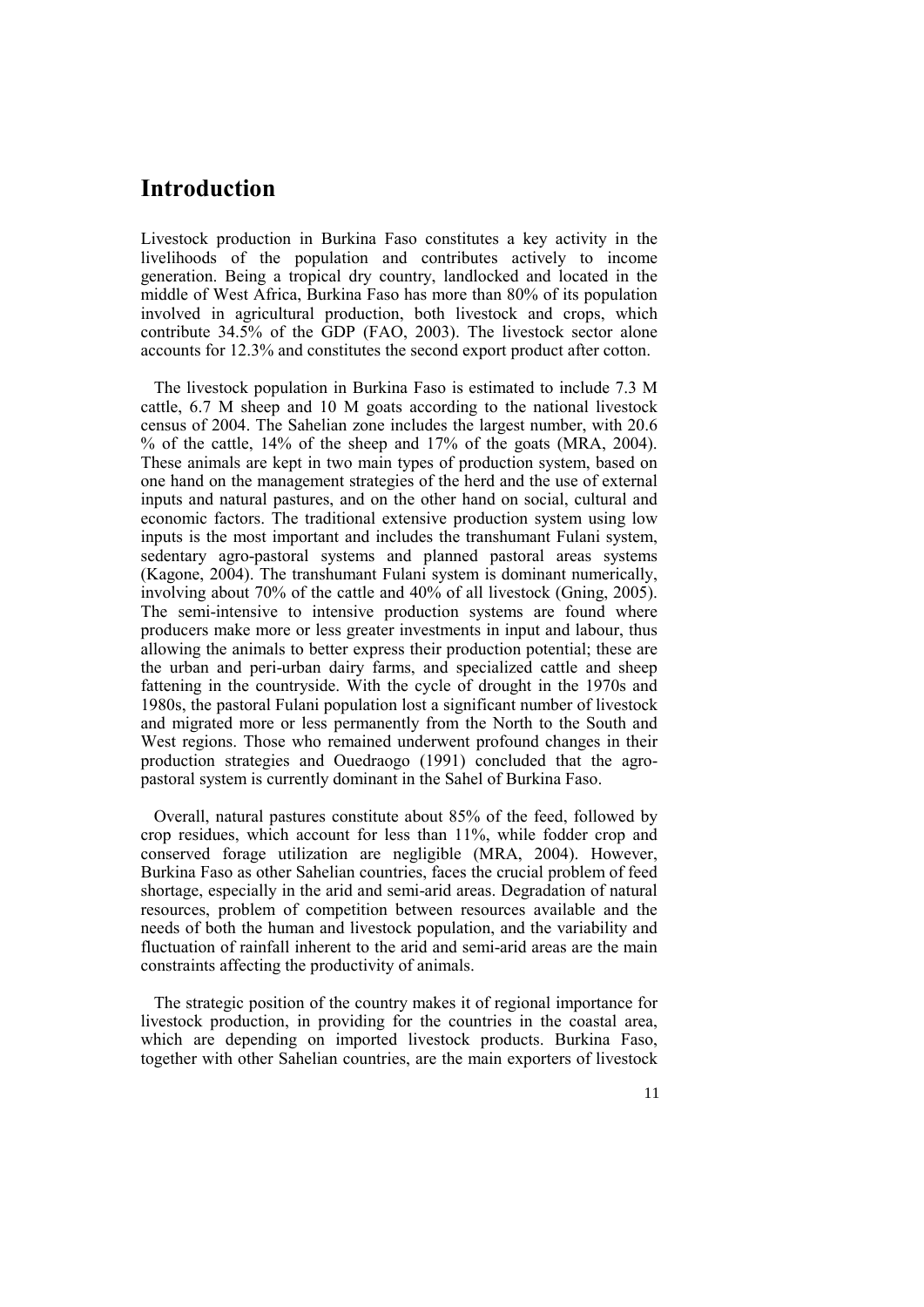## **Introduction**

Livestock production in Burkina Faso constitutes a key activity in the livelihoods of the population and contributes actively to income generation. Being a tropical dry country, landlocked and located in the middle of West Africa, Burkina Faso has more than 80% of its population involved in agricultural production, both livestock and crops, which contribute 34.5% of the GDP (FAO, 2003). The livestock sector alone accounts for 12.3% and constitutes the second export product after cotton.

The livestock population in Burkina Faso is estimated to include 7.3 M cattle, 6.7 M sheep and 10 M goats according to the national livestock census of 2004. The Sahelian zone includes the largest number, with 20.6 % of the cattle, 14% of the sheep and 17% of the goats (MRA, 2004). These animals are kept in two main types of production system, based on one hand on the management strategies of the herd and the use of external inputs and natural pastures, and on the other hand on social, cultural and economic factors. The traditional extensive production system using low inputs is the most important and includes the transhumant Fulani system, sedentary agro-pastoral systems and planned pastoral areas systems (Kagone, 2004). The transhumant Fulani system is dominant numerically, involving about 70% of the cattle and 40% of all livestock (Gning, 2005). The semi-intensive to intensive production systems are found where producers make more or less greater investments in input and labour, thus allowing the animals to better express their production potential; these are the urban and peri-urban dairy farms, and specialized cattle and sheep fattening in the countryside. With the cycle of drought in the 1970s and 1980s, the pastoral Fulani population lost a significant number of livestock and migrated more or less permanently from the North to the South and West regions. Those who remained underwent profound changes in their production strategies and Ouedraogo (1991) concluded that the agropastoral system is currently dominant in the Sahel of Burkina Faso.

Overall, natural pastures constitute about 85% of the feed, followed by crop residues, which account for less than 11%, while fodder crop and conserved forage utilization are negligible (MRA, 2004). However, Burkina Faso as other Sahelian countries, faces the crucial problem of feed shortage, especially in the arid and semi-arid areas. Degradation of natural resources, problem of competition between resources available and the needs of both the human and livestock population, and the variability and fluctuation of rainfall inherent to the arid and semi-arid areas are the main constraints affecting the productivity of animals.

The strategic position of the country makes it of regional importance for livestock production, in providing for the countries in the coastal area, which are depending on imported livestock products. Burkina Faso, together with other Sahelian countries, are the main exporters of livestock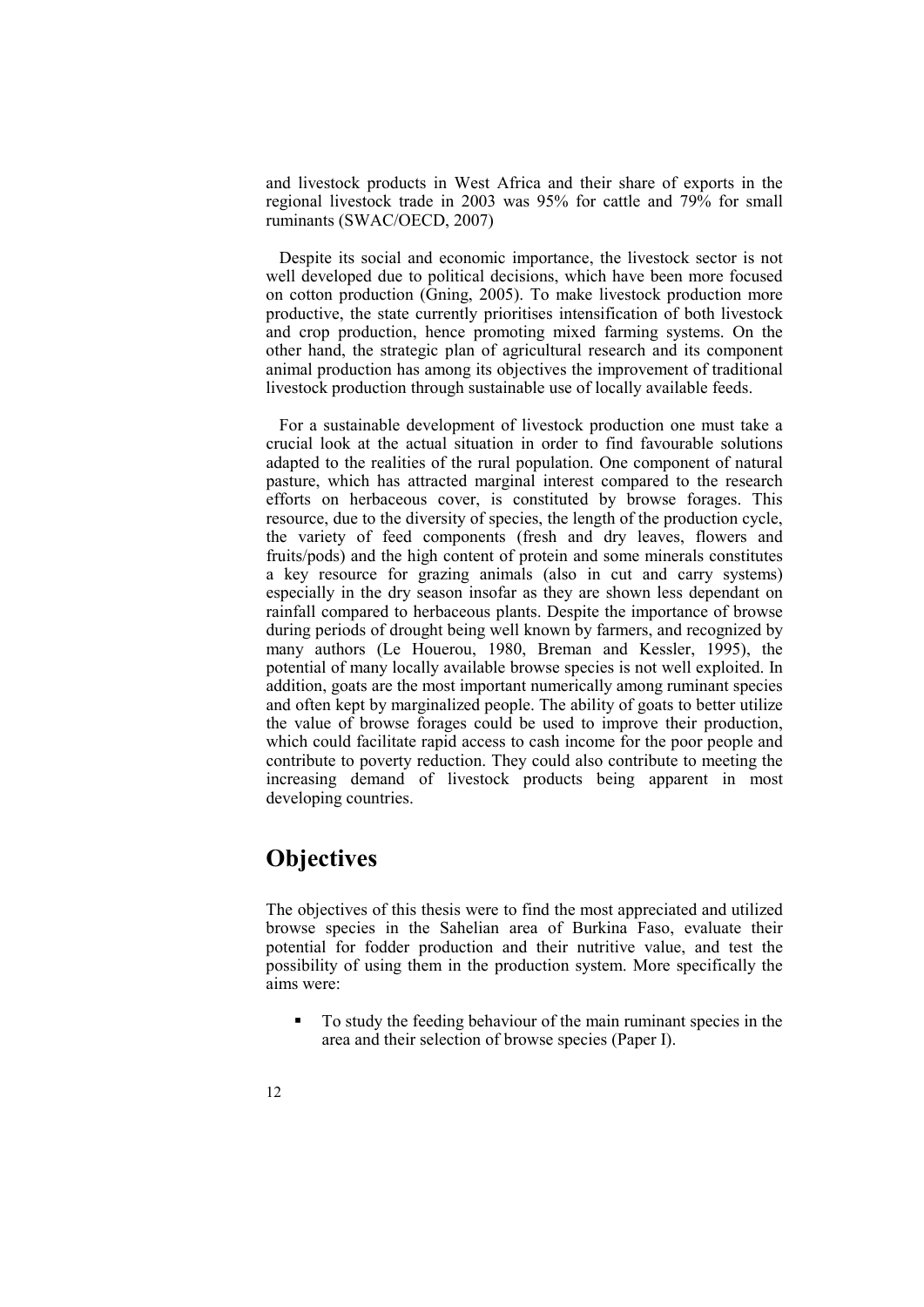and livestock products in West Africa and their share of exports in the regional livestock trade in 2003 was 95% for cattle and 79% for small ruminants (SWAC/OECD, 2007)

Despite its social and economic importance, the livestock sector is not well developed due to political decisions, which have been more focused on cotton production (Gning, 2005). To make livestock production more productive, the state currently prioritises intensification of both livestock and crop production, hence promoting mixed farming systems. On the other hand, the strategic plan of agricultural research and its component animal production has among its objectives the improvement of traditional livestock production through sustainable use of locally available feeds.

For a sustainable development of livestock production one must take a crucial look at the actual situation in order to find favourable solutions adapted to the realities of the rural population. One component of natural pasture, which has attracted marginal interest compared to the research efforts on herbaceous cover, is constituted by browse forages. This resource, due to the diversity of species, the length of the production cycle, the variety of feed components (fresh and dry leaves, flowers and fruits/pods) and the high content of protein and some minerals constitutes a key resource for grazing animals (also in cut and carry systems) especially in the dry season insofar as they are shown less dependant on rainfall compared to herbaceous plants. Despite the importance of browse during periods of drought being well known by farmers, and recognized by many authors (Le Houerou, 1980, Breman and Kessler, 1995), the potential of many locally available browse species is not well exploited. In addition, goats are the most important numerically among ruminant species and often kept by marginalized people. The ability of goats to better utilize the value of browse forages could be used to improve their production, which could facilitate rapid access to cash income for the poor people and contribute to poverty reduction. They could also contribute to meeting the increasing demand of livestock products being apparent in most developing countries.

### **Objectives**

The objectives of this thesis were to find the most appreciated and utilized browse species in the Sahelian area of Burkina Faso, evaluate their potential for fodder production and their nutritive value, and test the possibility of using them in the production system. More specifically the aims were:

 To study the feeding behaviour of the main ruminant species in the area and their selection of browse species (Paper I).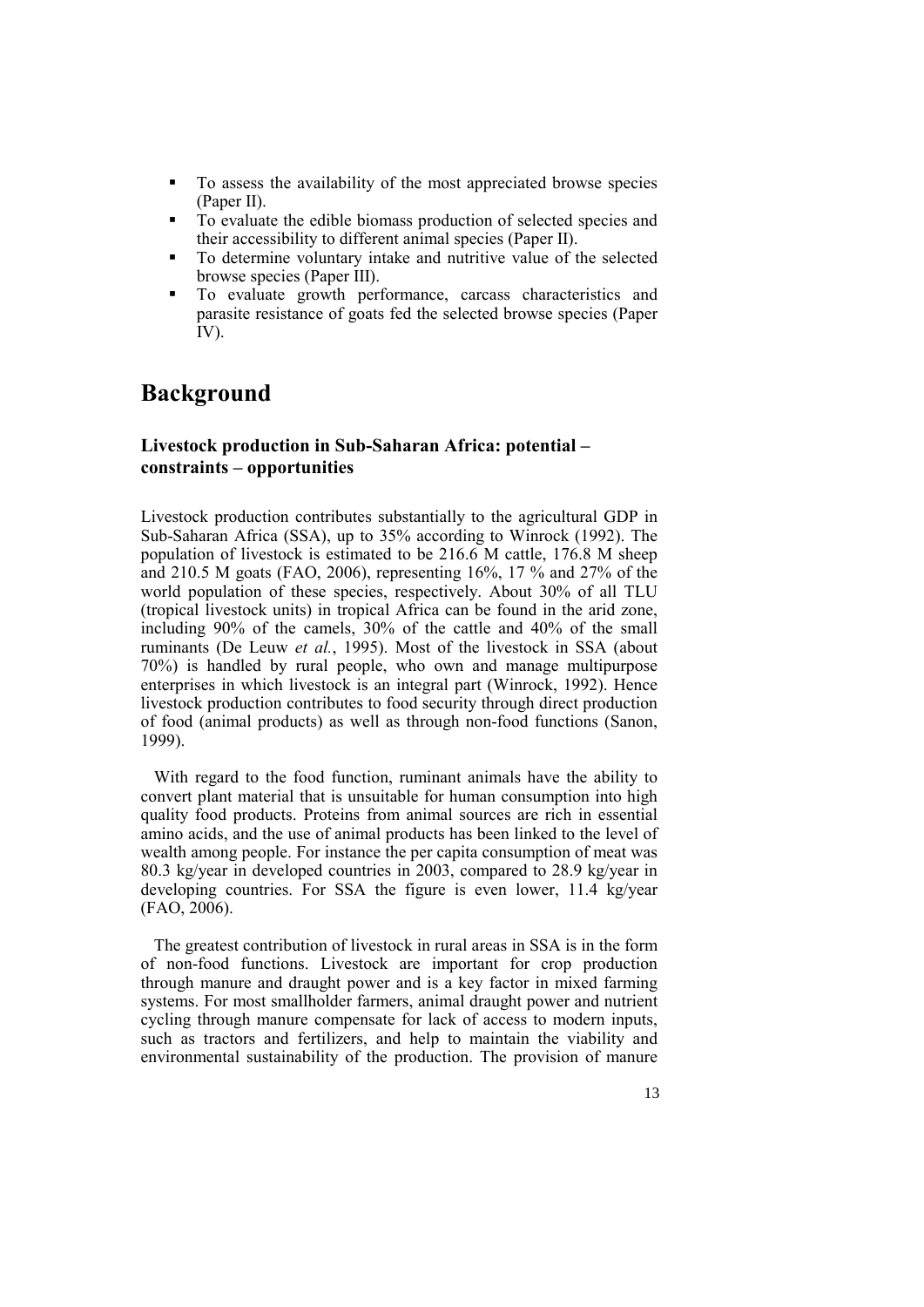- To assess the availability of the most appreciated browse species (Paper II).
- To evaluate the edible biomass production of selected species and their accessibility to different animal species (Paper II).
- To determine voluntary intake and nutritive value of the selected browse species (Paper III).
- To evaluate growth performance, carcass characteristics and parasite resistance of goats fed the selected browse species (Paper IV).

## **Background**

#### **Livestock production in Sub-Saharan Africa: potential – constraints – opportunities**

Livestock production contributes substantially to the agricultural GDP in Sub-Saharan Africa (SSA), up to 35% according to Winrock (1992). The population of livestock is estimated to be 216.6 M cattle, 176.8 M sheep and 210.5 M goats (FAO, 2006), representing 16%, 17 % and 27% of the world population of these species, respectively. About 30% of all TLU (tropical livestock units) in tropical Africa can be found in the arid zone, including 90% of the camels, 30% of the cattle and 40% of the small ruminants (De Leuw *et al.*, 1995). Most of the livestock in SSA (about 70%) is handled by rural people, who own and manage multipurpose enterprises in which livestock is an integral part (Winrock, 1992). Hence livestock production contributes to food security through direct production of food (animal products) as well as through non-food functions (Sanon, 1999).

With regard to the food function, ruminant animals have the ability to convert plant material that is unsuitable for human consumption into high quality food products. Proteins from animal sources are rich in essential amino acids, and the use of animal products has been linked to the level of wealth among people. For instance the per capita consumption of meat was 80.3 kg/year in developed countries in 2003, compared to 28.9 kg/year in developing countries. For SSA the figure is even lower, 11.4 kg/year (FAO, 2006).

The greatest contribution of livestock in rural areas in SSA is in the form of non-food functions. Livestock are important for crop production through manure and draught power and is a key factor in mixed farming systems. For most smallholder farmers, animal draught power and nutrient cycling through manure compensate for lack of access to modern inputs, such as tractors and fertilizers, and help to maintain the viability and environmental sustainability of the production. The provision of manure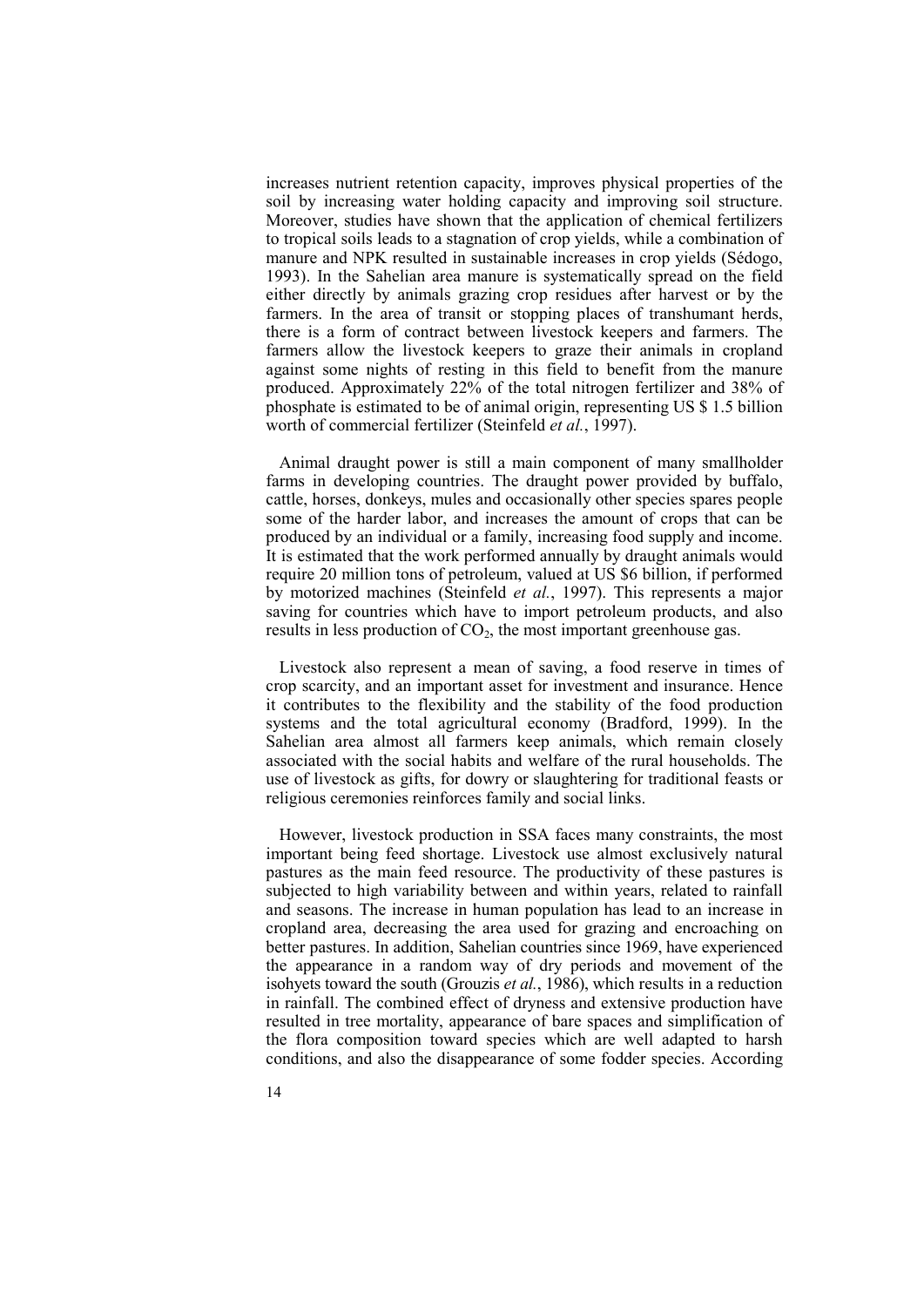increases nutrient retention capacity, improves physical properties of the soil by increasing water holding capacity and improving soil structure. Moreover, studies have shown that the application of chemical fertilizers to tropical soils leads to a stagnation of crop yields, while a combination of manure and NPK resulted in sustainable increases in crop yields (Sédogo, 1993). In the Sahelian area manure is systematically spread on the field either directly by animals grazing crop residues after harvest or by the farmers. In the area of transit or stopping places of transhumant herds, there is a form of contract between livestock keepers and farmers. The farmers allow the livestock keepers to graze their animals in cropland against some nights of resting in this field to benefit from the manure produced. Approximately 22% of the total nitrogen fertilizer and 38% of phosphate is estimated to be of animal origin, representing US \$ 1.5 billion worth of commercial fertilizer (Steinfeld *et al.*, 1997).

Animal draught power is still a main component of many smallholder farms in developing countries. The draught power provided by buffalo, cattle, horses, donkeys, mules and occasionally other species spares people some of the harder labor, and increases the amount of crops that can be produced by an individual or a family, increasing food supply and income. It is estimated that the work performed annually by draught animals would require 20 million tons of petroleum, valued at US \$6 billion, if performed by motorized machines (Steinfeld *et al.*, 1997). This represents a major saving for countries which have to import petroleum products, and also results in less production of  $CO<sub>2</sub>$ , the most important greenhouse gas.

Livestock also represent a mean of saving, a food reserve in times of crop scarcity, and an important asset for investment and insurance. Hence it contributes to the flexibility and the stability of the food production systems and the total agricultural economy (Bradford, 1999). In the Sahelian area almost all farmers keep animals, which remain closely associated with the social habits and welfare of the rural households. The use of livestock as gifts, for dowry or slaughtering for traditional feasts or religious ceremonies reinforces family and social links.

However, livestock production in SSA faces many constraints, the most important being feed shortage. Livestock use almost exclusively natural pastures as the main feed resource. The productivity of these pastures is subjected to high variability between and within years, related to rainfall and seasons. The increase in human population has lead to an increase in cropland area, decreasing the area used for grazing and encroaching on better pastures. In addition, Sahelian countries since 1969, have experienced the appearance in a random way of dry periods and movement of the isohyets toward the south (Grouzis *et al.*, 1986), which results in a reduction in rainfall. The combined effect of dryness and extensive production have resulted in tree mortality, appearance of bare spaces and simplification of the flora composition toward species which are well adapted to harsh conditions, and also the disappearance of some fodder species. According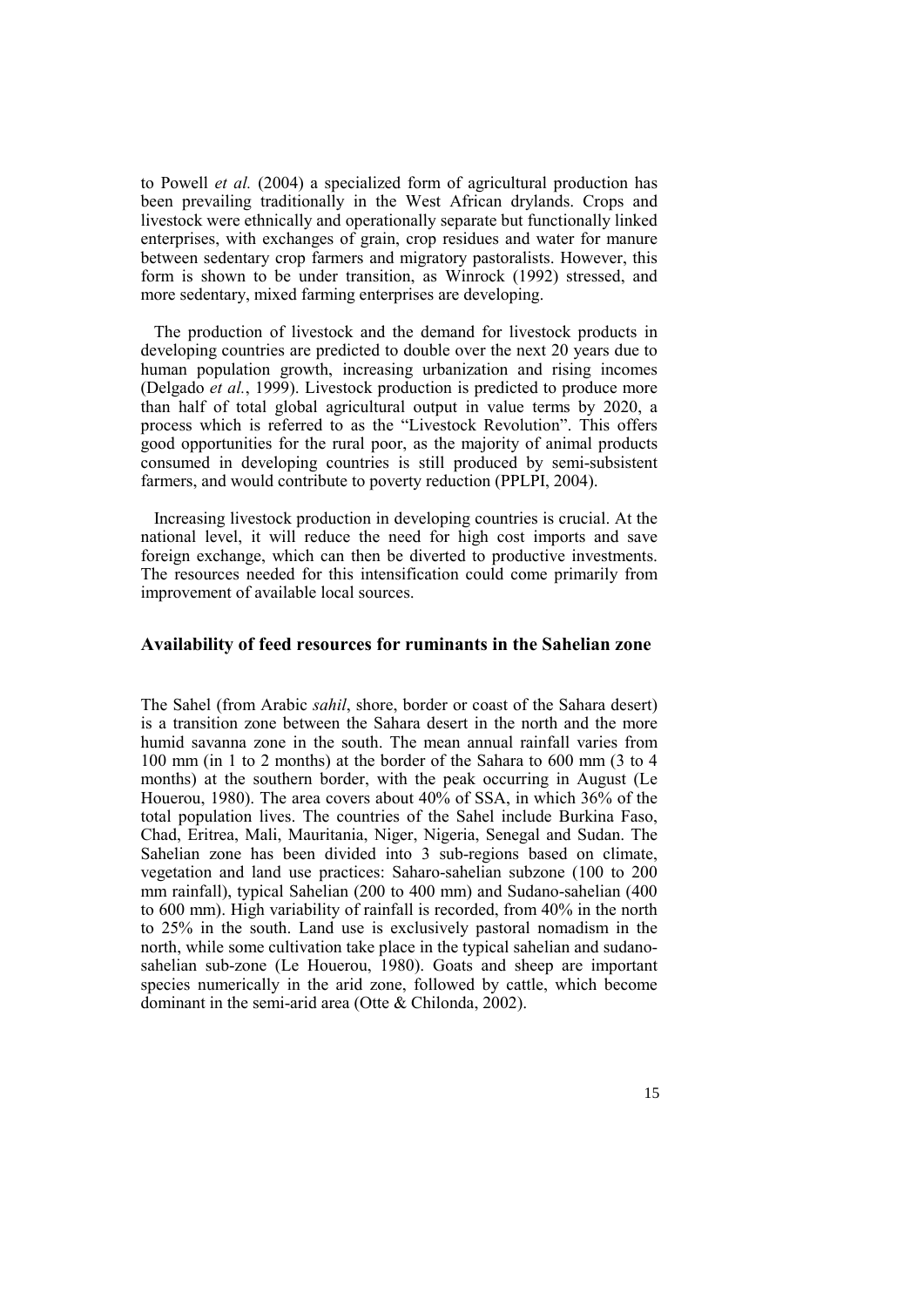to Powell *et al.* (2004) a specialized form of agricultural production has been prevailing traditionally in the West African drylands. Crops and livestock were ethnically and operationally separate but functionally linked enterprises, with exchanges of grain, crop residues and water for manure between sedentary crop farmers and migratory pastoralists. However, this form is shown to be under transition, as Winrock (1992) stressed, and more sedentary, mixed farming enterprises are developing.

The production of livestock and the demand for livestock products in developing countries are predicted to double over the next 20 years due to human population growth, increasing urbanization and rising incomes (Delgado *et al.*, 1999). Livestock production is predicted to produce more than half of total global agricultural output in value terms by 2020, a process which is referred to as the "Livestock Revolution". This offers good opportunities for the rural poor, as the majority of animal products consumed in developing countries is still produced by semi-subsistent farmers, and would contribute to poverty reduction (PPLPI, 2004).

Increasing livestock production in developing countries is crucial. At the national level, it will reduce the need for high cost imports and save foreign exchange, which can then be diverted to productive investments. The resources needed for this intensification could come primarily from improvement of available local sources.

#### **Availability of feed resources for ruminants in the Sahelian zone**

The Sahel (from Arabic *sahil*, shore, border or coast of the Sahara desert) is a transition zone between the Sahara desert in the north and the more humid savanna zone in the south. The mean annual rainfall varies from 100 mm (in 1 to 2 months) at the border of the Sahara to 600 mm (3 to 4 months) at the southern border, with the peak occurring in August (Le Houerou, 1980). The area covers about 40% of SSA, in which 36% of the total population lives. The countries of the Sahel include Burkina Faso, Chad, Eritrea, Mali, Mauritania, Niger, Nigeria, Senegal and Sudan. The Sahelian zone has been divided into 3 sub-regions based on climate, vegetation and land use practices: Saharo-sahelian subzone (100 to 200 mm rainfall), typical Sahelian (200 to 400 mm) and Sudano-sahelian (400 to 600 mm). High variability of rainfall is recorded, from 40% in the north to 25% in the south. Land use is exclusively pastoral nomadism in the north, while some cultivation take place in the typical sahelian and sudanosahelian sub-zone (Le Houerou, 1980). Goats and sheep are important species numerically in the arid zone, followed by cattle, which become dominant in the semi-arid area (Otte & Chilonda, 2002).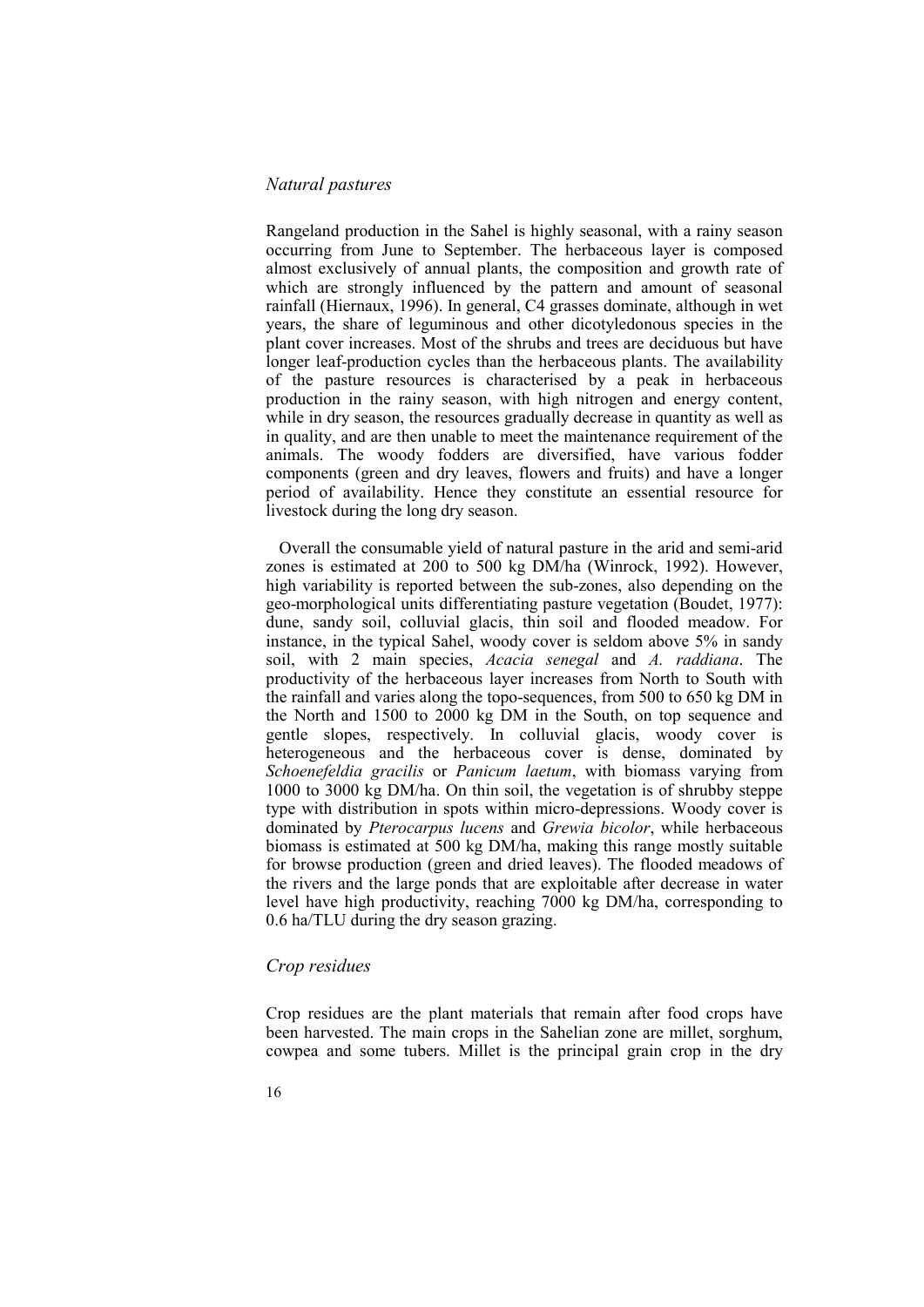#### *Natural pastures*

Rangeland production in the Sahel is highly seasonal, with a rainy season occurring from June to September. The herbaceous layer is composed almost exclusively of annual plants, the composition and growth rate of which are strongly influenced by the pattern and amount of seasonal rainfall (Hiernaux, 1996). In general, C4 grasses dominate, although in wet years, the share of leguminous and other dicotyledonous species in the plant cover increases. Most of the shrubs and trees are deciduous but have longer leaf-production cycles than the herbaceous plants. The availability of the pasture resources is characterised by a peak in herbaceous production in the rainy season, with high nitrogen and energy content, while in dry season, the resources gradually decrease in quantity as well as in quality, and are then unable to meet the maintenance requirement of the animals. The woody fodders are diversified, have various fodder components (green and dry leaves, flowers and fruits) and have a longer period of availability. Hence they constitute an essential resource for livestock during the long dry season.

Overall the consumable yield of natural pasture in the arid and semi-arid zones is estimated at 200 to 500 kg DM/ha (Winrock, 1992). However, high variability is reported between the sub-zones, also depending on the geo-morphological units differentiating pasture vegetation (Boudet, 1977): dune, sandy soil, colluvial glacis, thin soil and flooded meadow. For instance, in the typical Sahel, woody cover is seldom above 5% in sandy soil, with 2 main species, *Acacia senegal* and *A. raddiana*. The productivity of the herbaceous layer increases from North to South with the rainfall and varies along the topo-sequences, from 500 to 650 kg DM in the North and 1500 to 2000 kg DM in the South, on top sequence and gentle slopes, respectively. In colluvial glacis, woody cover is heterogeneous and the herbaceous cover is dense, dominated by *Schoenefeldia gracilis* or *Panicum laetum*, with biomass varying from 1000 to 3000 kg DM/ha. On thin soil, the vegetation is of shrubby steppe type with distribution in spots within micro-depressions. Woody cover is dominated by *Pterocarpus lucens* and *Grewia bicolor*, while herbaceous biomass is estimated at 500 kg DM/ha, making this range mostly suitable for browse production (green and dried leaves). The flooded meadows of the rivers and the large ponds that are exploitable after decrease in water level have high productivity, reaching 7000 kg DM/ha, corresponding to 0.6 ha/TLU during the dry season grazing.

#### *Crop residues*

Crop residues are the plant materials that remain after food crops have been harvested. The main crops in the Sahelian zone are millet, sorghum, cowpea and some tubers. Millet is the principal grain crop in the dry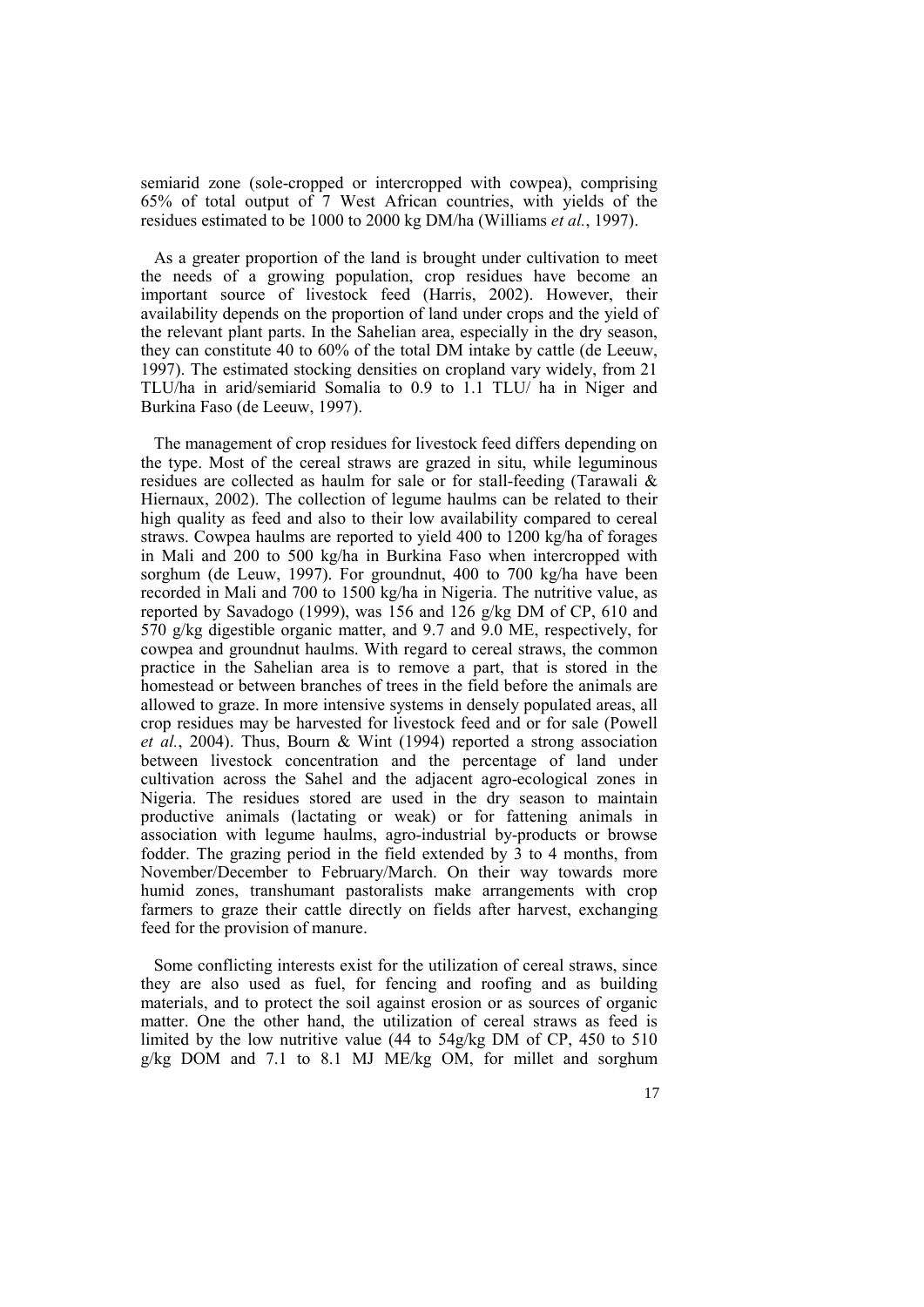semiarid zone (sole-cropped or intercropped with cowpea), comprising 65% of total output of 7 West African countries, with yields of the residues estimated to be 1000 to 2000 kg DM/ha (Williams *et al.*, 1997).

As a greater proportion of the land is brought under cultivation to meet the needs of a growing population, crop residues have become an important source of livestock feed (Harris, 2002). However, their availability depends on the proportion of land under crops and the yield of the relevant plant parts. In the Sahelian area, especially in the dry season, they can constitute 40 to 60% of the total DM intake by cattle (de Leeuw, 1997). The estimated stocking densities on cropland vary widely, from 21 TLU/ha in arid/semiarid Somalia to 0.9 to 1.1 TLU/ ha in Niger and Burkina Faso (de Leeuw, 1997).

The management of crop residues for livestock feed differs depending on the type. Most of the cereal straws are grazed in situ, while leguminous residues are collected as haulm for sale or for stall-feeding (Tarawali & Hiernaux, 2002). The collection of legume haulms can be related to their high quality as feed and also to their low availability compared to cereal straws. Cowpea haulms are reported to yield 400 to 1200 kg/ha of forages in Mali and 200 to 500 kg/ha in Burkina Faso when intercropped with sorghum (de Leuw, 1997). For groundnut, 400 to 700 kg/ha have been recorded in Mali and 700 to 1500 kg/ha in Nigeria. The nutritive value, as reported by Savadogo (1999), was 156 and 126 g/kg DM of CP, 610 and 570 g/kg digestible organic matter, and 9.7 and 9.0 ME, respectively, for cowpea and groundnut haulms. With regard to cereal straws, the common practice in the Sahelian area is to remove a part, that is stored in the homestead or between branches of trees in the field before the animals are allowed to graze. In more intensive systems in densely populated areas, all crop residues may be harvested for livestock feed and or for sale (Powell *et al.*, 2004). Thus, Bourn & Wint (1994) reported a strong association between livestock concentration and the percentage of land under cultivation across the Sahel and the adjacent agro-ecological zones in Nigeria. The residues stored are used in the dry season to maintain productive animals (lactating or weak) or for fattening animals in association with legume haulms, agro-industrial by-products or browse fodder. The grazing period in the field extended by 3 to 4 months, from November/December to February/March. On their way towards more humid zones, transhumant pastoralists make arrangements with crop farmers to graze their cattle directly on fields after harvest, exchanging feed for the provision of manure.

Some conflicting interests exist for the utilization of cereal straws, since they are also used as fuel, for fencing and roofing and as building materials, and to protect the soil against erosion or as sources of organic matter. One the other hand, the utilization of cereal straws as feed is limited by the low nutritive value (44 to 54g/kg DM of CP, 450 to 510 g/kg DOM and 7.1 to 8.1 MJ ME/kg OM, for millet and sorghum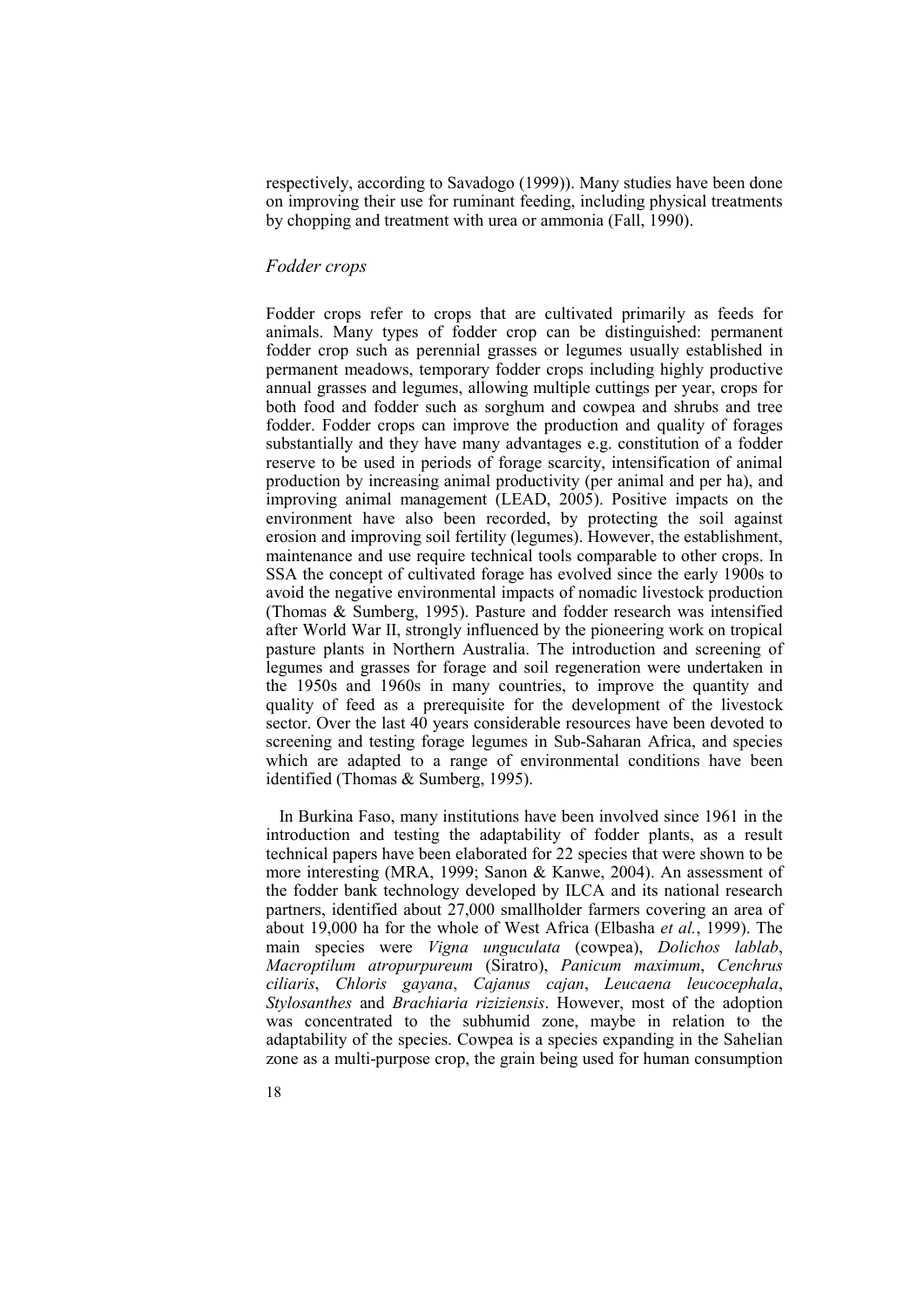respectively, according to Savadogo (1999)). Many studies have been done on improving their use for ruminant feeding, including physical treatments by chopping and treatment with urea or ammonia (Fall, 1990).

#### *Fodder crops*

Fodder crops refer to crops that are cultivated primarily as feeds for animals. Many types of fodder crop can be distinguished: permanent fodder crop such as perennial grasses or legumes usually established in permanent meadows, temporary fodder crops including highly productive annual grasses and legumes, allowing multiple cuttings per year, crops for both food and fodder such as sorghum and cowpea and shrubs and tree fodder. Fodder crops can improve the production and quality of forages substantially and they have many advantages e.g. constitution of a fodder reserve to be used in periods of forage scarcity, intensification of animal production by increasing animal productivity (per animal and per ha), and improving animal management (LEAD, 2005). Positive impacts on the environment have also been recorded, by protecting the soil against erosion and improving soil fertility (legumes). However, the establishment, maintenance and use require technical tools comparable to other crops. In SSA the concept of cultivated forage has evolved since the early 1900s to avoid the negative environmental impacts of nomadic livestock production (Thomas & Sumberg, 1995). Pasture and fodder research was intensified after World War II, strongly influenced by the pioneering work on tropical pasture plants in Northern Australia. The introduction and screening of legumes and grasses for forage and soil regeneration were undertaken in the 1950s and 1960s in many countries, to improve the quantity and quality of feed as a prerequisite for the development of the livestock sector. Over the last 40 years considerable resources have been devoted to screening and testing forage legumes in Sub-Saharan Africa, and species which are adapted to a range of environmental conditions have been identified (Thomas & Sumberg, 1995).

In Burkina Faso, many institutions have been involved since 1961 in the introduction and testing the adaptability of fodder plants, as a result technical papers have been elaborated for 22 species that were shown to be more interesting (MRA, 1999; Sanon & Kanwe, 2004). An assessment of the fodder bank technology developed by ILCA and its national research partners, identified about 27,000 smallholder farmers covering an area of about 19,000 ha for the whole of West Africa (Elbasha *et al.*, 1999). The main species were *Vigna unguculata* (cowpea), *Dolichos lablab*, *Macroptilum atropurpureum* (Siratro), *Panicum maximum*, *Cenchrus ciliaris*, *Chloris gayana*, *Cajanus cajan*, *Leucaena leucocephala*, *Stylosanthes* and *Brachiaria riziziensis*. However, most of the adoption was concentrated to the subhumid zone, maybe in relation to the adaptability of the species. Cowpea is a species expanding in the Sahelian zone as a multi-purpose crop, the grain being used for human consumption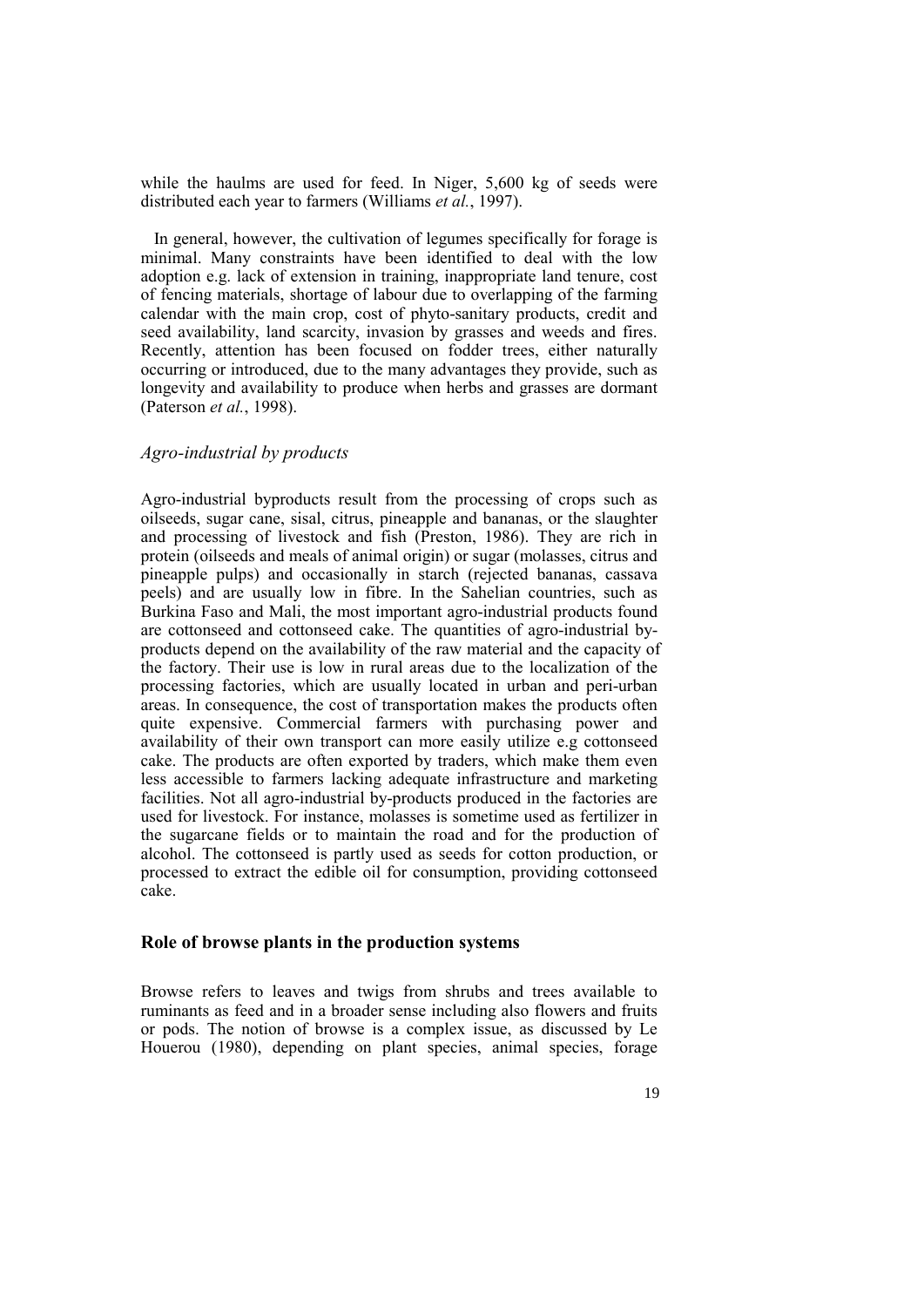while the haulms are used for feed. In Niger, 5,600 kg of seeds were distributed each year to farmers (Williams *et al.*, 1997).

In general, however, the cultivation of legumes specifically for forage is minimal. Many constraints have been identified to deal with the low adoption e.g. lack of extension in training, inappropriate land tenure, cost of fencing materials, shortage of labour due to overlapping of the farming calendar with the main crop, cost of phyto-sanitary products, credit and seed availability, land scarcity, invasion by grasses and weeds and fires. Recently, attention has been focused on fodder trees, either naturally occurring or introduced, due to the many advantages they provide, such as longevity and availability to produce when herbs and grasses are dormant (Paterson *et al.*, 1998).

#### *Agro-industrial by products*

Agro-industrial byproducts result from the processing of crops such as oilseeds, sugar cane, sisal, citrus, pineapple and bananas, or the slaughter and processing of livestock and fish (Preston, 1986). They are rich in protein (oilseeds and meals of animal origin) or sugar (molasses, citrus and pineapple pulps) and occasionally in starch (rejected bananas, cassava peels) and are usually low in fibre. In the Sahelian countries, such as Burkina Faso and Mali, the most important agro-industrial products found are cottonseed and cottonseed cake. The quantities of agro-industrial byproducts depend on the availability of the raw material and the capacity of the factory. Their use is low in rural areas due to the localization of the processing factories, which are usually located in urban and peri-urban areas. In consequence, the cost of transportation makes the products often quite expensive. Commercial farmers with purchasing power and availability of their own transport can more easily utilize e.g cottonseed cake. The products are often exported by traders, which make them even less accessible to farmers lacking adequate infrastructure and marketing facilities. Not all agro-industrial by-products produced in the factories are used for livestock. For instance, molasses is sometime used as fertilizer in the sugarcane fields or to maintain the road and for the production of alcohol. The cottonseed is partly used as seeds for cotton production, or processed to extract the edible oil for consumption, providing cottonseed cake.

#### **Role of browse plants in the production systems**

Browse refers to leaves and twigs from shrubs and trees available to ruminants as feed and in a broader sense including also flowers and fruits or pods. The notion of browse is a complex issue, as discussed by Le Houerou (1980), depending on plant species, animal species, forage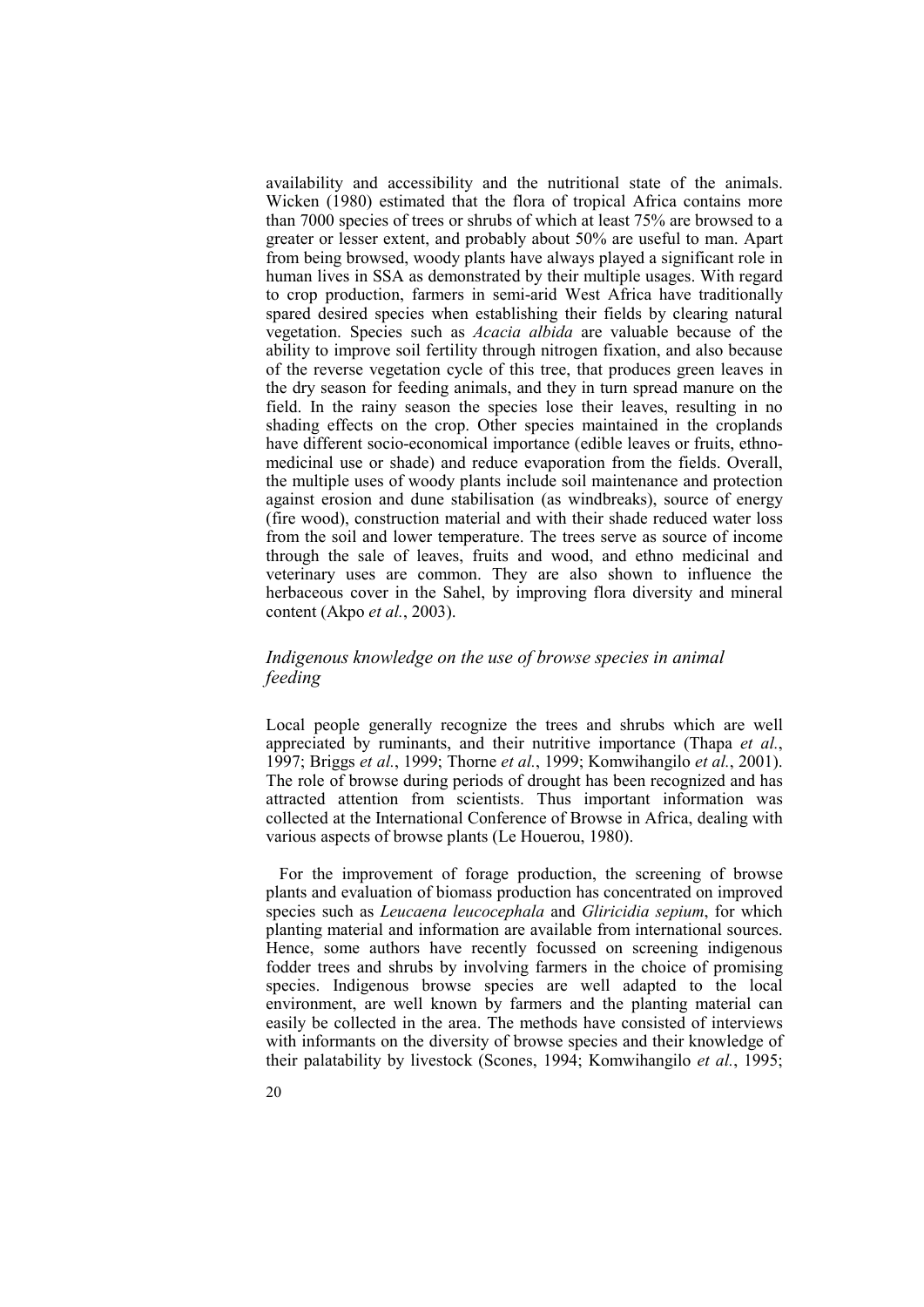availability and accessibility and the nutritional state of the animals. Wicken (1980) estimated that the flora of tropical Africa contains more than 7000 species of trees or shrubs of which at least 75% are browsed to a greater or lesser extent, and probably about 50% are useful to man. Apart from being browsed, woody plants have always played a significant role in human lives in SSA as demonstrated by their multiple usages. With regard to crop production, farmers in semi-arid West Africa have traditionally spared desired species when establishing their fields by clearing natural vegetation. Species such as *Acacia albida* are valuable because of the ability to improve soil fertility through nitrogen fixation, and also because of the reverse vegetation cycle of this tree, that produces green leaves in the dry season for feeding animals, and they in turn spread manure on the field. In the rainy season the species lose their leaves, resulting in no shading effects on the crop. Other species maintained in the croplands have different socio-economical importance (edible leaves or fruits, ethnomedicinal use or shade) and reduce evaporation from the fields. Overall, the multiple uses of woody plants include soil maintenance and protection against erosion and dune stabilisation (as windbreaks), source of energy (fire wood), construction material and with their shade reduced water loss from the soil and lower temperature. The trees serve as source of income through the sale of leaves, fruits and wood, and ethno medicinal and veterinary uses are common. They are also shown to influence the herbaceous cover in the Sahel, by improving flora diversity and mineral content (Akpo *et al.*, 2003).

#### *Indigenous knowledge on the use of browse species in animal feeding*

Local people generally recognize the trees and shrubs which are well appreciated by ruminants, and their nutritive importance (Thapa *et al.*, 1997; Briggs *et al.*, 1999; Thorne *et al.*, 1999; Komwihangilo *et al.*, 2001). The role of browse during periods of drought has been recognized and has attracted attention from scientists. Thus important information was collected at the International Conference of Browse in Africa, dealing with various aspects of browse plants (Le Houerou, 1980).

For the improvement of forage production, the screening of browse plants and evaluation of biomass production has concentrated on improved species such as *Leucaena leucocephala* and *Gliricidia sepium*, for which planting material and information are available from international sources. Hence, some authors have recently focussed on screening indigenous fodder trees and shrubs by involving farmers in the choice of promising species. Indigenous browse species are well adapted to the local environment, are well known by farmers and the planting material can easily be collected in the area. The methods have consisted of interviews with informants on the diversity of browse species and their knowledge of their palatability by livestock (Scones, 1994; Komwihangilo *et al.*, 1995;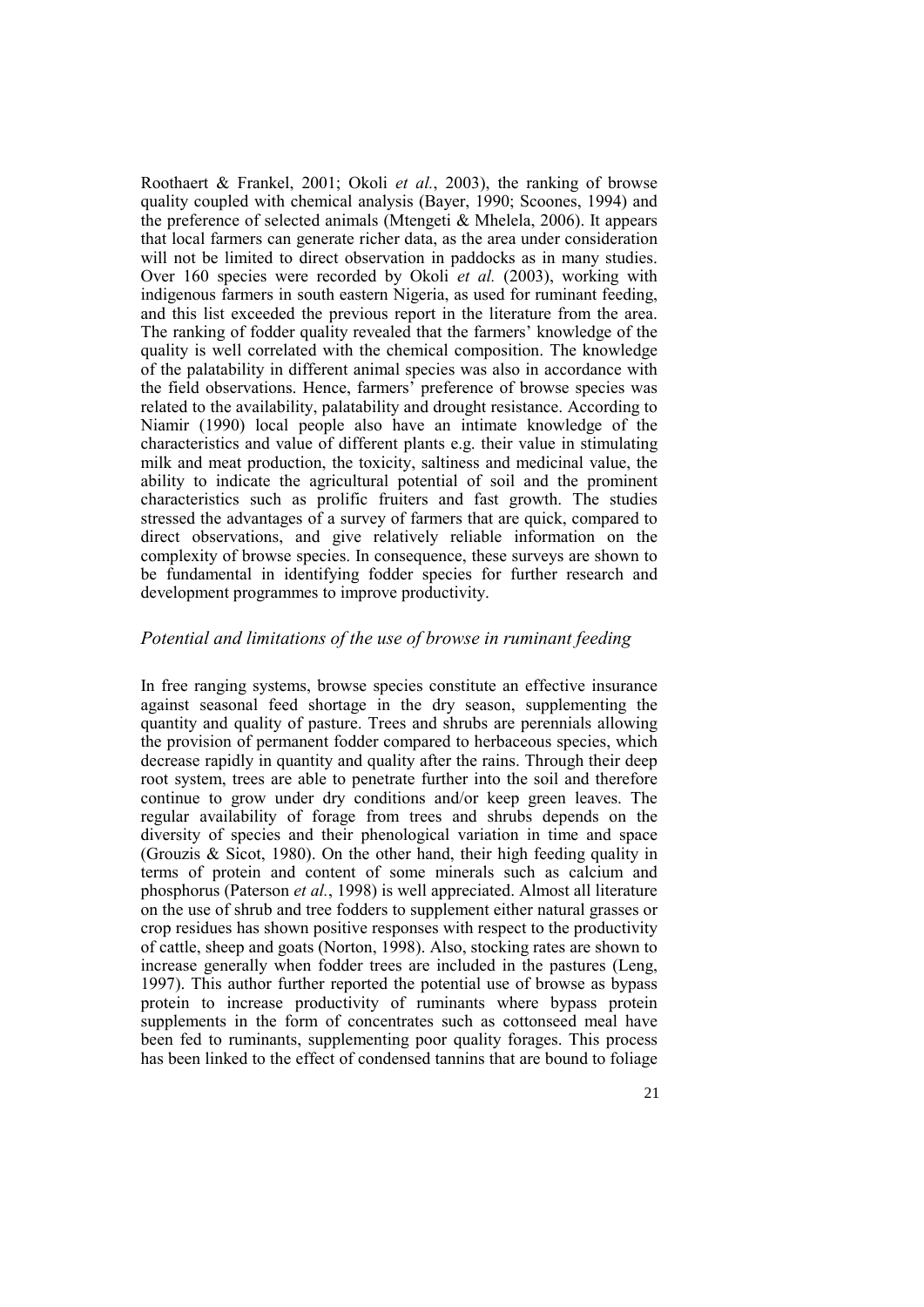Roothaert & Frankel, 2001; Okoli *et al.*, 2003), the ranking of browse quality coupled with chemical analysis (Bayer, 1990; Scoones, 1994) and the preference of selected animals (Mtengeti & Mhelela, 2006). It appears that local farmers can generate richer data, as the area under consideration will not be limited to direct observation in paddocks as in many studies. Over 160 species were recorded by Okoli *et al.* (2003), working with indigenous farmers in south eastern Nigeria, as used for ruminant feeding, and this list exceeded the previous report in the literature from the area. The ranking of fodder quality revealed that the farmers' knowledge of the quality is well correlated with the chemical composition. The knowledge of the palatability in different animal species was also in accordance with the field observations. Hence, farmers' preference of browse species was related to the availability, palatability and drought resistance. According to Niamir (1990) local people also have an intimate knowledge of the characteristics and value of different plants e.g. their value in stimulating milk and meat production, the toxicity, saltiness and medicinal value, the ability to indicate the agricultural potential of soil and the prominent characteristics such as prolific fruiters and fast growth. The studies stressed the advantages of a survey of farmers that are quick, compared to direct observations, and give relatively reliable information on the complexity of browse species. In consequence, these surveys are shown to be fundamental in identifying fodder species for further research and development programmes to improve productivity.

#### *Potential and limitations of the use of browse in ruminant feeding*

In free ranging systems, browse species constitute an effective insurance against seasonal feed shortage in the dry season, supplementing the quantity and quality of pasture. Trees and shrubs are perennials allowing the provision of permanent fodder compared to herbaceous species, which decrease rapidly in quantity and quality after the rains. Through their deep root system, trees are able to penetrate further into the soil and therefore continue to grow under dry conditions and/or keep green leaves. The regular availability of forage from trees and shrubs depends on the diversity of species and their phenological variation in time and space (Grouzis  $\&$  Sicot, 1980). On the other hand, their high feeding quality in terms of protein and content of some minerals such as calcium and phosphorus (Paterson *et al.*, 1998) is well appreciated. Almost all literature on the use of shrub and tree fodders to supplement either natural grasses or crop residues has shown positive responses with respect to the productivity of cattle, sheep and goats (Norton, 1998). Also, stocking rates are shown to increase generally when fodder trees are included in the pastures (Leng, 1997). This author further reported the potential use of browse as bypass protein to increase productivity of ruminants where bypass protein supplements in the form of concentrates such as cottonseed meal have been fed to ruminants, supplementing poor quality forages. This process has been linked to the effect of condensed tannins that are bound to foliage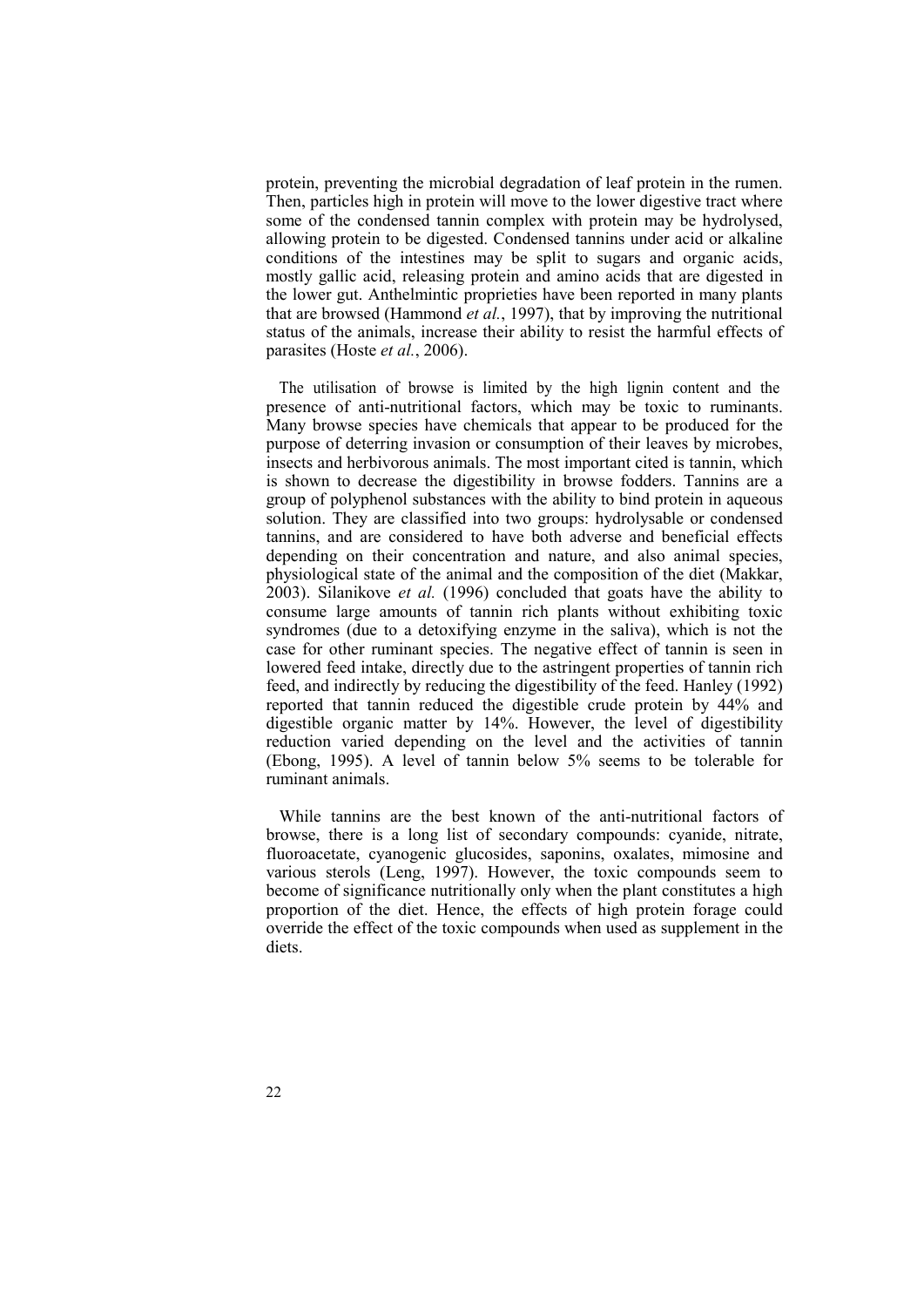protein, preventing the microbial degradation of leaf protein in the rumen. Then, particles high in protein will move to the lower digestive tract where some of the condensed tannin complex with protein may be hydrolysed, allowing protein to be digested. Condensed tannins under acid or alkaline conditions of the intestines may be split to sugars and organic acids, mostly gallic acid, releasing protein and amino acids that are digested in the lower gut. Anthelmintic proprieties have been reported in many plants that are browsed (Hammond *et al.*, 1997), that by improving the nutritional status of the animals, increase their ability to resist the harmful effects of parasites (Hoste *et al.*, 2006).

The utilisation of browse is limited by the high lignin content and the presence of anti-nutritional factors, which may be toxic to ruminants. Many browse species have chemicals that appear to be produced for the purpose of deterring invasion or consumption of their leaves by microbes, insects and herbivorous animals. The most important cited is tannin, which is shown to decrease the digestibility in browse fodders. Tannins are a group of polyphenol substances with the ability to bind protein in aqueous solution. They are classified into two groups: hydrolysable or condensed tannins, and are considered to have both adverse and beneficial effects depending on their concentration and nature, and also animal species, physiological state of the animal and the composition of the diet (Makkar, 2003). Silanikove *et al.* (1996) concluded that goats have the ability to consume large amounts of tannin rich plants without exhibiting toxic syndromes (due to a detoxifying enzyme in the saliva), which is not the case for other ruminant species. The negative effect of tannin is seen in lowered feed intake, directly due to the astringent properties of tannin rich feed, and indirectly by reducing the digestibility of the feed. Hanley (1992) reported that tannin reduced the digestible crude protein by 44% and digestible organic matter by 14%. However, the level of digestibility reduction varied depending on the level and the activities of tannin (Ebong, 1995). A level of tannin below 5% seems to be tolerable for ruminant animals.

While tannins are the best known of the anti-nutritional factors of browse, there is a long list of secondary compounds: cyanide, nitrate, fluoroacetate, cyanogenic glucosides, saponins, oxalates, mimosine and various sterols (Leng, 1997). However, the toxic compounds seem to become of significance nutritionally only when the plant constitutes a high proportion of the diet. Hence, the effects of high protein forage could override the effect of the toxic compounds when used as supplement in the diets.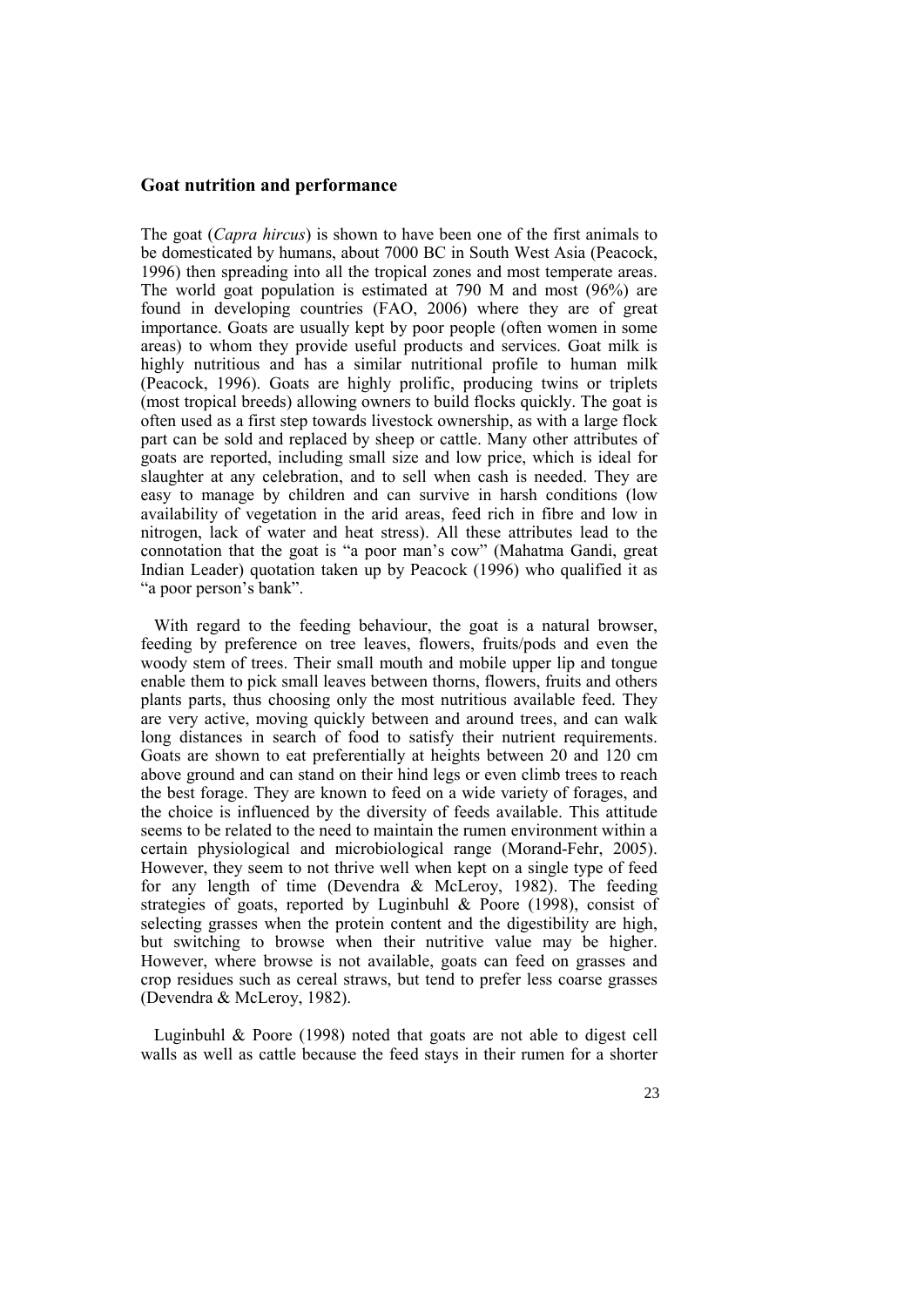#### **Goat nutrition and performance**

The goat (*Capra hircus*) is shown to have been one of the first animals to be domesticated by humans, about 7000 BC in South West Asia (Peacock, 1996) then spreading into all the tropical zones and most temperate areas. The world goat population is estimated at 790 M and most (96%) are found in developing countries (FAO, 2006) where they are of great importance. Goats are usually kept by poor people (often women in some areas) to whom they provide useful products and services. Goat milk is highly nutritious and has a similar nutritional profile to human milk (Peacock, 1996). Goats are highly prolific, producing twins or triplets (most tropical breeds) allowing owners to build flocks quickly. The goat is often used as a first step towards livestock ownership, as with a large flock part can be sold and replaced by sheep or cattle. Many other attributes of goats are reported, including small size and low price, which is ideal for slaughter at any celebration, and to sell when cash is needed. They are easy to manage by children and can survive in harsh conditions (low availability of vegetation in the arid areas, feed rich in fibre and low in nitrogen, lack of water and heat stress). All these attributes lead to the connotation that the goat is "a poor man's cow" (Mahatma Gandi, great Indian Leader) quotation taken up by Peacock (1996) who qualified it as "a poor person's bank".

With regard to the feeding behaviour, the goat is a natural browser, feeding by preference on tree leaves, flowers, fruits/pods and even the woody stem of trees. Their small mouth and mobile upper lip and tongue enable them to pick small leaves between thorns, flowers, fruits and others plants parts, thus choosing only the most nutritious available feed. They are very active, moving quickly between and around trees, and can walk long distances in search of food to satisfy their nutrient requirements. Goats are shown to eat preferentially at heights between 20 and 120 cm above ground and can stand on their hind legs or even climb trees to reach the best forage. They are known to feed on a wide variety of forages, and the choice is influenced by the diversity of feeds available. This attitude seems to be related to the need to maintain the rumen environment within a certain physiological and microbiological range (Morand-Fehr, 2005). However, they seem to not thrive well when kept on a single type of feed for any length of time (Devendra & McLeroy, 1982). The feeding strategies of goats, reported by Luginbuhl & Poore (1998), consist of selecting grasses when the protein content and the digestibility are high, but switching to browse when their nutritive value may be higher. However, where browse is not available, goats can feed on grasses and crop residues such as cereal straws, but tend to prefer less coarse grasses (Devendra & McLeroy, 1982).

Luginbuhl & Poore (1998) noted that goats are not able to digest cell walls as well as cattle because the feed stays in their rumen for a shorter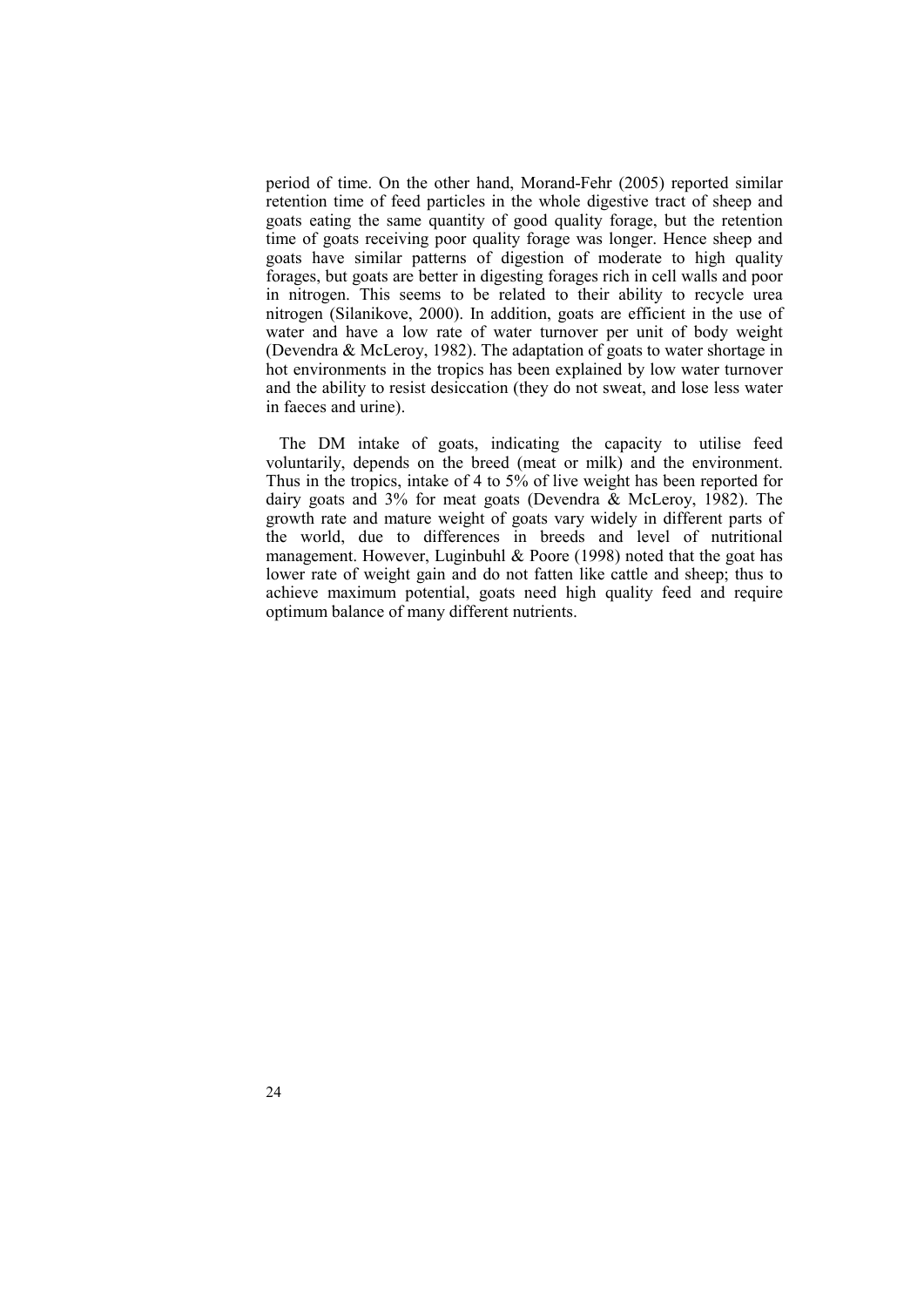period of time. On the other hand, Morand-Fehr (2005) reported similar retention time of feed particles in the whole digestive tract of sheep and goats eating the same quantity of good quality forage, but the retention time of goats receiving poor quality forage was longer. Hence sheep and goats have similar patterns of digestion of moderate to high quality forages, but goats are better in digesting forages rich in cell walls and poor in nitrogen. This seems to be related to their ability to recycle urea nitrogen (Silanikove, 2000). In addition, goats are efficient in the use of water and have a low rate of water turnover per unit of body weight (Devendra & McLeroy, 1982). The adaptation of goats to water shortage in hot environments in the tropics has been explained by low water turnover and the ability to resist desiccation (they do not sweat, and lose less water in faeces and urine).

The DM intake of goats, indicating the capacity to utilise feed voluntarily, depends on the breed (meat or milk) and the environment. Thus in the tropics, intake of 4 to 5% of live weight has been reported for dairy goats and 3% for meat goats (Devendra & McLeroy, 1982). The growth rate and mature weight of goats vary widely in different parts of the world, due to differences in breeds and level of nutritional management. However, Luginbuhl & Poore (1998) noted that the goat has lower rate of weight gain and do not fatten like cattle and sheep; thus to achieve maximum potential, goats need high quality feed and require optimum balance of many different nutrients.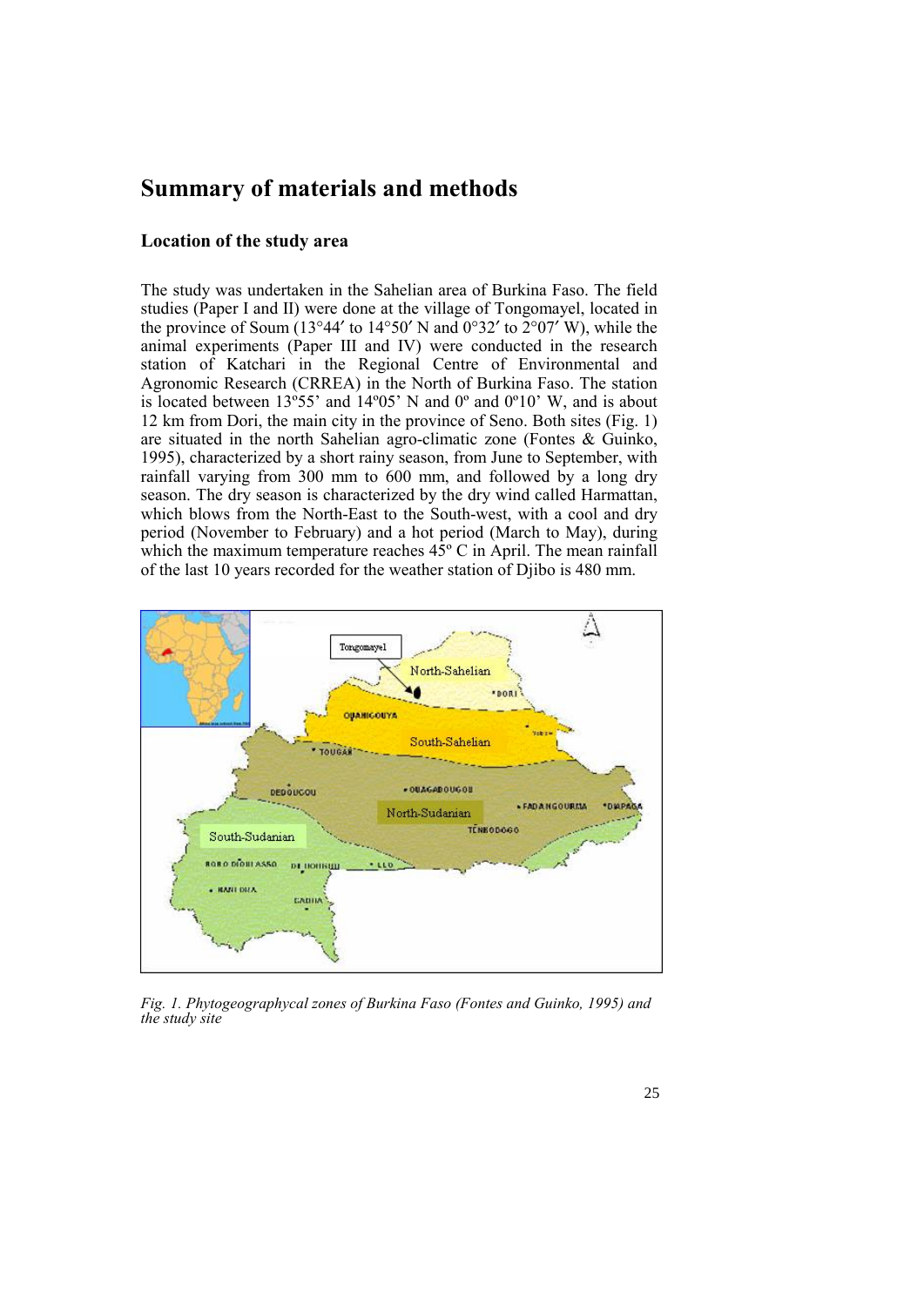## **Summary of materials and methods**

#### **Location of the study area**

The study was undertaken in the Sahelian area of Burkina Faso. The field studies (Paper I and II) were done at the village of Tongomayel, located in the province of Soum (13°44' to 14°50' N and 0°32' to  $2^{\circ}$ 07' W), while the animal experiments (Paper III and IV) were conducted in the research station of Katchari in the Regional Centre of Environmental and Agronomic Research (CRREA) in the North of Burkina Faso. The station is located between  $13^{\circ}55'$  and  $14^{\circ}05'$  N and  $0^{\circ}$  and  $0^{\circ}10'$  W, and is about 12 km from Dori, the main city in the province of Seno. Both sites (Fig. 1) are situated in the north Sahelian agro-climatic zone (Fontes & Guinko, 1995), characterized by a short rainy season, from June to September, with rainfall varying from 300 mm to 600 mm, and followed by a long dry season. The dry season is characterized by the dry wind called Harmattan, which blows from the North-East to the South-west, with a cool and dry period (November to February) and a hot period (March to May), during which the maximum temperature reaches  $45^{\circ}$  C in April. The mean rainfall of the last 10 years recorded for the weather station of Djibo is 480 mm.



*Fig. 1. Phytogeographycal zones of Burkina Faso (Fontes and Guinko, 1995) and the study site*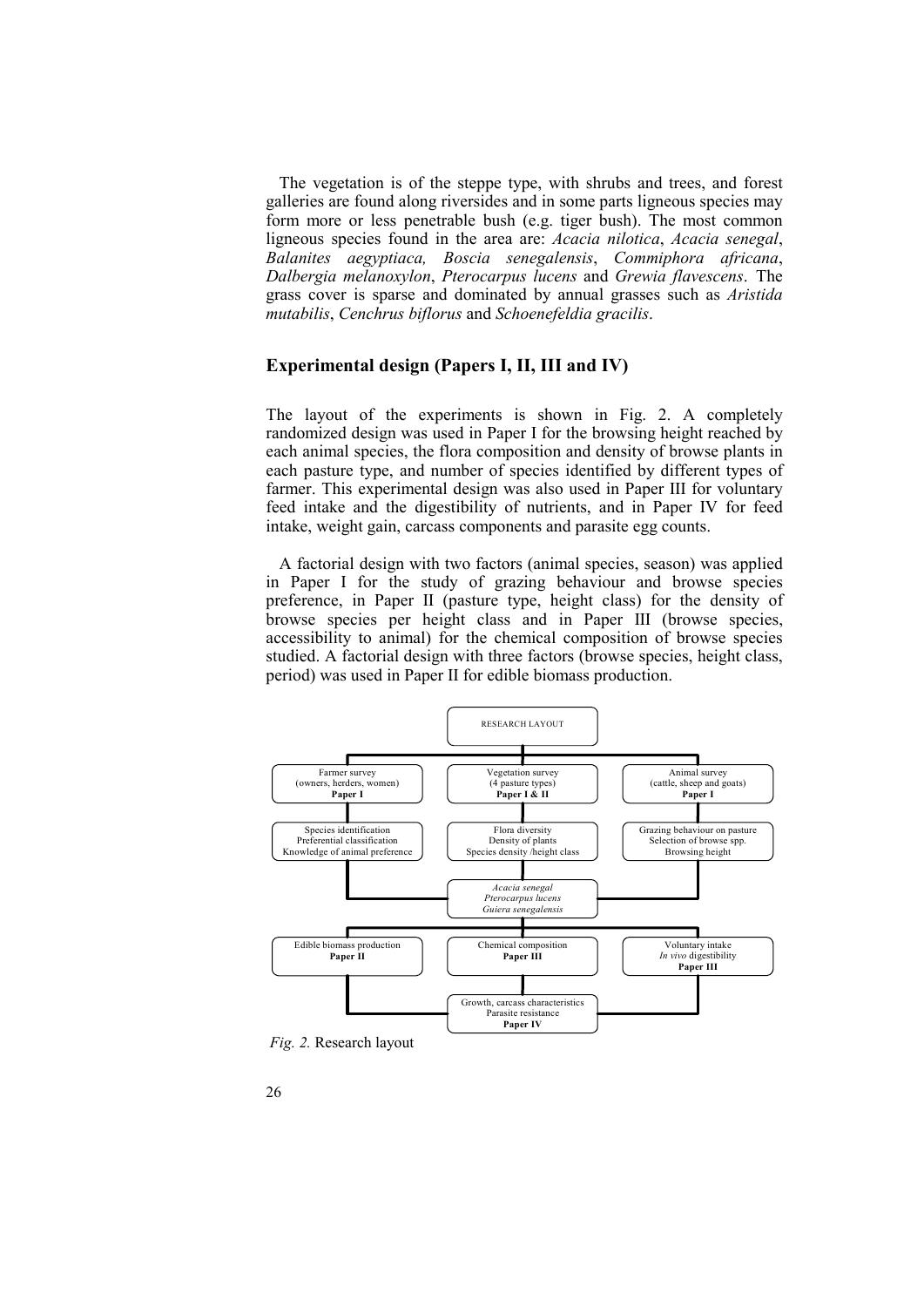The vegetation is of the steppe type, with shrubs and trees, and forest galleries are found along riversides and in some parts ligneous species may form more or less penetrable bush (e.g. tiger bush). The most common ligneous species found in the area are: *Acacia nilotica*, *Acacia senegal*, *Balanites aegyptiaca, Boscia senegalensis*, *Commiphora africana*, *Dalbergia melanoxylon*, *Pterocarpus lucens* and *Grewia flavescens*. The grass cover is sparse and dominated by annual grasses such as *Aristida mutabilis*, *Cenchrus biflorus* and *Schoenefeldia gracilis*.

#### **Experimental design (Papers I, II, III and IV)**

The layout of the experiments is shown in Fig. 2. A completely randomized design was used in Paper I for the browsing height reached by each animal species, the flora composition and density of browse plants in each pasture type, and number of species identified by different types of farmer. This experimental design was also used in Paper III for voluntary feed intake and the digestibility of nutrients, and in Paper IV for feed intake, weight gain, carcass components and parasite egg counts.

A factorial design with two factors (animal species, season) was applied in Paper I for the study of grazing behaviour and browse species preference, in Paper II (pasture type, height class) for the density of browse species per height class and in Paper III (browse species, accessibility to animal) for the chemical composition of browse species studied. A factorial design with three factors (browse species, height class, period) was used in Paper II for edible biomass production.



*Fig. 2.* Research layout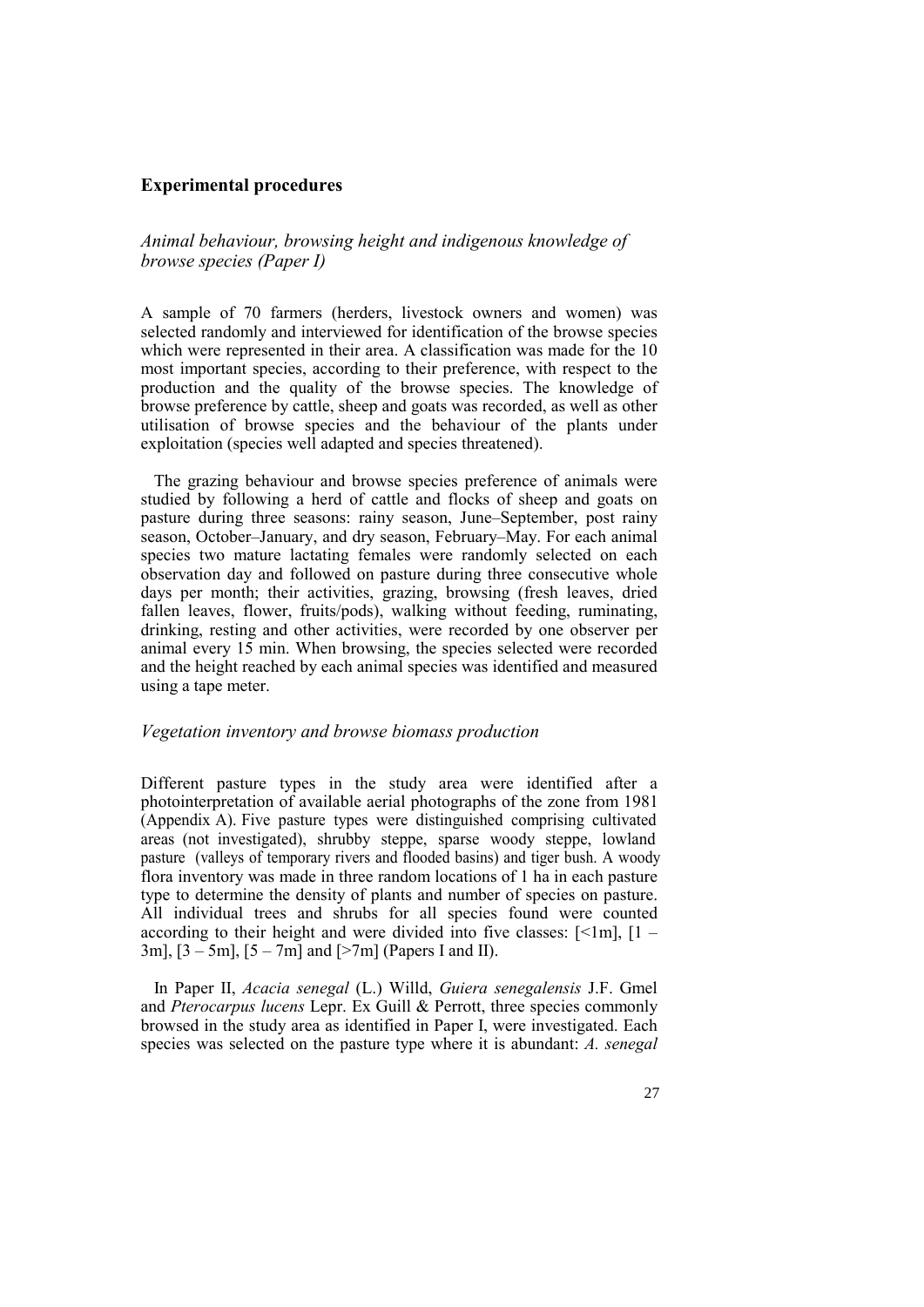#### **Experimental procedures**

*Animal behaviour, browsing height and indigenous knowledge of browse species (Paper I)* 

A sample of 70 farmers (herders, livestock owners and women) was selected randomly and interviewed for identification of the browse species which were represented in their area. A classification was made for the 10 most important species, according to their preference, with respect to the production and the quality of the browse species. The knowledge of browse preference by cattle, sheep and goats was recorded, as well as other utilisation of browse species and the behaviour of the plants under exploitation (species well adapted and species threatened).

The grazing behaviour and browse species preference of animals were studied by following a herd of cattle and flocks of sheep and goats on pasture during three seasons: rainy season, June–September, post rainy season, October–January, and dry season, February–May. For each animal species two mature lactating females were randomly selected on each observation day and followed on pasture during three consecutive whole days per month; their activities, grazing, browsing (fresh leaves, dried fallen leaves, flower, fruits/pods), walking without feeding, ruminating, drinking, resting and other activities, were recorded by one observer per animal every 15 min. When browsing, the species selected were recorded and the height reached by each animal species was identified and measured using a tape meter.

#### *Vegetation inventory and browse biomass production*

Different pasture types in the study area were identified after a photointerpretation of available aerial photographs of the zone from 1981 (Appendix A). Five pasture types were distinguished comprising cultivated areas (not investigated), shrubby steppe, sparse woody steppe, lowland pasture (valleys of temporary rivers and flooded basins) and tiger bush. A woody flora inventory was made in three random locations of 1 ha in each pasture type to determine the density of plants and number of species on pasture. All individual trees and shrubs for all species found were counted according to their height and were divided into five classes:  $\lceil \leq 1m \rceil$ ,  $\lceil 1 - \rceil$ 3m],  $[3 - 5m]$ ,  $[5 - 7m]$  and  $[>7m]$  (Papers I and II).

In Paper II, *Acacia senegal* (L.) Willd, *Guiera senegalensis* J.F. Gmel and *Pterocarpus lucens* Lepr. Ex Guill & Perrott, three species commonly browsed in the study area as identified in Paper I, were investigated. Each species was selected on the pasture type where it is abundant: *A. senegal*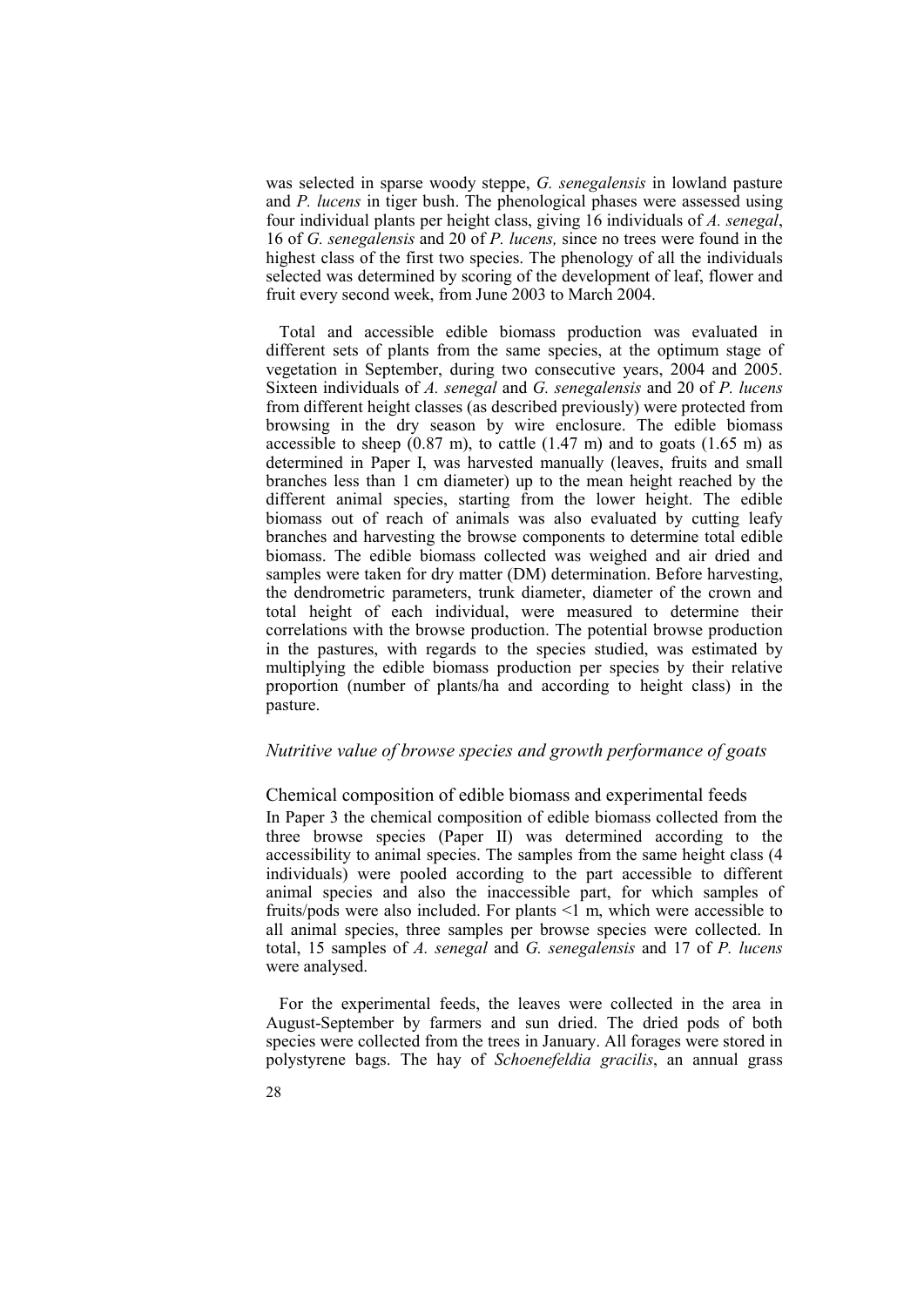was selected in sparse woody steppe, *G. senegalensis* in lowland pasture and *P. lucens* in tiger bush. The phenological phases were assessed using four individual plants per height class, giving 16 individuals of *A. senegal*, 16 of *G. senegalensis* and 20 of *P. lucens,* since no trees were found in the highest class of the first two species. The phenology of all the individuals selected was determined by scoring of the development of leaf, flower and fruit every second week, from June 2003 to March 2004.

Total and accessible edible biomass production was evaluated in different sets of plants from the same species, at the optimum stage of vegetation in September, during two consecutive years, 2004 and 2005. Sixteen individuals of *A. senegal* and *G. senegalensis* and 20 of *P. lucens* from different height classes (as described previously) were protected from browsing in the dry season by wire enclosure. The edible biomass accessible to sheep  $(0.87 \text{ m})$ , to cattle  $(1.47 \text{ m})$  and to goats  $(1.65 \text{ m})$  as determined in Paper I, was harvested manually (leaves, fruits and small branches less than 1 cm diameter) up to the mean height reached by the different animal species, starting from the lower height. The edible biomass out of reach of animals was also evaluated by cutting leafy branches and harvesting the browse components to determine total edible biomass. The edible biomass collected was weighed and air dried and samples were taken for dry matter (DM) determination. Before harvesting, the dendrometric parameters, trunk diameter, diameter of the crown and total height of each individual, were measured to determine their correlations with the browse production. The potential browse production in the pastures, with regards to the species studied, was estimated by multiplying the edible biomass production per species by their relative proportion (number of plants/ha and according to height class) in the pasture.

#### *Nutritive value of browse species and growth performance of goats*

Chemical composition of edible biomass and experimental feeds In Paper 3 the chemical composition of edible biomass collected from the three browse species (Paper II) was determined according to the accessibility to animal species. The samples from the same height class (4 individuals) were pooled according to the part accessible to different animal species and also the inaccessible part, for which samples of fruits/pods were also included. For plants  $\leq 1$  m, which were accessible to all animal species, three samples per browse species were collected. In total, 15 samples of *A. senegal* and *G. senegalensis* and 17 of *P. lucens* were analysed.

For the experimental feeds, the leaves were collected in the area in August-September by farmers and sun dried. The dried pods of both species were collected from the trees in January. All forages were stored in polystyrene bags. The hay of *Schoenefeldia gracilis*, an annual grass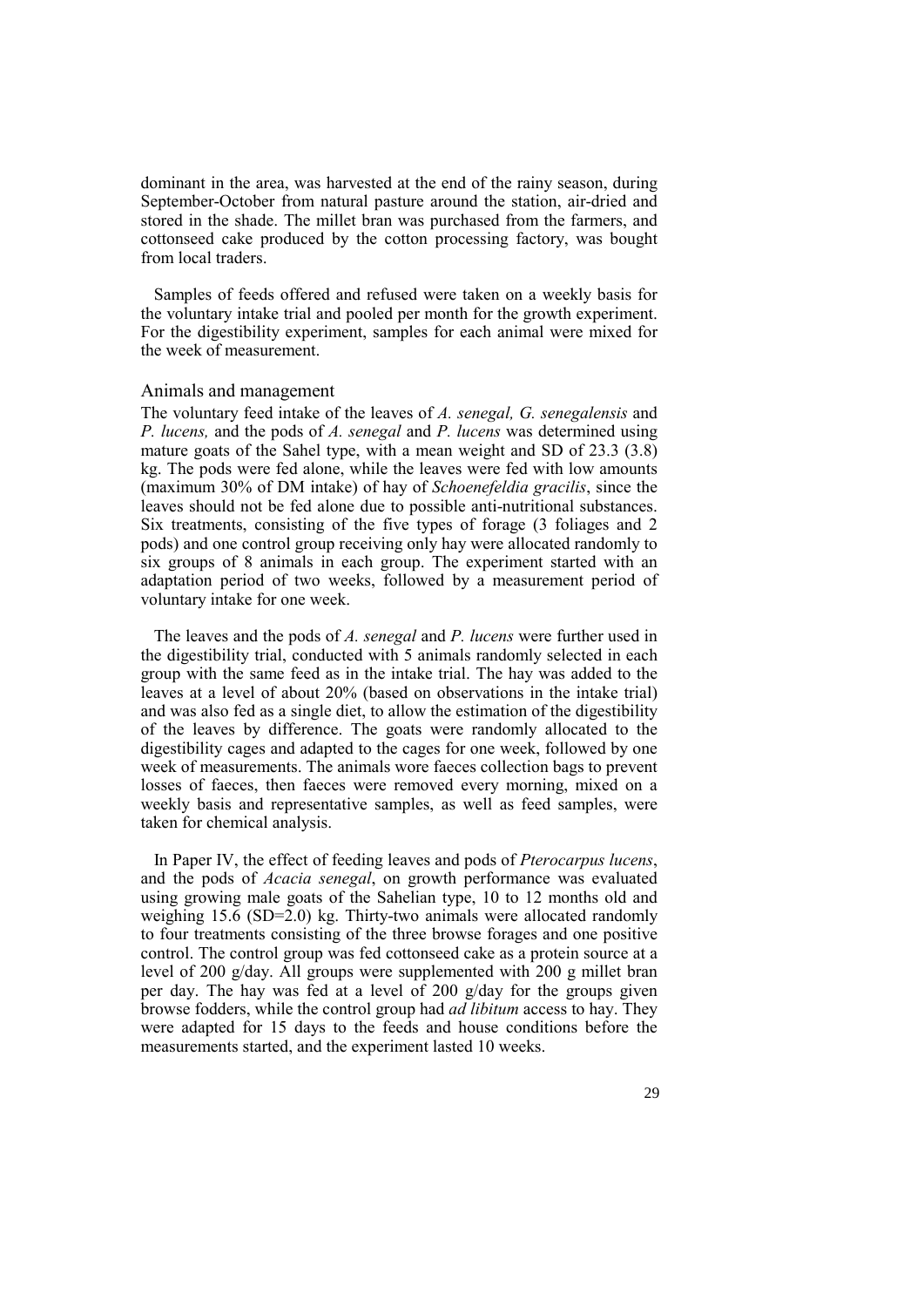dominant in the area, was harvested at the end of the rainy season, during September-October from natural pasture around the station, air-dried and stored in the shade. The millet bran was purchased from the farmers, and cottonseed cake produced by the cotton processing factory, was bought from local traders.

Samples of feeds offered and refused were taken on a weekly basis for the voluntary intake trial and pooled per month for the growth experiment. For the digestibility experiment, samples for each animal were mixed for the week of measurement.

#### Animals and management

The voluntary feed intake of the leaves of *A. senegal, G. senegalensis* and *P. lucens,* and the pods of *A. senegal* and *P. lucens* was determined using mature goats of the Sahel type, with a mean weight and SD of 23.3 (3.8) kg. The pods were fed alone, while the leaves were fed with low amounts (maximum 30% of DM intake) of hay of *Schoenefeldia gracilis*, since the leaves should not be fed alone due to possible anti-nutritional substances. Six treatments, consisting of the five types of forage (3 foliages and 2 pods) and one control group receiving only hay were allocated randomly to six groups of 8 animals in each group. The experiment started with an adaptation period of two weeks, followed by a measurement period of voluntary intake for one week.

The leaves and the pods of *A. senegal* and *P. lucens* were further used in the digestibility trial, conducted with 5 animals randomly selected in each group with the same feed as in the intake trial. The hay was added to the leaves at a level of about 20% (based on observations in the intake trial) and was also fed as a single diet, to allow the estimation of the digestibility of the leaves by difference. The goats were randomly allocated to the digestibility cages and adapted to the cages for one week, followed by one week of measurements. The animals wore faeces collection bags to prevent losses of faeces, then faeces were removed every morning, mixed on a weekly basis and representative samples, as well as feed samples, were taken for chemical analysis.

In Paper IV, the effect of feeding leaves and pods of *Pterocarpus lucens*, and the pods of *Acacia senegal*, on growth performance was evaluated using growing male goats of the Sahelian type, 10 to 12 months old and weighing 15.6 (SD=2.0) kg. Thirty-two animals were allocated randomly to four treatments consisting of the three browse forages and one positive control. The control group was fed cottonseed cake as a protein source at a level of 200 g/day. All groups were supplemented with 200 g millet bran per day. The hay was fed at a level of 200 g/day for the groups given browse fodders, while the control group had *ad libitum* access to hay. They were adapted for 15 days to the feeds and house conditions before the measurements started, and the experiment lasted 10 weeks.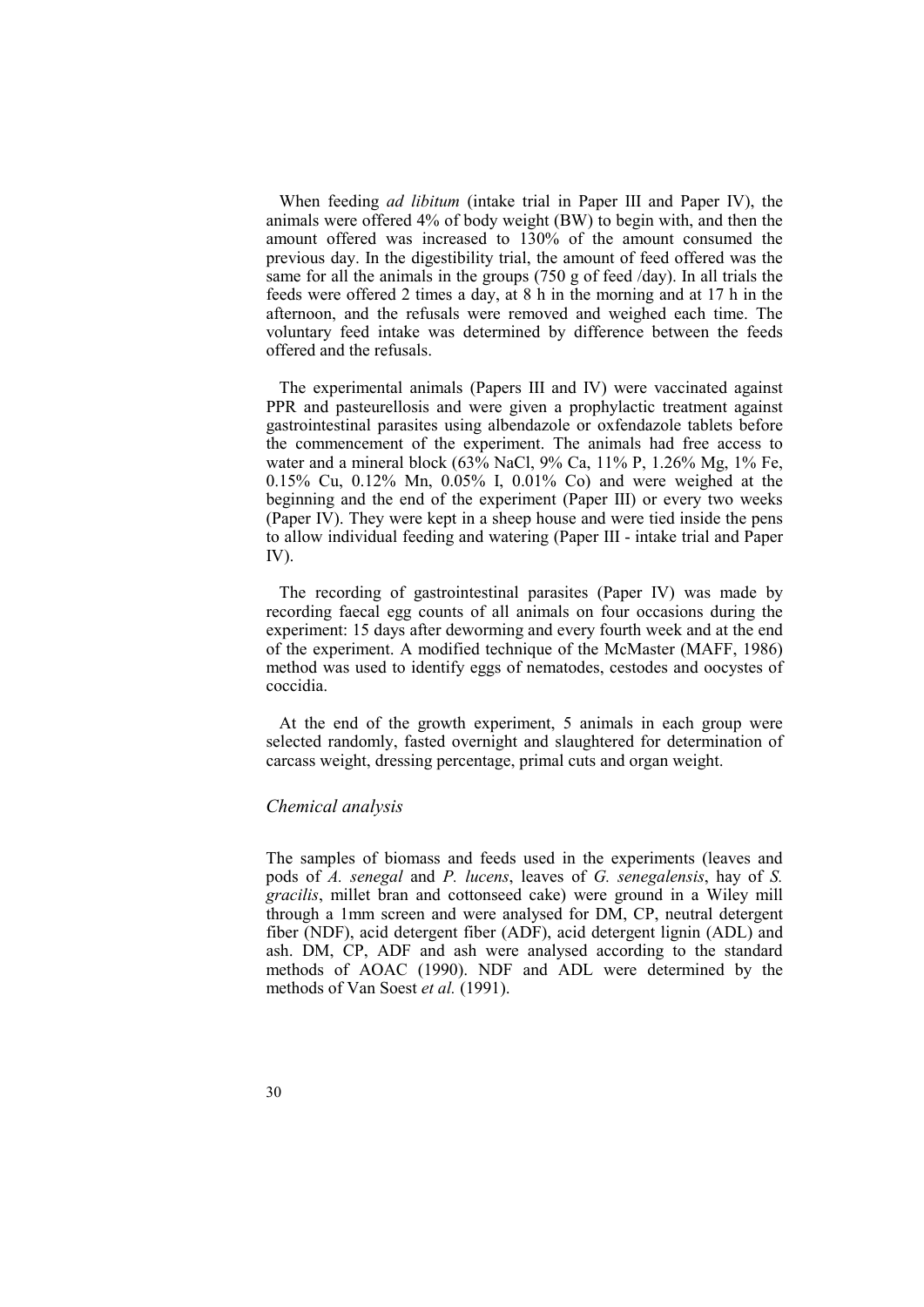When feeding *ad libitum* (intake trial in Paper III and Paper IV), the animals were offered 4% of body weight (BW) to begin with, and then the amount offered was increased to 130% of the amount consumed the previous day. In the digestibility trial, the amount of feed offered was the same for all the animals in the groups (750 g of feed /day). In all trials the feeds were offered 2 times a day, at 8 h in the morning and at 17 h in the afternoon, and the refusals were removed and weighed each time. The voluntary feed intake was determined by difference between the feeds offered and the refusals.

The experimental animals (Papers III and IV) were vaccinated against PPR and pasteurellosis and were given a prophylactic treatment against gastrointestinal parasites using albendazole or oxfendazole tablets before the commencement of the experiment. The animals had free access to water and a mineral block (63% NaCl, 9% Ca, 11% P, 1.26% Mg, 1% Fe, 0.15% Cu, 0.12% Mn, 0.05% I, 0.01% Co) and were weighed at the beginning and the end of the experiment (Paper III) or every two weeks (Paper IV). They were kept in a sheep house and were tied inside the pens to allow individual feeding and watering (Paper III - intake trial and Paper IV).

The recording of gastrointestinal parasites (Paper IV) was made by recording faecal egg counts of all animals on four occasions during the experiment: 15 days after deworming and every fourth week and at the end of the experiment. A modified technique of the McMaster (MAFF, 1986) method was used to identify eggs of nematodes, cestodes and oocystes of coccidia.

At the end of the growth experiment, 5 animals in each group were selected randomly, fasted overnight and slaughtered for determination of carcass weight, dressing percentage, primal cuts and organ weight.

#### *Chemical analysis*

The samples of biomass and feeds used in the experiments (leaves and pods of *A. senegal* and *P. lucens*, leaves of *G. senegalensis*, hay of *S. gracilis*, millet bran and cottonseed cake) were ground in a Wiley mill through a 1mm screen and were analysed for DM, CP, neutral detergent fiber (NDF), acid detergent fiber (ADF), acid detergent lignin (ADL) and ash. DM, CP, ADF and ash were analysed according to the standard methods of AOAC (1990). NDF and ADL were determined by the methods of Van Soest *et al.* (1991).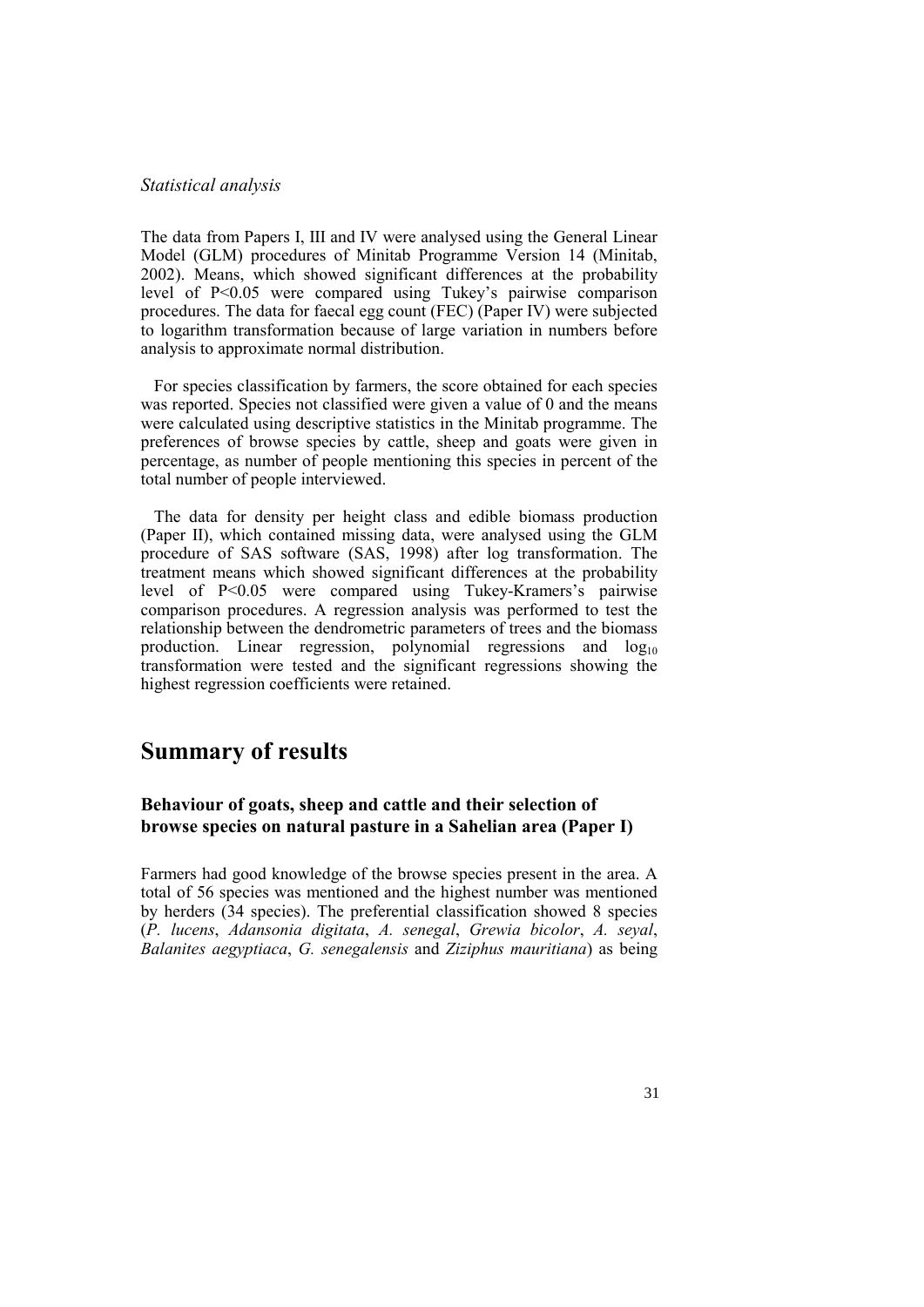#### *Statistical analysis*

The data from Papers I, III and IV were analysed using the General Linear Model (GLM) procedures of Minitab Programme Version 14 (Minitab, 2002). Means, which showed significant differences at the probability level of P<0.05 were compared using Tukey's pairwise comparison procedures. The data for faecal egg count (FEC) (Paper IV) were subjected to logarithm transformation because of large variation in numbers before analysis to approximate normal distribution.

For species classification by farmers, the score obtained for each species was reported. Species not classified were given a value of 0 and the means were calculated using descriptive statistics in the Minitab programme. The preferences of browse species by cattle, sheep and goats were given in percentage, as number of people mentioning this species in percent of the total number of people interviewed.

The data for density per height class and edible biomass production (Paper II), which contained missing data, were analysed using the GLM procedure of SAS software (SAS, 1998) after log transformation. The treatment means which showed significant differences at the probability level of P<0.05 were compared using Tukey-Kramers's pairwise comparison procedures. A regression analysis was performed to test the relationship between the dendrometric parameters of trees and the biomass production. Linear regression, polynomial regressions and  $log_{10}$ transformation were tested and the significant regressions showing the highest regression coefficients were retained.

## **Summary of results**

#### **Behaviour of goats, sheep and cattle and their selection of browse species on natural pasture in a Sahelian area (Paper I)**

Farmers had good knowledge of the browse species present in the area. A total of 56 species was mentioned and the highest number was mentioned by herders (34 species). The preferential classification showed 8 species (*P. lucens*, *Adansonia digitata*, *A. senegal*, *Grewia bicolor*, *A. seyal*, *Balanites aegyptiaca*, *G. senegalensis* and *Ziziphus mauritiana*) as being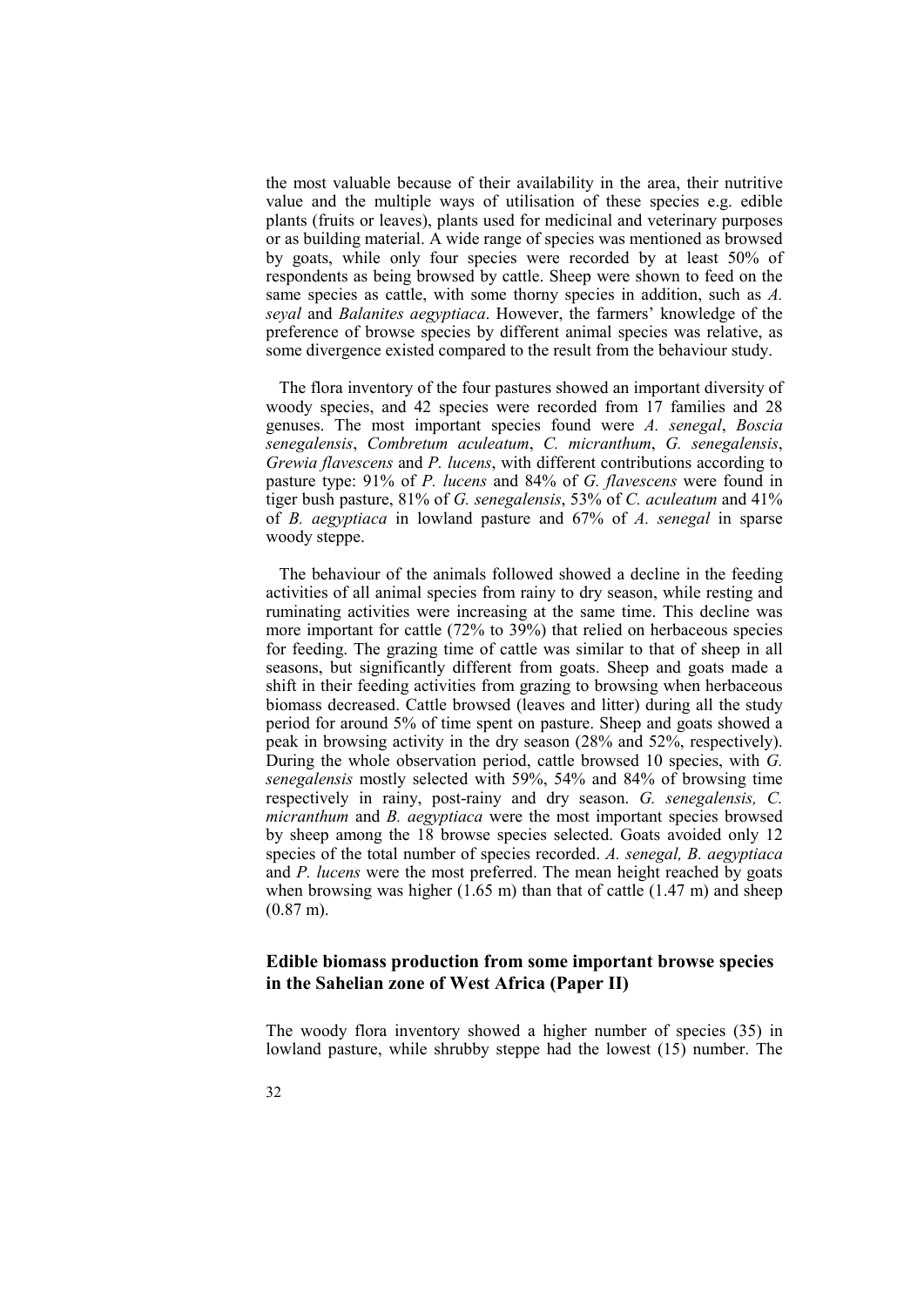the most valuable because of their availability in the area, their nutritive value and the multiple ways of utilisation of these species e.g. edible plants (fruits or leaves), plants used for medicinal and veterinary purposes or as building material. A wide range of species was mentioned as browsed by goats, while only four species were recorded by at least 50% of respondents as being browsed by cattle. Sheep were shown to feed on the same species as cattle, with some thorny species in addition, such as *A. seyal* and *Balanites aegyptiaca*. However, the farmers' knowledge of the preference of browse species by different animal species was relative, as some divergence existed compared to the result from the behaviour study.

The flora inventory of the four pastures showed an important diversity of woody species, and 42 species were recorded from 17 families and 28 genuses. The most important species found were *A. senegal*, *Boscia senegalensis*, *Combretum aculeatum*, *C. micranthum*, *G. senegalensis*, *Grewia flavescens* and *P. lucens*, with different contributions according to pasture type: 91% of *P. lucens* and 84% of *G. flavescens* were found in tiger bush pasture, 81% of *G. senegalensis*, 53% of *C. aculeatum* and 41% of *B. aegyptiaca* in lowland pasture and 67% of *A. senegal* in sparse woody steppe.

The behaviour of the animals followed showed a decline in the feeding activities of all animal species from rainy to dry season, while resting and ruminating activities were increasing at the same time. This decline was more important for cattle (72% to 39%) that relied on herbaceous species for feeding. The grazing time of cattle was similar to that of sheep in all seasons, but significantly different from goats. Sheep and goats made a shift in their feeding activities from grazing to browsing when herbaceous biomass decreased. Cattle browsed (leaves and litter) during all the study period for around 5% of time spent on pasture. Sheep and goats showed a peak in browsing activity in the dry season (28% and 52%, respectively). During the whole observation period, cattle browsed 10 species, with *G. senegalensis* mostly selected with 59%, 54% and 84% of browsing time respectively in rainy, post-rainy and dry season. *G. senegalensis, C. micranthum* and *B. aegyptiaca* were the most important species browsed by sheep among the 18 browse species selected. Goats avoided only 12 species of the total number of species recorded. *A. senegal, B. aegyptiaca* and *P. lucens* were the most preferred. The mean height reached by goats when browsing was higher  $(1.65 \text{ m})$  than that of cattle  $(1.47 \text{ m})$  and sheep (0.87 m).

#### **Edible biomass production from some important browse species in the Sahelian zone of West Africa (Paper II)**

The woody flora inventory showed a higher number of species (35) in lowland pasture, while shrubby steppe had the lowest (15) number. The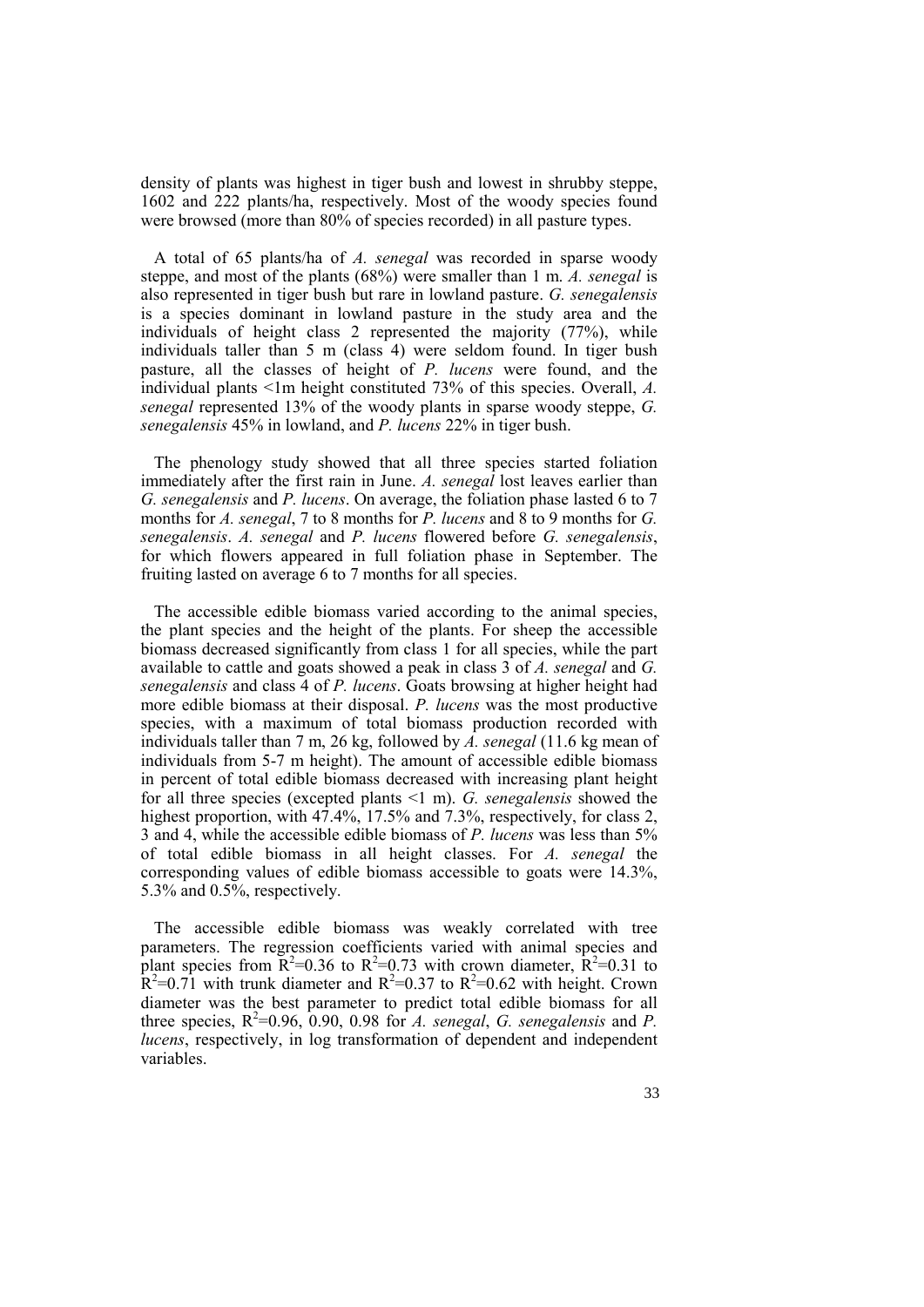density of plants was highest in tiger bush and lowest in shrubby steppe, 1602 and 222 plants/ha, respectively. Most of the woody species found were browsed (more than 80% of species recorded) in all pasture types.

A total of 65 plants/ha of *A. senegal* was recorded in sparse woody steppe, and most of the plants (68%) were smaller than 1 m. *A. senegal* is also represented in tiger bush but rare in lowland pasture. *G. senegalensis* is a species dominant in lowland pasture in the study area and the individuals of height class 2 represented the majority (77%), while individuals taller than 5 m (class 4) were seldom found. In tiger bush pasture, all the classes of height of *P. lucens* were found, and the individual plants <1m height constituted 73% of this species. Overall, *A. senegal* represented 13% of the woody plants in sparse woody steppe, *G. senegalensis* 45% in lowland, and *P. lucens* 22% in tiger bush.

The phenology study showed that all three species started foliation immediately after the first rain in June. *A. senegal* lost leaves earlier than *G. senegalensis* and *P. lucens*. On average, the foliation phase lasted 6 to 7 months for *A. senegal*, 7 to 8 months for *P. lucens* and 8 to 9 months for *G. senegalensis*. *A. senegal* and *P. lucens* flowered before *G. senegalensis*, for which flowers appeared in full foliation phase in September. The fruiting lasted on average 6 to 7 months for all species.

The accessible edible biomass varied according to the animal species, the plant species and the height of the plants. For sheep the accessible biomass decreased significantly from class 1 for all species, while the part available to cattle and goats showed a peak in class 3 of *A. senegal* and *G. senegalensis* and class 4 of *P. lucens*. Goats browsing at higher height had more edible biomass at their disposal. *P. lucens* was the most productive species, with a maximum of total biomass production recorded with individuals taller than 7 m, 26 kg, followed by *A. senegal* (11.6 kg mean of individuals from 5-7 m height). The amount of accessible edible biomass in percent of total edible biomass decreased with increasing plant height for all three species (excepted plants <1 m). *G. senegalensis* showed the highest proportion, with  $47.4\%$ , 17.5% and 7.3%, respectively, for class 2, 3 and 4, while the accessible edible biomass of *P. lucens* was less than 5% of total edible biomass in all height classes. For *A. senegal* the corresponding values of edible biomass accessible to goats were 14.3%, 5.3% and 0.5%, respectively.

The accessible edible biomass was weakly correlated with tree parameters. The regression coefficients varied with animal species and plant species from  $\overline{R}^2$ =0.36 to  $\overline{R}^2$ =0.73 with crown diameter,  $\overline{R}^2$ =0.31 to  $\hat{R}^2$ =0.71 with trunk diameter and  $R^2$ =0.37 to  $R^2$ =0.62 with height. Crown diameter was the best parameter to predict total edible biomass for all three species,  $R^2$ =0.96, 0.90, 0.98 for *A. senegal*, *G. senegalensis* and *P. lucens*, respectively, in log transformation of dependent and independent variables.

33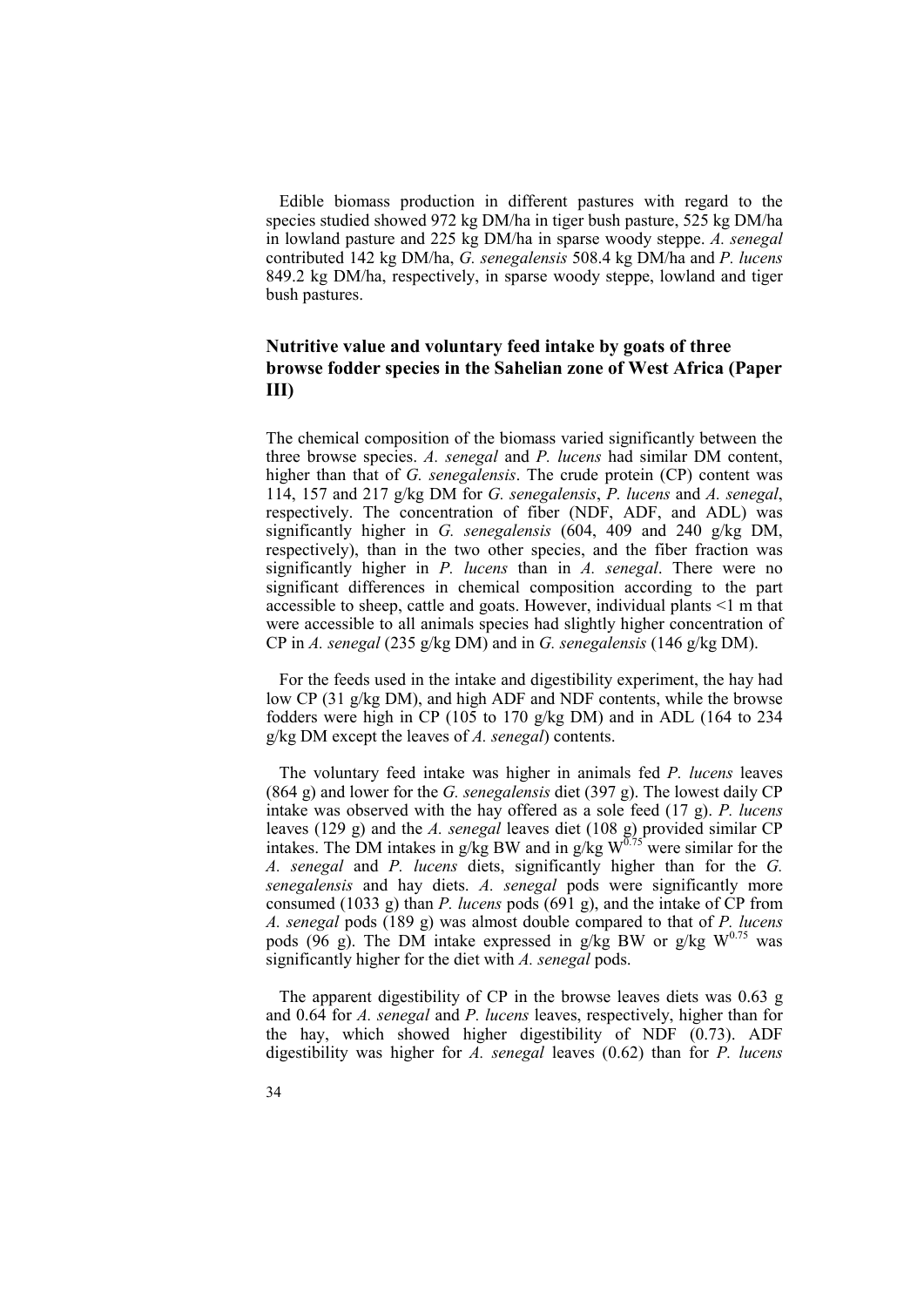Edible biomass production in different pastures with regard to the species studied showed 972 kg DM/ha in tiger bush pasture, 525 kg DM/ha in lowland pasture and 225 kg DM/ha in sparse woody steppe. *A. senegal* contributed 142 kg DM/ha, *G. senegalensis* 508.4 kg DM/ha and *P. lucens* 849.2 kg DM/ha, respectively, in sparse woody steppe, lowland and tiger bush pastures.

#### **Nutritive value and voluntary feed intake by goats of three browse fodder species in the Sahelian zone of West Africa (Paper III)**

The chemical composition of the biomass varied significantly between the three browse species. *A. senegal* and *P. lucens* had similar DM content, higher than that of *G. senegalensis*. The crude protein (CP) content was 114, 157 and 217 g/kg DM for *G. senegalensis*, *P. lucens* and *A. senegal*, respectively. The concentration of fiber (NDF, ADF, and ADL) was significantly higher in *G. senegalensis* (604, 409 and 240 g/kg DM, respectively), than in the two other species, and the fiber fraction was significantly higher in *P. lucens* than in *A. senegal*. There were no significant differences in chemical composition according to the part accessible to sheep, cattle and goats. However, individual plants <1 m that were accessible to all animals species had slightly higher concentration of CP in *A. senegal* (235 g/kg DM) and in *G. senegalensis* (146 g/kg DM).

For the feeds used in the intake and digestibility experiment, the hay had low CP (31 g/kg DM), and high ADF and NDF contents, while the browse fodders were high in CP (105 to 170 g/kg DM) and in ADL (164 to 234 g/kg DM except the leaves of *A. senegal*) contents.

The voluntary feed intake was higher in animals fed *P. lucens* leaves (864 g) and lower for the *G. senegalensis* diet (397 g). The lowest daily CP intake was observed with the hay offered as a sole feed (17 g). *P. lucens* leaves (129 g) and the *A. senegal* leaves diet (108 g) provided similar CP intakes. The DM intakes in g/kg BW and in g/kg  $W^{0.75}$  were similar for the *A. senegal* and *P. lucens* diets, significantly higher than for the *G. senegalensis* and hay diets. *A. senegal* pods were significantly more consumed (1033 g) than *P. lucens* pods (691 g), and the intake of CP from *A. senegal* pods (189 g) was almost double compared to that of *P. lucens* pods (96 g). The DM intake expressed in g/kg BW or g/kg  $W^{0.75}$  was significantly higher for the diet with *A. senegal* pods.

The apparent digestibility of CP in the browse leaves diets was 0.63 g and 0.64 for *A. senegal* and *P. lucens* leaves, respectively, higher than for the hay, which showed higher digestibility of NDF (0.73). ADF digestibility was higher for *A. senegal* leaves (0.62) than for *P. lucens*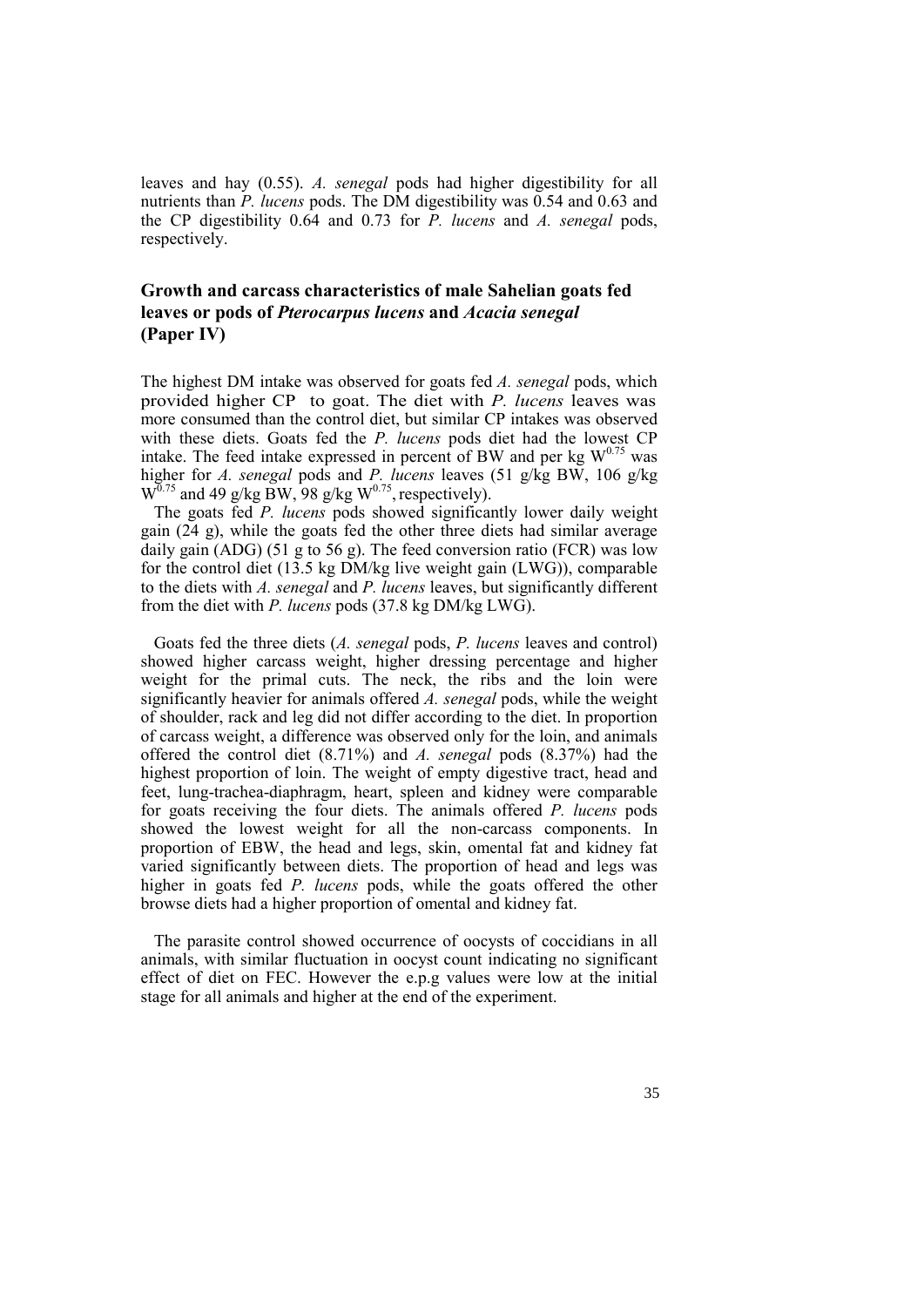leaves and hay (0.55). *A. senegal* pods had higher digestibility for all nutrients than *P. lucens* pods. The DM digestibility was 0.54 and 0.63 and the CP digestibility 0.64 and 0.73 for *P. lucens* and *A. senegal* pods, respectively.

## **Growth and carcass characteristics of male Sahelian goats fed leaves or pods of** *Pterocarpus lucens* **and** *Acacia senegal* **(Paper IV)**

The highest DM intake was observed for goats fed *A. senegal* pods, which provided higher CP to goat. The diet with *P. lucens* leaves was more consumed than the control diet, but similar CP intakes was observed with these diets. Goats fed the *P. lucens* pods diet had the lowest CP intake. The feed intake expressed in percent of BW and per kg  $W^{0.75}$  was higher for *A. senegal* pods and *P. lucens* leaves (51 g/kg BW, 106 g/kg  $W^{0.75}$  and 49 g/kg BW, 98 g/kg  $W^{0.75}$ , respectively).

The goats fed *P. lucens* pods showed significantly lower daily weight gain (24 g), while the goats fed the other three diets had similar average daily gain (ADG) (51 g to 56 g). The feed conversion ratio (FCR) was low for the control diet (13.5 kg DM/kg live weight gain (LWG)), comparable to the diets with *A. senegal* and *P. lucens* leaves, but significantly different from the diet with *P. lucens* pods (37.8 kg DM/kg LWG).

Goats fed the three diets (*A. senegal* pods, *P. lucens* leaves and control) showed higher carcass weight, higher dressing percentage and higher weight for the primal cuts. The neck, the ribs and the loin were significantly heavier for animals offered *A. senegal* pods, while the weight of shoulder, rack and leg did not differ according to the diet. In proportion of carcass weight, a difference was observed only for the loin, and animals offered the control diet (8.71%) and *A. senegal* pods (8.37%) had the highest proportion of loin. The weight of empty digestive tract, head and feet, lung-trachea-diaphragm, heart, spleen and kidney were comparable for goats receiving the four diets. The animals offered *P. lucens* pods showed the lowest weight for all the non-carcass components. In proportion of EBW, the head and legs, skin, omental fat and kidney fat varied significantly between diets. The proportion of head and legs was higher in goats fed *P. lucens* pods, while the goats offered the other browse diets had a higher proportion of omental and kidney fat.

The parasite control showed occurrence of oocysts of coccidians in all animals, with similar fluctuation in oocyst count indicating no significant effect of diet on FEC. However the e.p.g values were low at the initial stage for all animals and higher at the end of the experiment.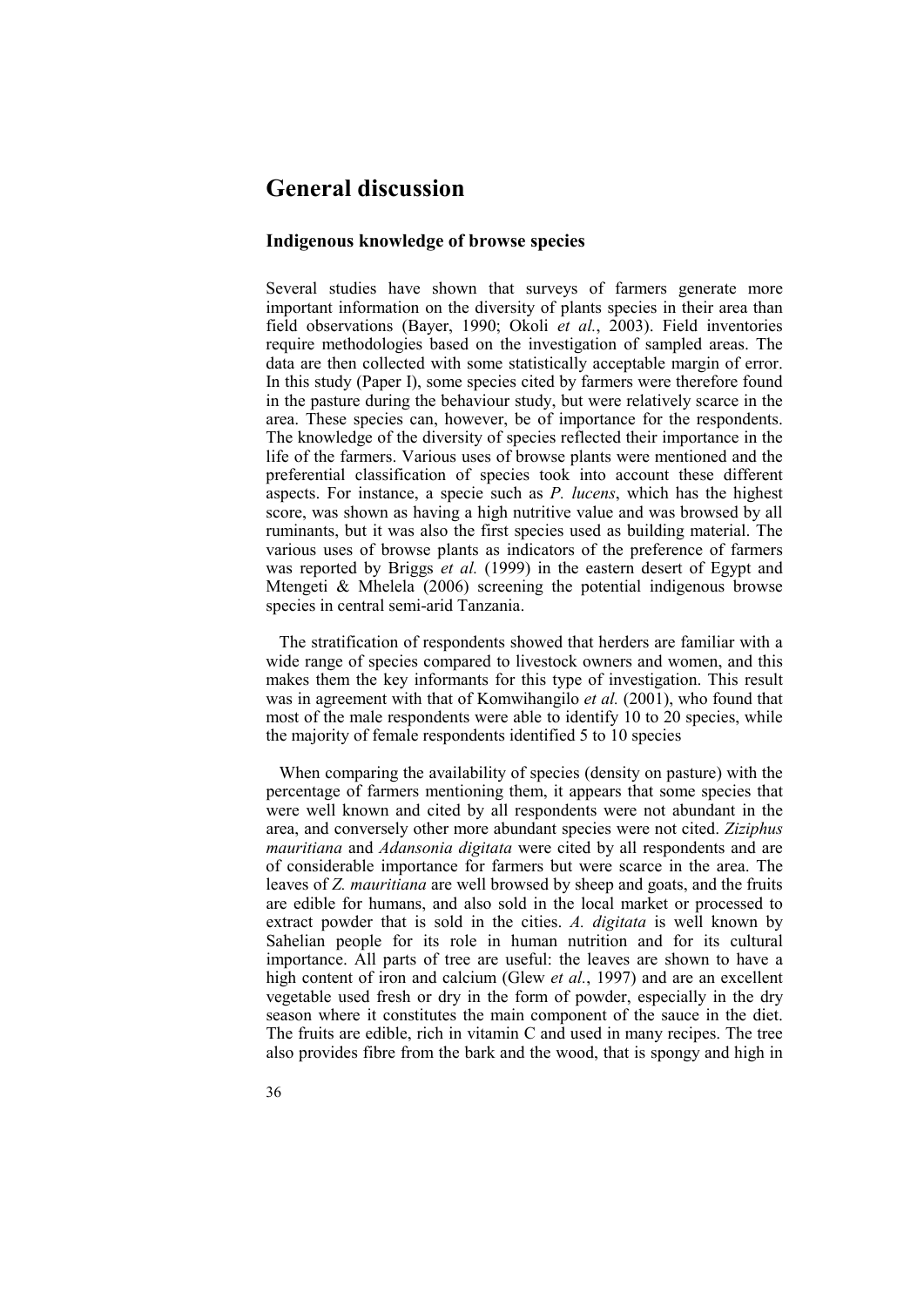# **General discussion**

## **Indigenous knowledge of browse species**

Several studies have shown that surveys of farmers generate more important information on the diversity of plants species in their area than field observations (Bayer, 1990; Okoli *et al.*, 2003). Field inventories require methodologies based on the investigation of sampled areas. The data are then collected with some statistically acceptable margin of error. In this study (Paper I), some species cited by farmers were therefore found in the pasture during the behaviour study, but were relatively scarce in the area. These species can, however, be of importance for the respondents. The knowledge of the diversity of species reflected their importance in the life of the farmers. Various uses of browse plants were mentioned and the preferential classification of species took into account these different aspects. For instance, a specie such as *P. lucens*, which has the highest score, was shown as having a high nutritive value and was browsed by all ruminants, but it was also the first species used as building material. The various uses of browse plants as indicators of the preference of farmers was reported by Briggs *et al.* (1999) in the eastern desert of Egypt and Mtengeti & Mhelela (2006) screening the potential indigenous browse species in central semi-arid Tanzania.

The stratification of respondents showed that herders are familiar with a wide range of species compared to livestock owners and women, and this makes them the key informants for this type of investigation. This result was in agreement with that of Komwihangilo *et al.* (2001), who found that most of the male respondents were able to identify 10 to 20 species, while the majority of female respondents identified 5 to 10 species

When comparing the availability of species (density on pasture) with the percentage of farmers mentioning them, it appears that some species that were well known and cited by all respondents were not abundant in the area, and conversely other more abundant species were not cited. *Ziziphus mauritiana* and *Adansonia digitata* were cited by all respondents and are of considerable importance for farmers but were scarce in the area. The leaves of *Z. mauritiana* are well browsed by sheep and goats, and the fruits are edible for humans, and also sold in the local market or processed to extract powder that is sold in the cities. *A. digitata* is well known by Sahelian people for its role in human nutrition and for its cultural importance. All parts of tree are useful: the leaves are shown to have a high content of iron and calcium (Glew *et al.*, 1997) and are an excellent vegetable used fresh or dry in the form of powder, especially in the dry season where it constitutes the main component of the sauce in the diet. The fruits are edible, rich in vitamin C and used in many recipes. The tree also provides fibre from the bark and the wood, that is spongy and high in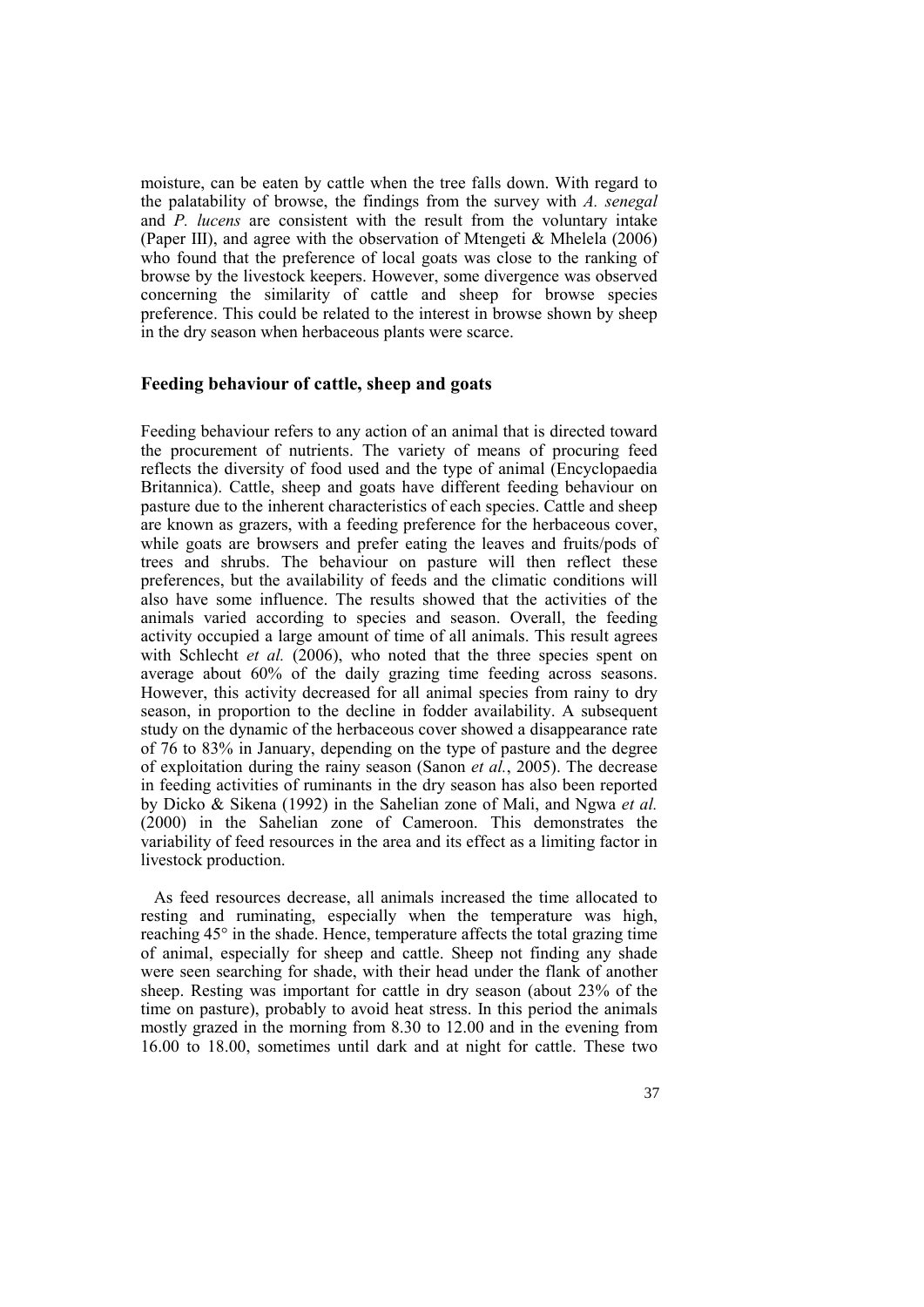moisture, can be eaten by cattle when the tree falls down. With regard to the palatability of browse, the findings from the survey with *A. senegal*  and *P. lucens* are consistent with the result from the voluntary intake (Paper III), and agree with the observation of Mtengeti & Mhelela (2006) who found that the preference of local goats was close to the ranking of browse by the livestock keepers. However, some divergence was observed concerning the similarity of cattle and sheep for browse species preference. This could be related to the interest in browse shown by sheep in the dry season when herbaceous plants were scarce.

### **Feeding behaviour of cattle, sheep and goats**

Feeding behaviour refers to any action of an animal that is directed toward the procurement of nutrients. The variety of means of procuring feed reflects the diversity of food used and the type of animal (Encyclopaedia Britannica). Cattle, sheep and goats have different feeding behaviour on pasture due to the inherent characteristics of each species. Cattle and sheep are known as grazers, with a feeding preference for the herbaceous cover, while goats are browsers and prefer eating the leaves and fruits/pods of trees and shrubs. The behaviour on pasture will then reflect these preferences, but the availability of feeds and the climatic conditions will also have some influence. The results showed that the activities of the animals varied according to species and season. Overall, the feeding activity occupied a large amount of time of all animals. This result agrees with Schlecht *et al.* (2006), who noted that the three species spent on average about 60% of the daily grazing time feeding across seasons. However, this activity decreased for all animal species from rainy to dry season, in proportion to the decline in fodder availability. A subsequent study on the dynamic of the herbaceous cover showed a disappearance rate of 76 to 83% in January, depending on the type of pasture and the degree of exploitation during the rainy season (Sanon *et al.*, 2005). The decrease in feeding activities of ruminants in the dry season has also been reported by Dicko & Sikena (1992) in the Sahelian zone of Mali, and Ngwa *et al.* (2000) in the Sahelian zone of Cameroon. This demonstrates the variability of feed resources in the area and its effect as a limiting factor in livestock production.

As feed resources decrease, all animals increased the time allocated to resting and ruminating, especially when the temperature was high, reaching 45° in the shade. Hence, temperature affects the total grazing time of animal, especially for sheep and cattle. Sheep not finding any shade were seen searching for shade, with their head under the flank of another sheep. Resting was important for cattle in dry season (about 23% of the time on pasture), probably to avoid heat stress. In this period the animals mostly grazed in the morning from 8.30 to 12.00 and in the evening from 16.00 to 18.00, sometimes until dark and at night for cattle. These two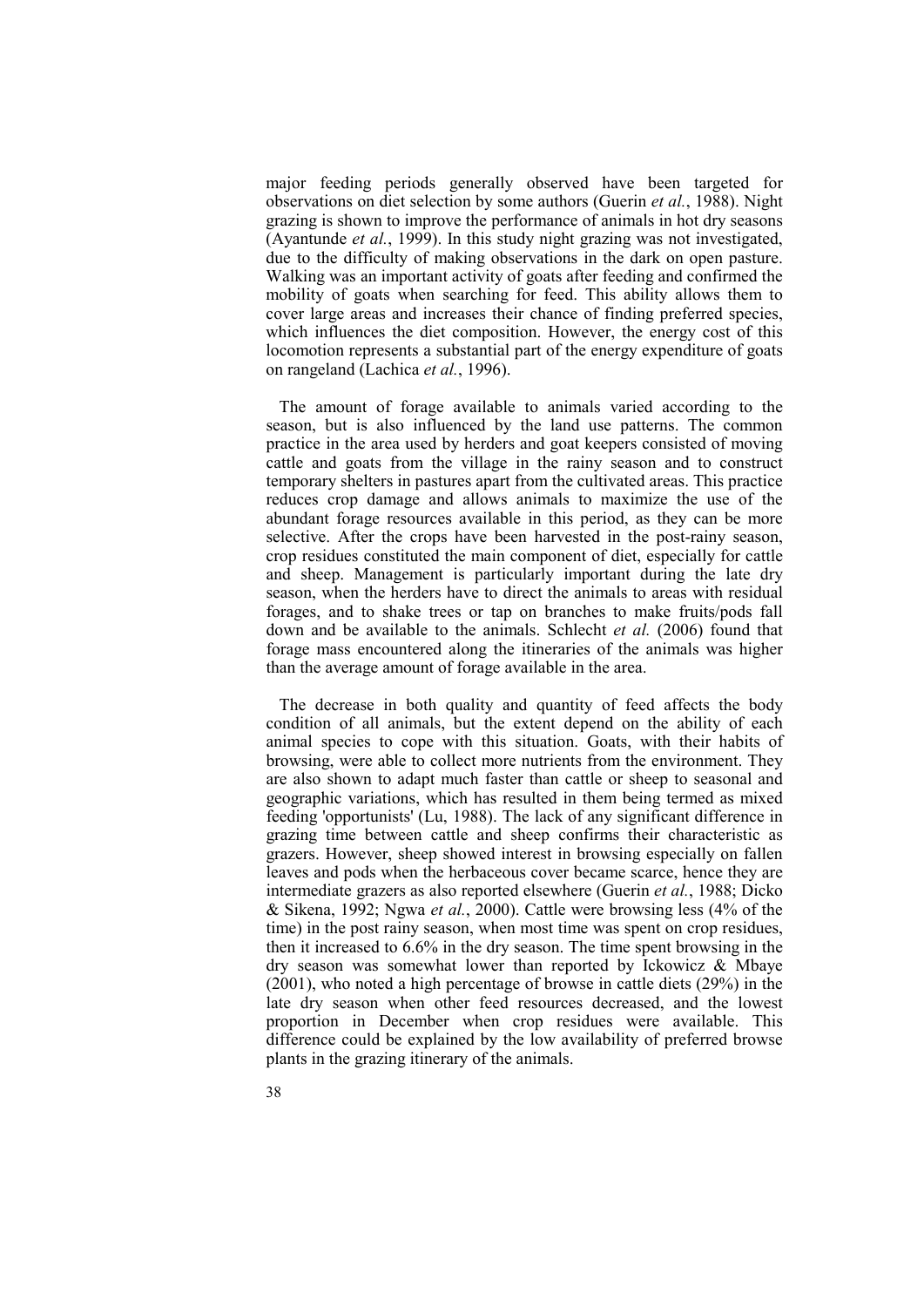major feeding periods generally observed have been targeted for observations on diet selection by some authors (Guerin *et al.*, 1988). Night grazing is shown to improve the performance of animals in hot dry seasons (Ayantunde *et al.*, 1999). In this study night grazing was not investigated, due to the difficulty of making observations in the dark on open pasture. Walking was an important activity of goats after feeding and confirmed the mobility of goats when searching for feed. This ability allows them to cover large areas and increases their chance of finding preferred species, which influences the diet composition. However, the energy cost of this locomotion represents a substantial part of the energy expenditure of goats on rangeland (Lachica *et al.*, 1996).

The amount of forage available to animals varied according to the season, but is also influenced by the land use patterns. The common practice in the area used by herders and goat keepers consisted of moving cattle and goats from the village in the rainy season and to construct temporary shelters in pastures apart from the cultivated areas. This practice reduces crop damage and allows animals to maximize the use of the abundant forage resources available in this period, as they can be more selective. After the crops have been harvested in the post-rainy season, crop residues constituted the main component of diet, especially for cattle and sheep. Management is particularly important during the late dry season, when the herders have to direct the animals to areas with residual forages, and to shake trees or tap on branches to make fruits/pods fall down and be available to the animals. Schlecht *et al.* (2006) found that forage mass encountered along the itineraries of the animals was higher than the average amount of forage available in the area.

The decrease in both quality and quantity of feed affects the body condition of all animals, but the extent depend on the ability of each animal species to cope with this situation. Goats, with their habits of browsing, were able to collect more nutrients from the environment. They are also shown to adapt much faster than cattle or sheep to seasonal and geographic variations, which has resulted in them being termed as mixed feeding 'opportunists' (Lu, 1988). The lack of any significant difference in grazing time between cattle and sheep confirms their characteristic as grazers. However, sheep showed interest in browsing especially on fallen leaves and pods when the herbaceous cover became scarce, hence they are intermediate grazers as also reported elsewhere (Guerin *et al.*, 1988; Dicko & Sikena, 1992; Ngwa *et al.*, 2000). Cattle were browsing less (4% of the time) in the post rainy season, when most time was spent on crop residues then it increased to 6.6% in the dry season. The time spent browsing in the dry season was somewhat lower than reported by Ickowicz & Mbaye (2001), who noted a high percentage of browse in cattle diets (29%) in the late dry season when other feed resources decreased, and the lowest proportion in December when crop residues were available. This difference could be explained by the low availability of preferred browse plants in the grazing itinerary of the animals.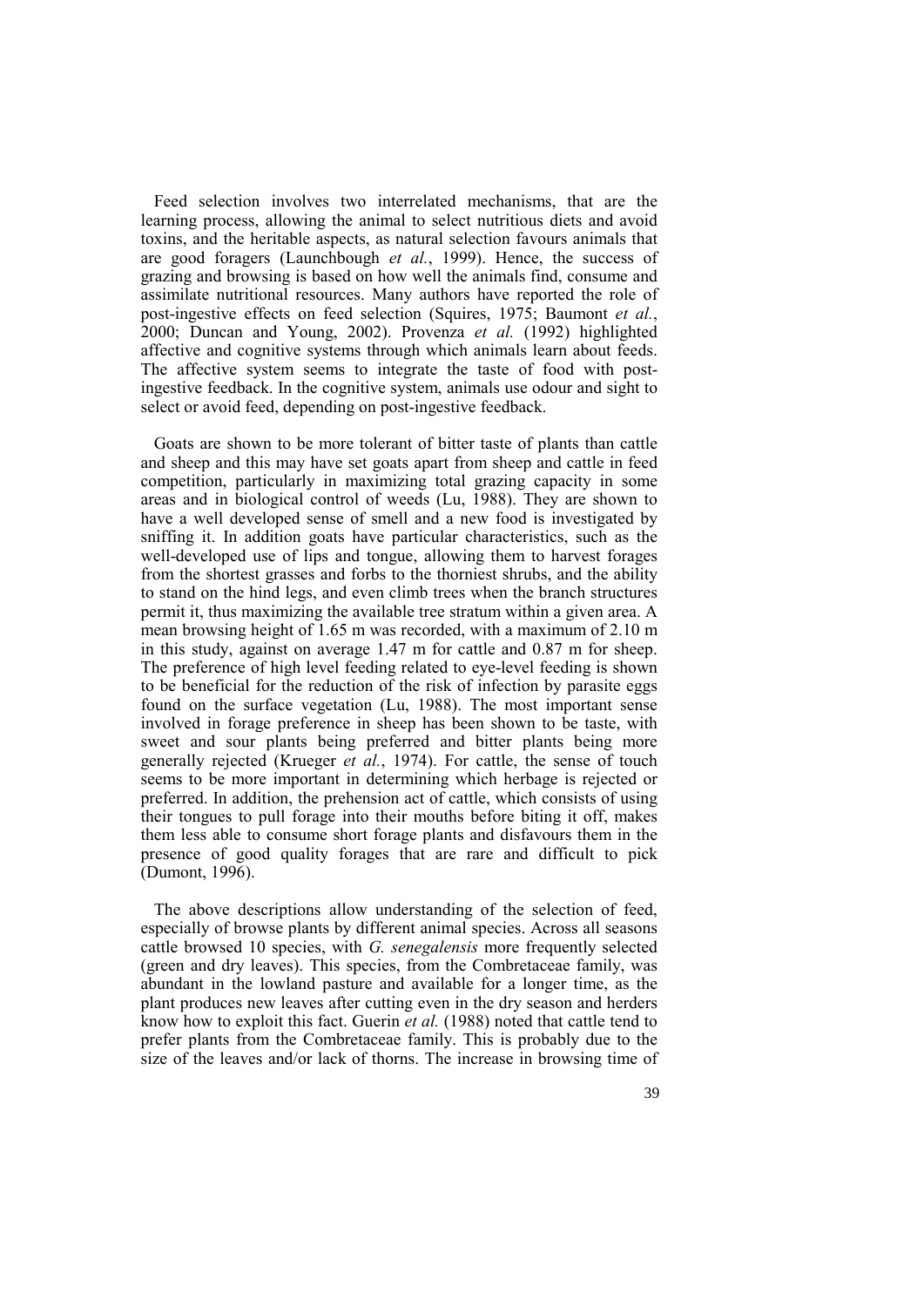Feed selection involves two interrelated mechanisms, that are the learning process, allowing the animal to select nutritious diets and avoid toxins, and the heritable aspects, as natural selection favours animals that are good foragers (Launchbough *et al.*, 1999). Hence, the success of grazing and browsing is based on how well the animals find, consume and assimilate nutritional resources. Many authors have reported the role of post-ingestive effects on feed selection (Squires, 1975; Baumont *et al.*, 2000; Duncan and Young, 2002). Provenza *et al.* (1992) highlighted affective and cognitive systems through which animals learn about feeds. The affective system seems to integrate the taste of food with postingestive feedback. In the cognitive system, animals use odour and sight to select or avoid feed, depending on post-ingestive feedback.

Goats are shown to be more tolerant of bitter taste of plants than cattle and sheep and this may have set goats apart from sheep and cattle in feed competition, particularly in maximizing total grazing capacity in some areas and in biological control of weeds (Lu, 1988). They are shown to have a well developed sense of smell and a new food is investigated by sniffing it. In addition goats have particular characteristics, such as the well-developed use of lips and tongue, allowing them to harvest forages from the shortest grasses and forbs to the thorniest shrubs, and the ability to stand on the hind legs, and even climb trees when the branch structures permit it, thus maximizing the available tree stratum within a given area. A mean browsing height of 1.65 m was recorded, with a maximum of 2.10 m in this study, against on average 1.47 m for cattle and 0.87 m for sheep. The preference of high level feeding related to eye-level feeding is shown to be beneficial for the reduction of the risk of infection by parasite eggs found on the surface vegetation (Lu, 1988). The most important sense involved in forage preference in sheep has been shown to be taste, with sweet and sour plants being preferred and bitter plants being more generally rejected (Krueger *et al.*, 1974). For cattle, the sense of touch seems to be more important in determining which herbage is rejected or preferred. In addition, the prehension act of cattle, which consists of using their tongues to pull forage into their mouths before biting it off, makes them less able to consume short forage plants and disfavours them in the presence of good quality forages that are rare and difficult to pick (Dumont, 1996).

The above descriptions allow understanding of the selection of feed, especially of browse plants by different animal species. Across all seasons cattle browsed 10 species, with *G. senegalensis* more frequently selected (green and dry leaves). This species, from the Combretaceae family, was abundant in the lowland pasture and available for a longer time, as the plant produces new leaves after cutting even in the dry season and herders know how to exploit this fact. Guerin *et al.* (1988) noted that cattle tend to prefer plants from the Combretaceae family. This is probably due to the size of the leaves and/or lack of thorns. The increase in browsing time of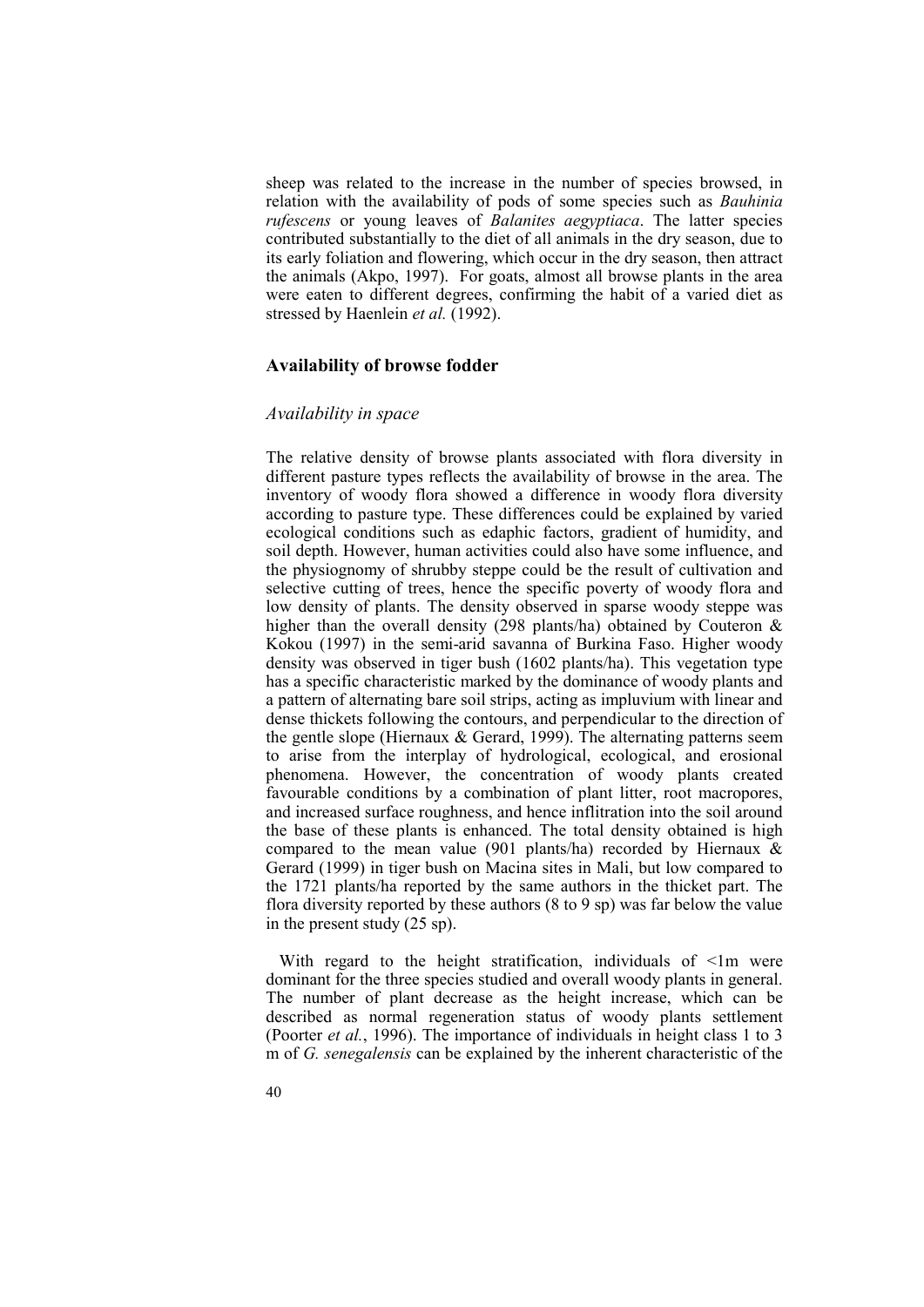sheep was related to the increase in the number of species browsed, in relation with the availability of pods of some species such as *Bauhinia rufescens* or young leaves of *Balanites aegyptiaca*. The latter species contributed substantially to the diet of all animals in the dry season, due to its early foliation and flowering, which occur in the dry season, then attract the animals (Akpo, 1997). For goats, almost all browse plants in the area were eaten to different degrees, confirming the habit of a varied diet as stressed by Haenlein *et al.* (1992).

#### **Availability of browse fodder**

### *Availability in space*

The relative density of browse plants associated with flora diversity in different pasture types reflects the availability of browse in the area. The inventory of woody flora showed a difference in woody flora diversity according to pasture type. These differences could be explained by varied ecological conditions such as edaphic factors, gradient of humidity, and soil depth. However, human activities could also have some influence, and the physiognomy of shrubby steppe could be the result of cultivation and selective cutting of trees, hence the specific poverty of woody flora and low density of plants. The density observed in sparse woody steppe was higher than the overall density (298 plants/ha) obtained by Couteron & Kokou (1997) in the semi-arid savanna of Burkina Faso. Higher woody density was observed in tiger bush (1602 plants/ha). This vegetation type has a specific characteristic marked by the dominance of woody plants and a pattern of alternating bare soil strips, acting as impluvium with linear and dense thickets following the contours, and perpendicular to the direction of the gentle slope (Hiernaux & Gerard, 1999). The alternating patterns seem to arise from the interplay of hydrological, ecological, and erosional phenomena. However, the concentration of woody plants created favourable conditions by a combination of plant litter, root macropores, and increased surface roughness, and hence inflitration into the soil around the base of these plants is enhanced. The total density obtained is high compared to the mean value (901 plants/ha) recorded by Hiernaux & Gerard (1999) in tiger bush on Macina sites in Mali, but low compared to the 1721 plants/ha reported by the same authors in the thicket part. The flora diversity reported by these authors (8 to 9 sp) was far below the value in the present study (25 sp).

With regard to the height stratification, individuals of  $\leq 1$ m were dominant for the three species studied and overall woody plants in general. The number of plant decrease as the height increase, which can be described as normal regeneration status of woody plants settlement (Poorter *et al.*, 1996). The importance of individuals in height class 1 to 3 m of *G. senegalensis* can be explained by the inherent characteristic of the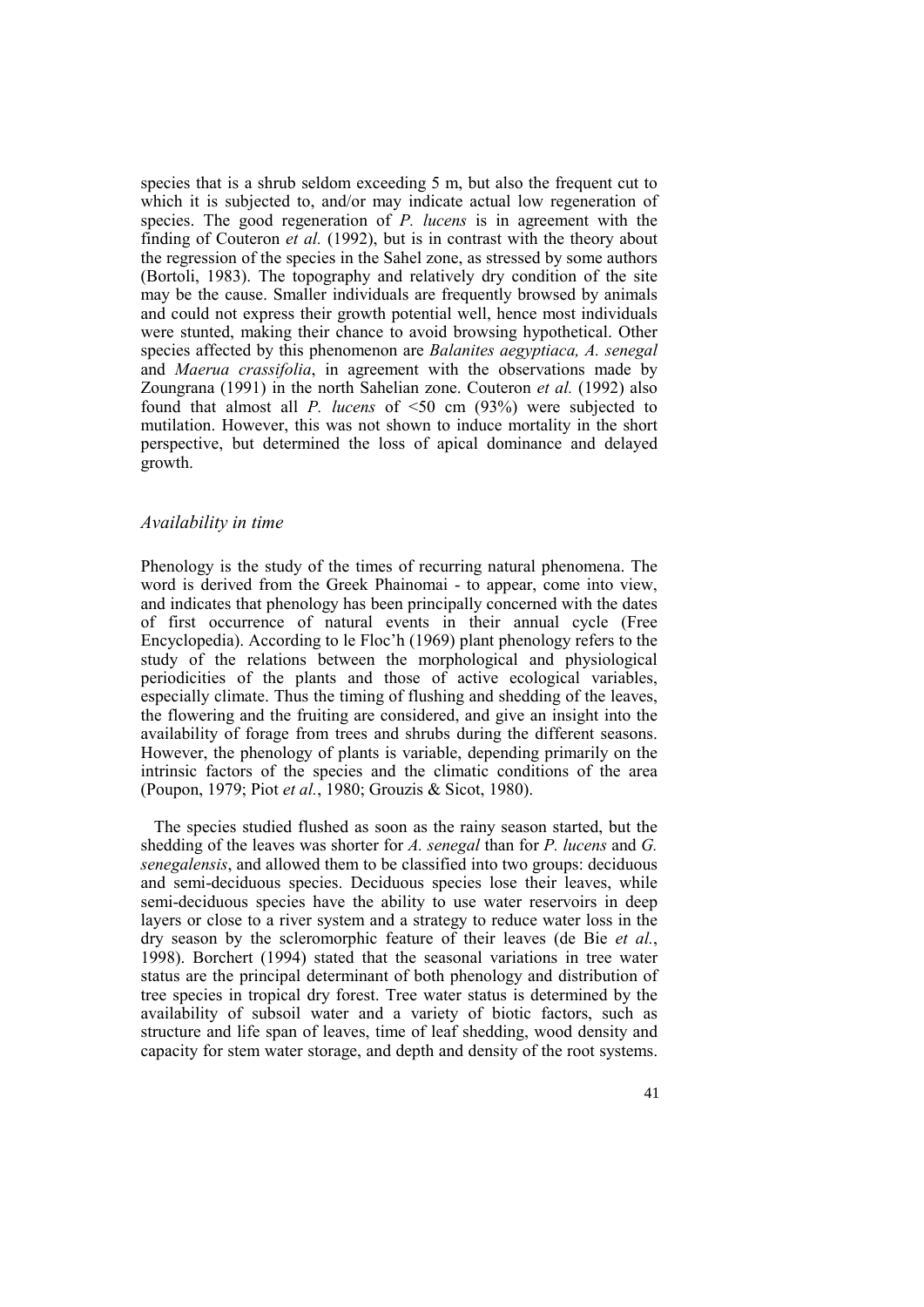species that is a shrub seldom exceeding 5 m, but also the frequent cut to which it is subjected to, and/or may indicate actual low regeneration of species. The good regeneration of *P. lucens* is in agreement with the finding of Couteron *et al.* (1992), but is in contrast with the theory about the regression of the species in the Sahel zone, as stressed by some authors (Bortoli, 1983). The topography and relatively dry condition of the site may be the cause. Smaller individuals are frequently browsed by animals and could not express their growth potential well, hence most individuals were stunted, making their chance to avoid browsing hypothetical. Other species affected by this phenomenon are *Balanites aegyptiaca, A. senegal* and *Maerua crassifolia*, in agreement with the observations made by Zoungrana (1991) in the north Sahelian zone. Couteron *et al.* (1992) also found that almost all *P. lucens* of <50 cm (93%) were subjected to mutilation. However, this was not shown to induce mortality in the short perspective, but determined the loss of apical dominance and delayed growth.

#### *Availability in time*

Phenology is the study of the times of recurring natural phenomena. The word is derived from the Greek Phainomai - to appear, come into view, and indicates that phenology has been principally concerned with the dates of first occurrence of natural events in their annual cycle (Free Encyclopedia). According to le Floc'h (1969) plant phenology refers to the study of the relations between the morphological and physiological periodicities of the plants and those of active ecological variables, especially climate. Thus the timing of flushing and shedding of the leaves, the flowering and the fruiting are considered, and give an insight into the availability of forage from trees and shrubs during the different seasons. However, the phenology of plants is variable, depending primarily on the intrinsic factors of the species and the climatic conditions of the area (Poupon, 1979; Piot *et al.*, 1980; Grouzis & Sicot, 1980).

The species studied flushed as soon as the rainy season started, but the shedding of the leaves was shorter for *A. senegal* than for *P. lucens* and *G. senegalensis*, and allowed them to be classified into two groups: deciduous and semi-deciduous species. Deciduous species lose their leaves, while semi-deciduous species have the ability to use water reservoirs in deep layers or close to a river system and a strategy to reduce water loss in the dry season by the scleromorphic feature of their leaves (de Bie *et al.*, 1998). Borchert (1994) stated that the seasonal variations in tree water status are the principal determinant of both phenology and distribution of tree species in tropical dry forest. Tree water status is determined by the availability of subsoil water and a variety of biotic factors, such as structure and life span of leaves, time of leaf shedding, wood density and capacity for stem water storage, and depth and density of the root systems.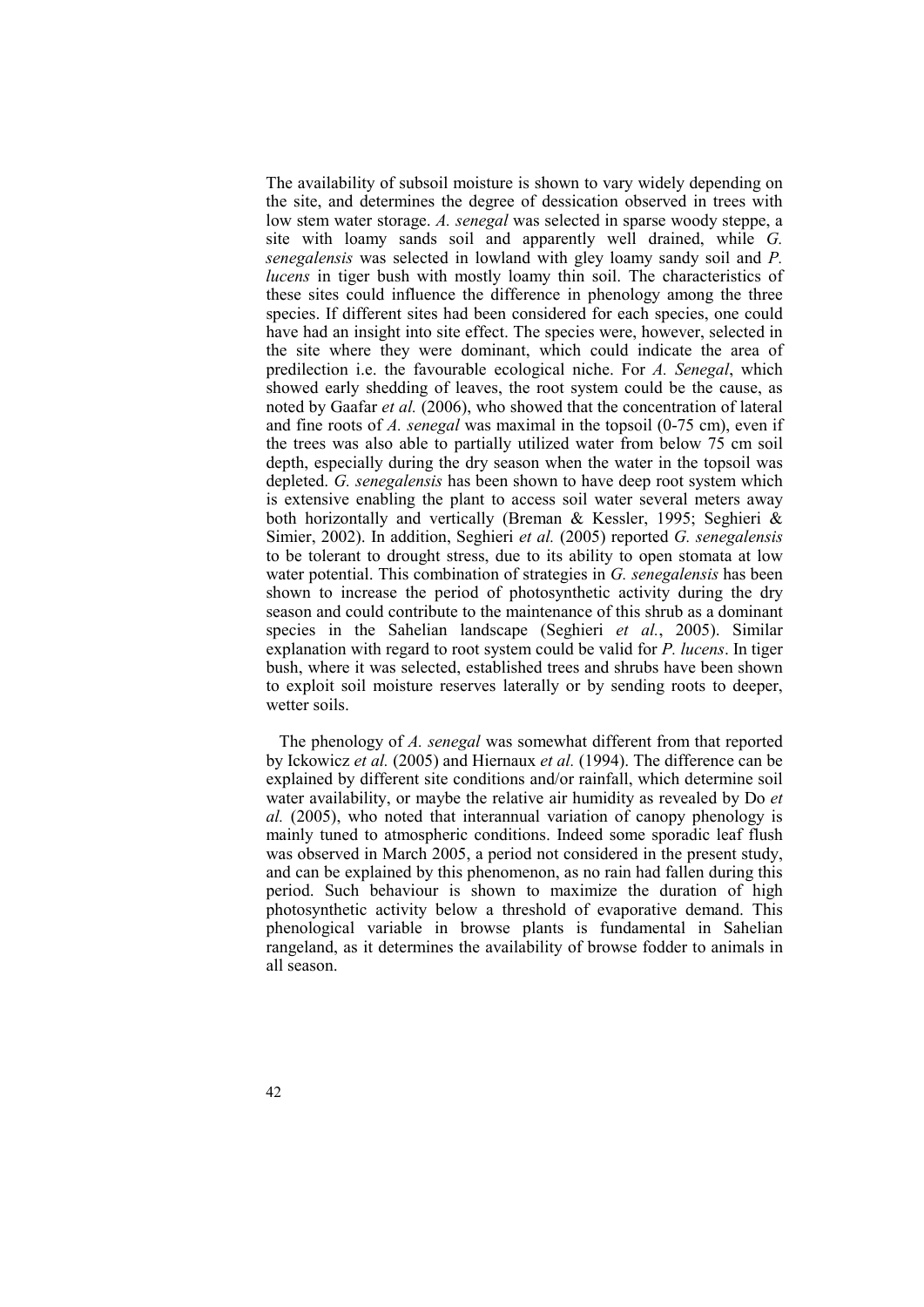The availability of subsoil moisture is shown to vary widely depending on the site, and determines the degree of dessication observed in trees with low stem water storage. *A. senegal* was selected in sparse woody steppe, a site with loamy sands soil and apparently well drained, while *G. senegalensis* was selected in lowland with gley loamy sandy soil and *P. lucens* in tiger bush with mostly loamy thin soil. The characteristics of these sites could influence the difference in phenology among the three species. If different sites had been considered for each species, one could have had an insight into site effect. The species were, however, selected in the site where they were dominant, which could indicate the area of predilection i.e. the favourable ecological niche. For *A. Senegal*, which showed early shedding of leaves, the root system could be the cause, as noted by Gaafar *et al.* (2006), who showed that the concentration of lateral and fine roots of *A. senegal* was maximal in the topsoil (0-75 cm), even if the trees was also able to partially utilized water from below 75 cm soil depth, especially during the dry season when the water in the topsoil was depleted. *G. senegalensis* has been shown to have deep root system which is extensive enabling the plant to access soil water several meters away both horizontally and vertically (Breman & Kessler, 1995; Seghieri & Simier, 2002). In addition, Seghieri *et al.* (2005) reported *G. senegalensis* to be tolerant to drought stress, due to its ability to open stomata at low water potential. This combination of strategies in *G. senegalensis* has been shown to increase the period of photosynthetic activity during the dry season and could contribute to the maintenance of this shrub as a dominant species in the Sahelian landscape (Seghieri *et al.*, 2005). Similar explanation with regard to root system could be valid for *P. lucens*. In tiger bush, where it was selected, established trees and shrubs have been shown to exploit soil moisture reserves laterally or by sending roots to deeper, wetter soils.

The phenology of *A. senegal* was somewhat different from that reported by Ickowicz *et al.* (2005) and Hiernaux *et al.* (1994). The difference can be explained by different site conditions and/or rainfall, which determine soil water availability, or maybe the relative air humidity as revealed by Do *et al.* (2005), who noted that interannual variation of canopy phenology is mainly tuned to atmospheric conditions. Indeed some sporadic leaf flush was observed in March 2005, a period not considered in the present study, and can be explained by this phenomenon, as no rain had fallen during this period. Such behaviour is shown to maximize the duration of high photosynthetic activity below a threshold of evaporative demand. This phenological variable in browse plants is fundamental in Sahelian rangeland, as it determines the availability of browse fodder to animals in all season.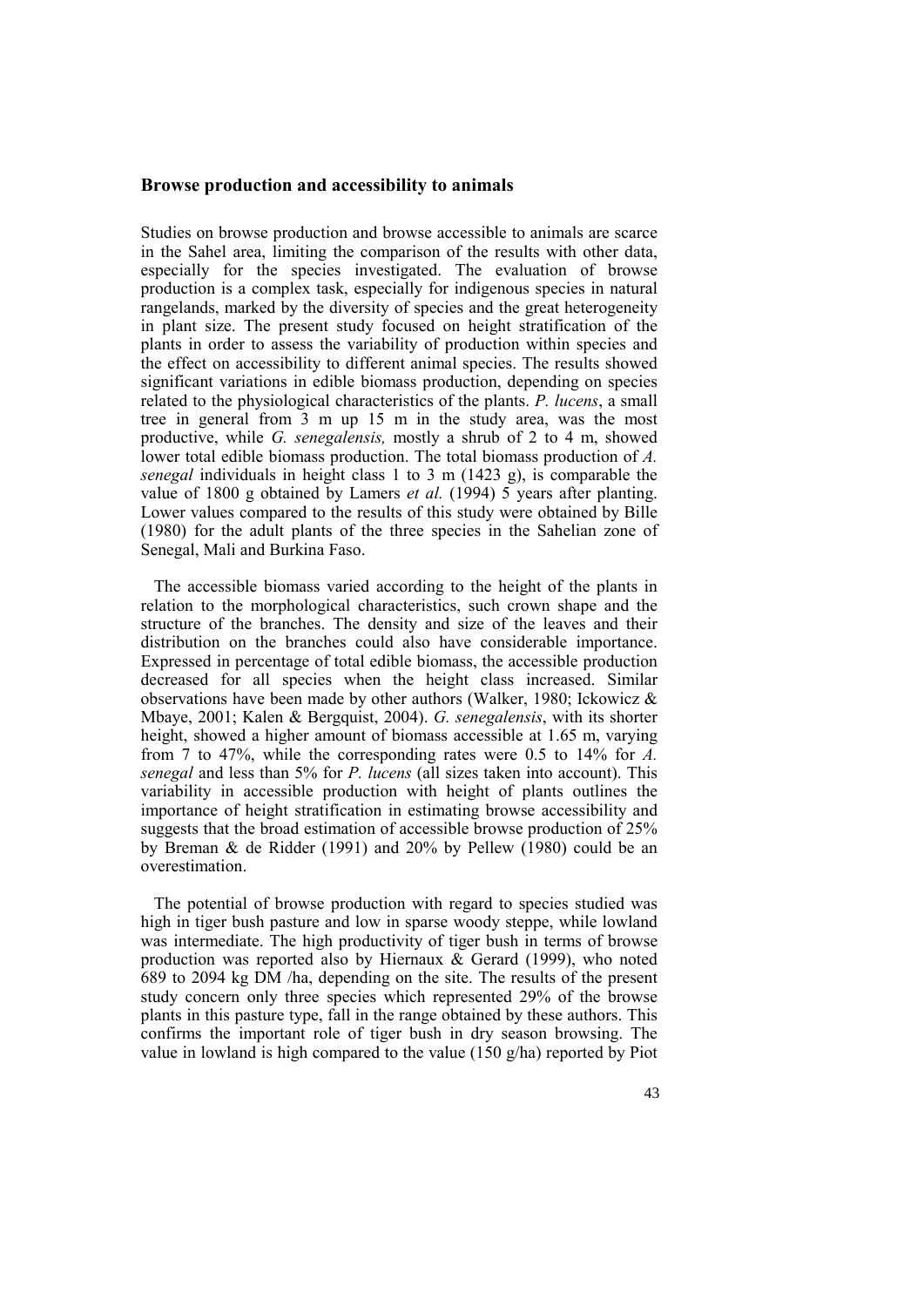#### **Browse production and accessibility to animals**

Studies on browse production and browse accessible to animals are scarce in the Sahel area, limiting the comparison of the results with other data, especially for the species investigated. The evaluation of browse production is a complex task, especially for indigenous species in natural rangelands, marked by the diversity of species and the great heterogeneity in plant size. The present study focused on height stratification of the plants in order to assess the variability of production within species and the effect on accessibility to different animal species. The results showed significant variations in edible biomass production, depending on species related to the physiological characteristics of the plants. *P. lucens*, a small tree in general from 3 m up 15 m in the study area, was the most productive, while *G. senegalensis,* mostly a shrub of 2 to 4 m, showed lower total edible biomass production. The total biomass production of *A. senegal* individuals in height class 1 to 3 m (1423 g), is comparable the value of 1800 g obtained by Lamers *et al.* (1994) 5 years after planting. Lower values compared to the results of this study were obtained by Bille (1980) for the adult plants of the three species in the Sahelian zone of Senegal, Mali and Burkina Faso.

The accessible biomass varied according to the height of the plants in relation to the morphological characteristics, such crown shape and the structure of the branches. The density and size of the leaves and their distribution on the branches could also have considerable importance. Expressed in percentage of total edible biomass, the accessible production decreased for all species when the height class increased. Similar observations have been made by other authors (Walker, 1980; Ickowicz & Mbaye, 2001; Kalen & Bergquist, 2004). *G. senegalensis*, with its shorter height, showed a higher amount of biomass accessible at 1.65 m, varying from 7 to 47%, while the corresponding rates were 0.5 to 14% for *A. senegal* and less than 5% for *P. lucens* (all sizes taken into account). This variability in accessible production with height of plants outlines the importance of height stratification in estimating browse accessibility and suggests that the broad estimation of accessible browse production of 25% by Breman & de Ridder (1991) and 20% by Pellew (1980) could be an overestimation.

The potential of browse production with regard to species studied was high in tiger bush pasture and low in sparse woody steppe, while lowland was intermediate. The high productivity of tiger bush in terms of browse production was reported also by Hiernaux & Gerard (1999), who noted 689 to 2094 kg DM /ha, depending on the site. The results of the present study concern only three species which represented 29% of the browse plants in this pasture type, fall in the range obtained by these authors. This confirms the important role of tiger bush in dry season browsing. The value in lowland is high compared to the value (150 g/ha) reported by Piot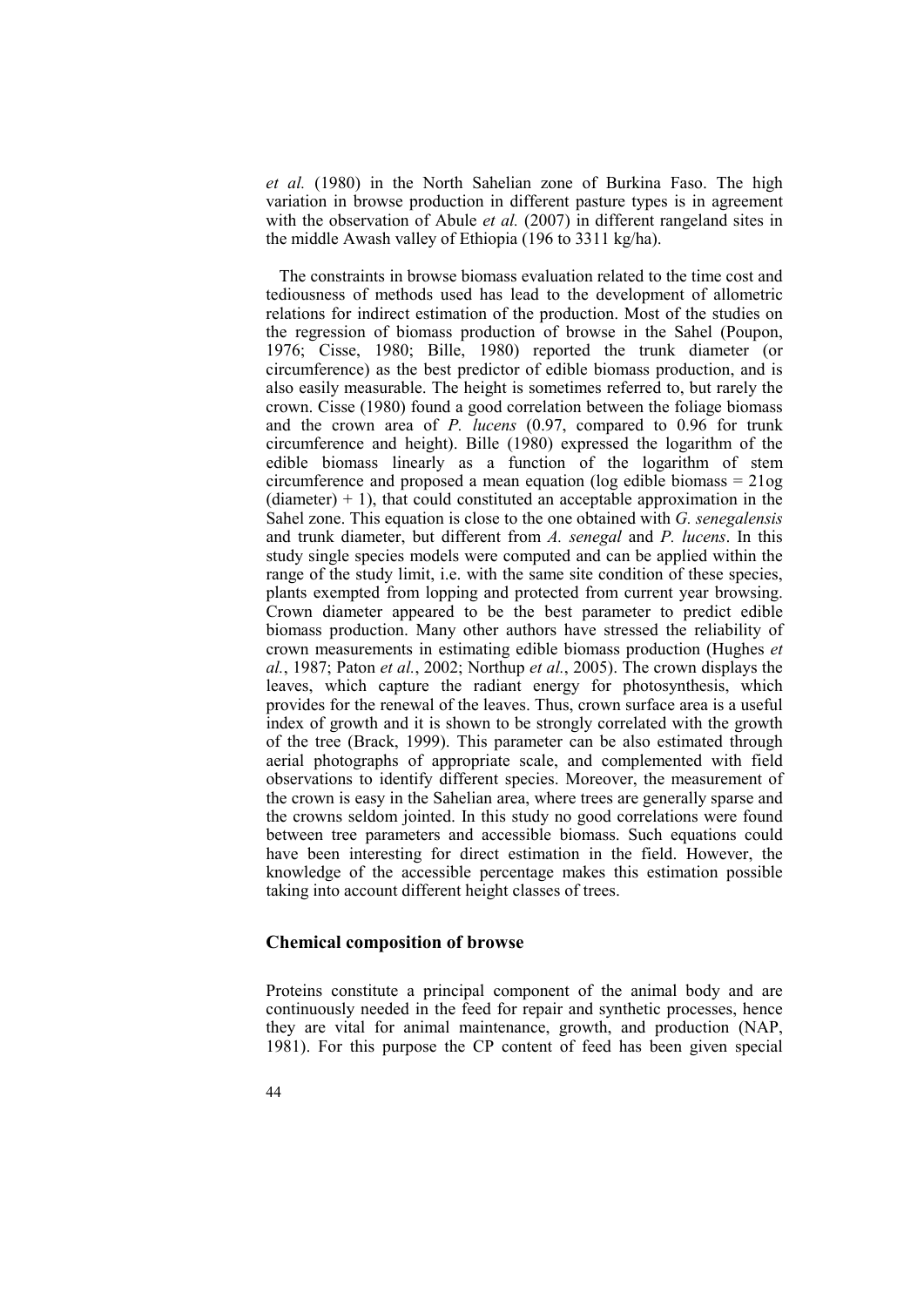*et al.* (1980) in the North Sahelian zone of Burkina Faso. The high variation in browse production in different pasture types is in agreement with the observation of Abule *et al.* (2007) in different rangeland sites in the middle Awash valley of Ethiopia (196 to 3311 kg/ha).

The constraints in browse biomass evaluation related to the time cost and tediousness of methods used has lead to the development of allometric relations for indirect estimation of the production. Most of the studies on the regression of biomass production of browse in the Sahel (Poupon, 1976; Cisse, 1980; Bille, 1980) reported the trunk diameter (or circumference) as the best predictor of edible biomass production, and is also easily measurable. The height is sometimes referred to, but rarely the crown. Cisse (1980) found a good correlation between the foliage biomass and the crown area of *P. lucens* (0.97, compared to 0.96 for trunk circumference and height). Bille (1980) expressed the logarithm of the edible biomass linearly as a function of the logarithm of stem circumference and proposed a mean equation (log edible biomass = 21og  $(diameter) + 1)$ , that could constituted an acceptable approximation in the Sahel zone. This equation is close to the one obtained with *G. senegalensis* and trunk diameter, but different from *A. senegal* and *P. lucens*. In this study single species models were computed and can be applied within the range of the study limit, i.e. with the same site condition of these species, plants exempted from lopping and protected from current year browsing. Crown diameter appeared to be the best parameter to predict edible biomass production. Many other authors have stressed the reliability of crown measurements in estimating edible biomass production (Hughes *et al.*, 1987; Paton *et al.*, 2002; Northup *et al.*, 2005). The crown displays the leaves, which capture the radiant energy for photosynthesis, which provides for the renewal of the leaves. Thus, crown surface area is a useful index of growth and it is shown to be strongly correlated with the growth of the tree (Brack, 1999). This parameter can be also estimated through aerial photographs of appropriate scale, and complemented with field observations to identify different species. Moreover, the measurement of the crown is easy in the Sahelian area, where trees are generally sparse and the crowns seldom jointed. In this study no good correlations were found between tree parameters and accessible biomass. Such equations could have been interesting for direct estimation in the field. However, the knowledge of the accessible percentage makes this estimation possible taking into account different height classes of trees.

### **Chemical composition of browse**

Proteins constitute a principal component of the animal body and are continuously needed in the feed for repair and synthetic processes, hence they are vital for animal maintenance, growth, and production (NAP, 1981). For this purpose the CP content of feed has been given special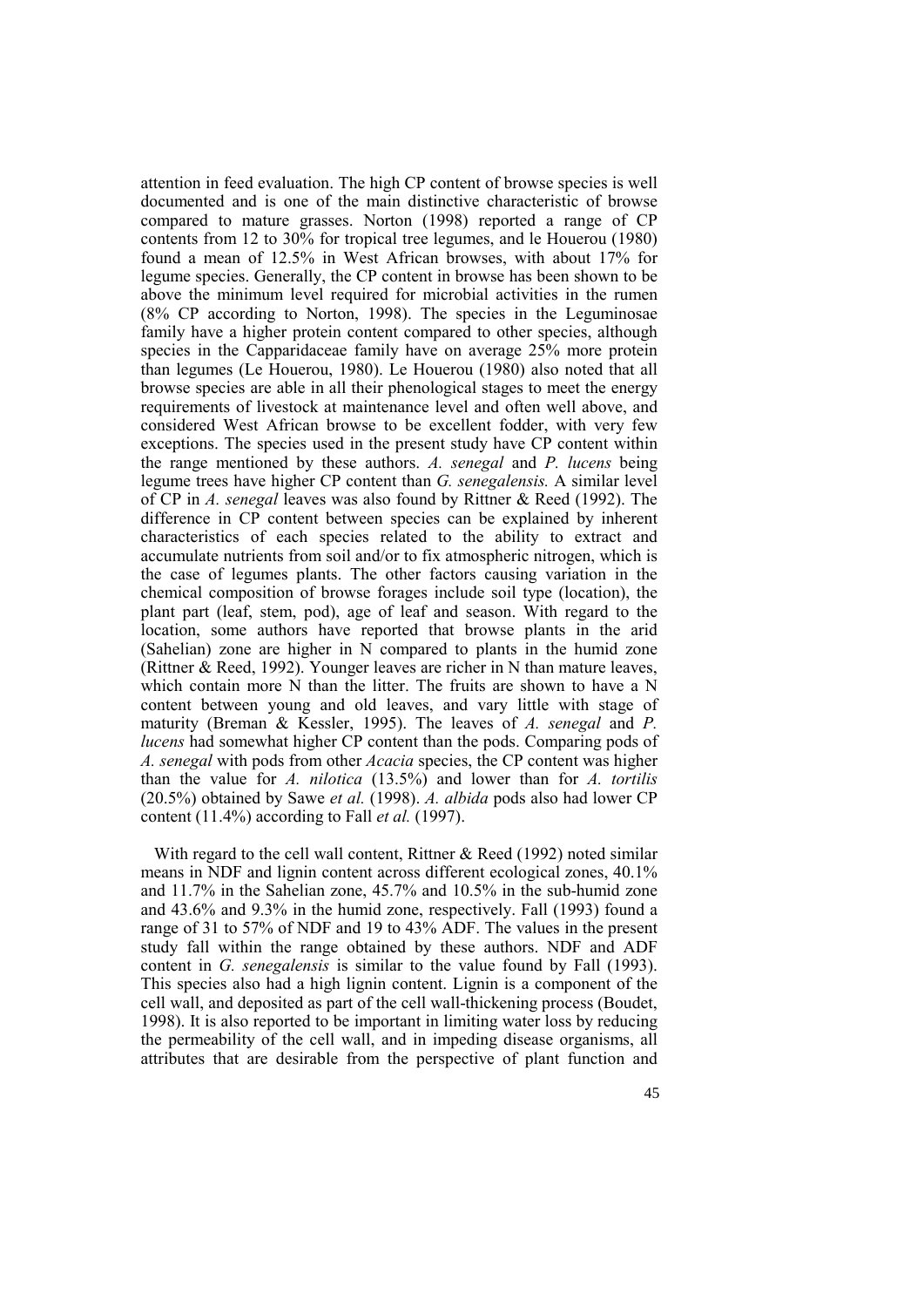attention in feed evaluation. The high CP content of browse species is well documented and is one of the main distinctive characteristic of browse compared to mature grasses. Norton (1998) reported a range of CP contents from 12 to 30% for tropical tree legumes, and le Houerou (1980) found a mean of 12.5% in West African browses, with about 17% for legume species. Generally, the CP content in browse has been shown to be above the minimum level required for microbial activities in the rumen (8% CP according to Norton, 1998). The species in the Leguminosae family have a higher protein content compared to other species, although species in the Capparidaceae family have on average 25% more protein than legumes (Le Houerou, 1980). Le Houerou (1980) also noted that all browse species are able in all their phenological stages to meet the energy requirements of livestock at maintenance level and often well above, and considered West African browse to be excellent fodder, with very few exceptions. The species used in the present study have CP content within the range mentioned by these authors. *A. senegal* and *P. lucens* being legume trees have higher CP content than *G. senegalensis.* A similar level of CP in *A. senegal* leaves was also found by Rittner & Reed (1992). The difference in CP content between species can be explained by inherent characteristics of each species related to the ability to extract and accumulate nutrients from soil and/or to fix atmospheric nitrogen, which is the case of legumes plants. The other factors causing variation in the chemical composition of browse forages include soil type (location), the plant part (leaf, stem, pod), age of leaf and season. With regard to the location, some authors have reported that browse plants in the arid (Sahelian) zone are higher in N compared to plants in the humid zone (Rittner & Reed, 1992). Younger leaves are richer in N than mature leaves, which contain more N than the litter. The fruits are shown to have a N content between young and old leaves, and vary little with stage of maturity (Breman & Kessler, 1995). The leaves of *A. senegal* and *P. lucens* had somewhat higher CP content than the pods. Comparing pods of *A. senegal* with pods from other *Acacia* species, the CP content was higher than the value for *A. nilotica* (13.5%) and lower than for *A. tortilis* (20.5%) obtained by Sawe *et al.* (1998). *A. albida* pods also had lower CP content (11.4%) according to Fall *et al.* (1997).

With regard to the cell wall content, Rittner & Reed (1992) noted similar means in NDF and lignin content across different ecological zones, 40.1% and 11.7% in the Sahelian zone, 45.7% and 10.5% in the sub-humid zone and 43.6% and 9.3% in the humid zone, respectively. Fall (1993) found a range of 31 to 57% of NDF and 19 to 43% ADF. The values in the present study fall within the range obtained by these authors. NDF and ADF content in *G. senegalensis* is similar to the value found by Fall (1993). This species also had a high lignin content. Lignin is a component of the cell wall, and deposited as part of the cell wall-thickening process (Boudet, 1998). It is also reported to be important in limiting water loss by reducing the permeability of the cell wall, and in impeding disease organisms, all attributes that are desirable from the perspective of plant function and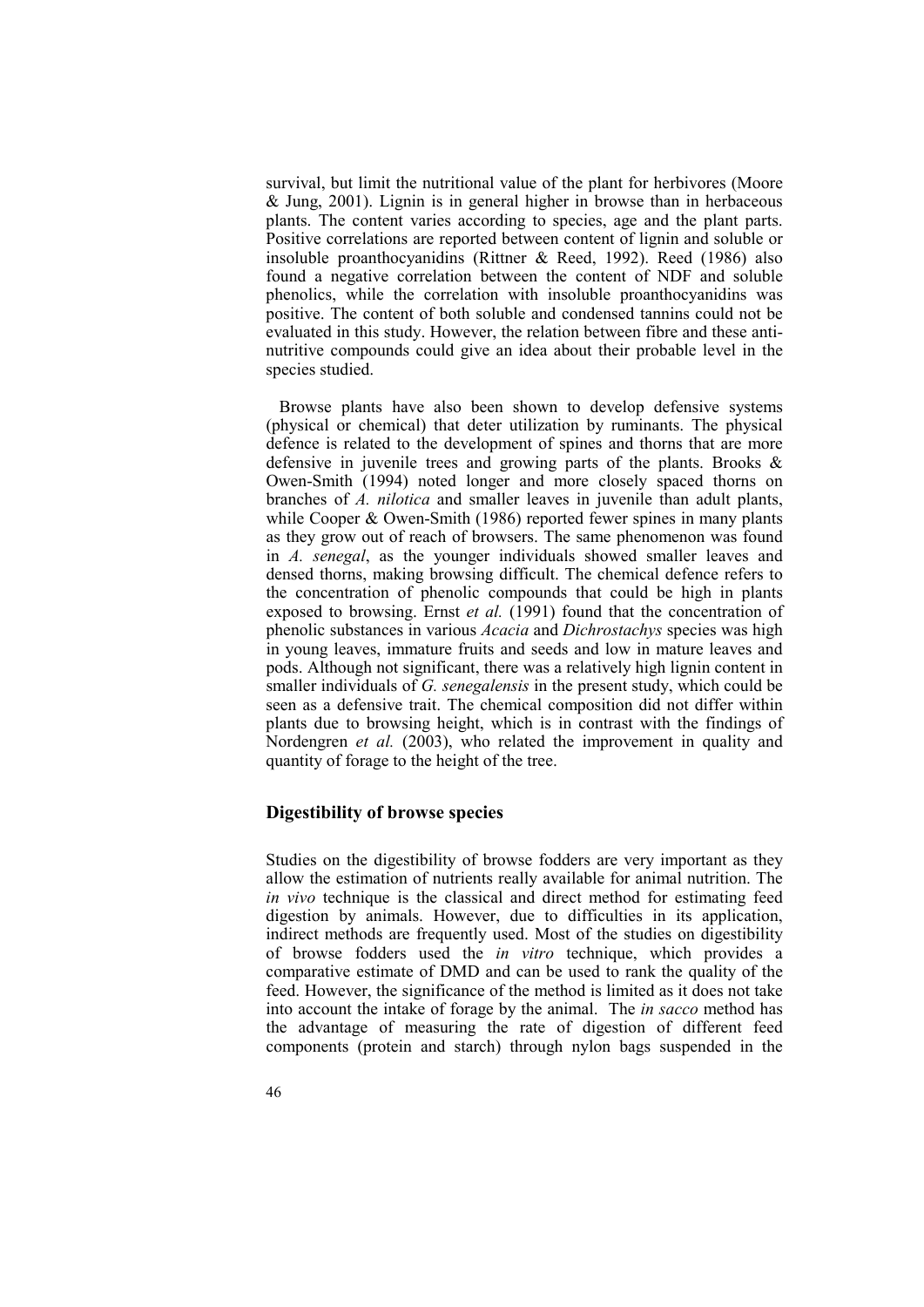survival, but limit the nutritional value of the plant for herbivores (Moore & Jung, 2001). Lignin is in general higher in browse than in herbaceous plants. The content varies according to species, age and the plant parts. Positive correlations are reported between content of lignin and soluble or insoluble proanthocyanidins (Rittner & Reed, 1992). Reed (1986) also found a negative correlation between the content of NDF and soluble phenolics, while the correlation with insoluble proanthocyanidins was positive. The content of both soluble and condensed tannins could not be evaluated in this study. However, the relation between fibre and these antinutritive compounds could give an idea about their probable level in the species studied.

Browse plants have also been shown to develop defensive systems (physical or chemical) that deter utilization by ruminants. The physical defence is related to the development of spines and thorns that are more defensive in juvenile trees and growing parts of the plants. Brooks & Owen-Smith (1994) noted longer and more closely spaced thorns on branches of *A. nilotica* and smaller leaves in juvenile than adult plants, while Cooper & Owen-Smith (1986) reported fewer spines in many plants as they grow out of reach of browsers. The same phenomenon was found in *A. senegal*, as the younger individuals showed smaller leaves and densed thorns, making browsing difficult. The chemical defence refers to the concentration of phenolic compounds that could be high in plants exposed to browsing. Ernst *et al.* (1991) found that the concentration of phenolic substances in various *Acacia* and *Dichrostachys* species was high in young leaves, immature fruits and seeds and low in mature leaves and pods. Although not significant, there was a relatively high lignin content in smaller individuals of *G. senegalensis* in the present study, which could be seen as a defensive trait. The chemical composition did not differ within plants due to browsing height, which is in contrast with the findings of Nordengren *et al.* (2003), who related the improvement in quality and quantity of forage to the height of the tree.

### **Digestibility of browse species**

Studies on the digestibility of browse fodders are very important as they allow the estimation of nutrients really available for animal nutrition. The *in vivo* technique is the classical and direct method for estimating feed digestion by animals. However, due to difficulties in its application, indirect methods are frequently used. Most of the studies on digestibility of browse fodders used the *in vitro* technique, which provides a comparative estimate of DMD and can be used to rank the quality of the feed. However, the significance of the method is limited as it does not take into account the intake of forage by the animal. The *in sacco* method has the advantage of measuring the rate of digestion of different feed components (protein and starch) through nylon bags suspended in the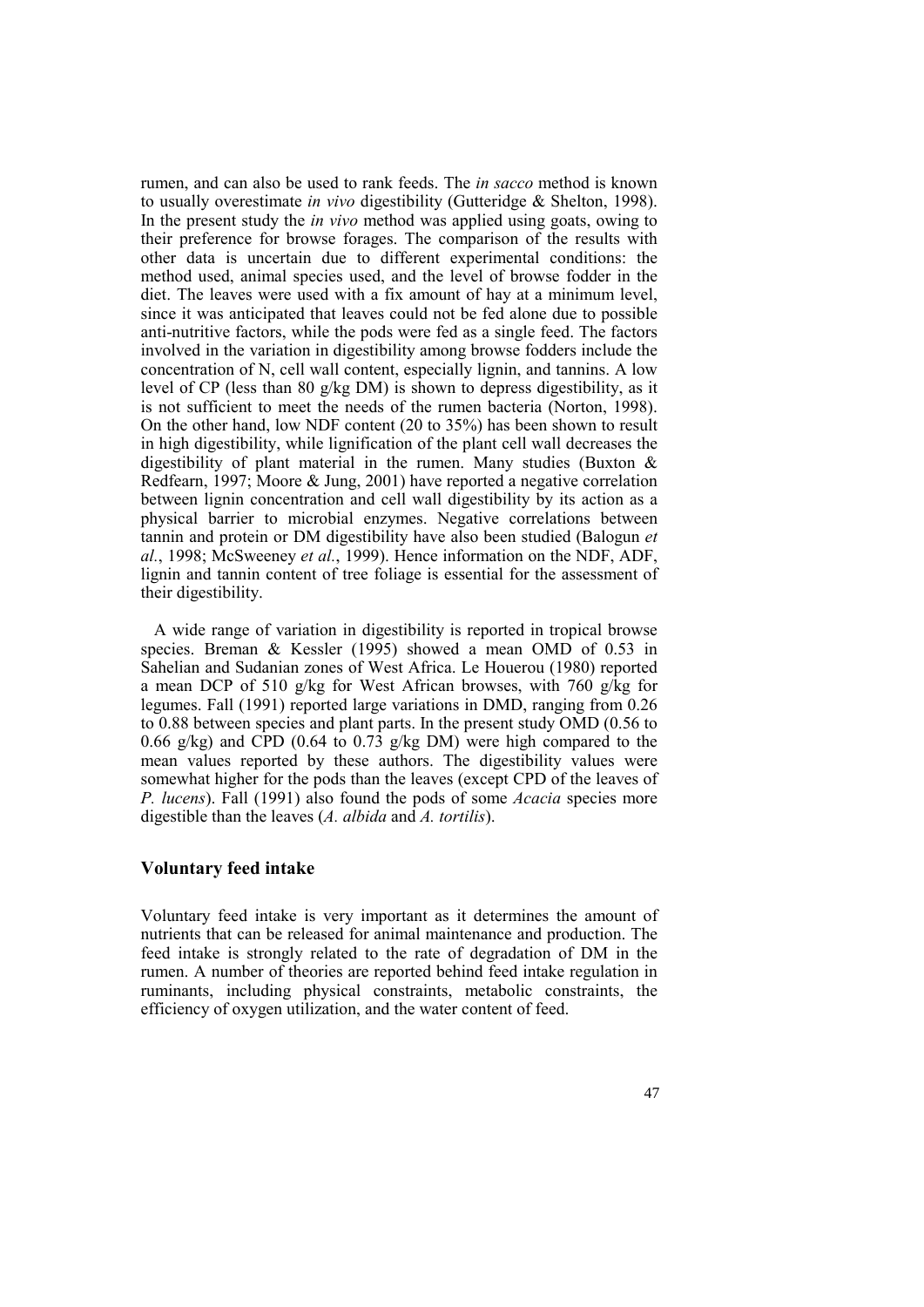rumen, and can also be used to rank feeds. The *in sacco* method is known to usually overestimate *in vivo* digestibility (Gutteridge & Shelton, 1998). In the present study the *in vivo* method was applied using goats, owing to their preference for browse forages. The comparison of the results with other data is uncertain due to different experimental conditions: the method used, animal species used, and the level of browse fodder in the diet. The leaves were used with a fix amount of hay at a minimum level, since it was anticipated that leaves could not be fed alone due to possible anti-nutritive factors, while the pods were fed as a single feed. The factors involved in the variation in digestibility among browse fodders include the concentration of N, cell wall content, especially lignin, and tannins. A low level of CP (less than 80 g/kg DM) is shown to depress digestibility, as it is not sufficient to meet the needs of the rumen bacteria (Norton, 1998). On the other hand, low NDF content (20 to 35%) has been shown to result in high digestibility, while lignification of the plant cell wall decreases the digestibility of plant material in the rumen. Many studies (Buxton & Redfearn, 1997; Moore & Jung, 2001) have reported a negative correlation between lignin concentration and cell wall digestibility by its action as a physical barrier to microbial enzymes. Negative correlations between tannin and protein or DM digestibility have also been studied (Balogun *et al.*, 1998; McSweeney *et al.*, 1999). Hence information on the NDF, ADF, lignin and tannin content of tree foliage is essential for the assessment of their digestibility.

A wide range of variation in digestibility is reported in tropical browse species. Breman & Kessler (1995) showed a mean OMD of 0.53 in Sahelian and Sudanian zones of West Africa. Le Houerou (1980) reported a mean DCP of 510 g/kg for West African browses, with 760 g/kg for legumes. Fall (1991) reported large variations in DMD, ranging from 0.26 to 0.88 between species and plant parts. In the present study OMD (0.56 to 0.66 g/kg) and CPD (0.64 to 0.73 g/kg DM) were high compared to the mean values reported by these authors. The digestibility values were somewhat higher for the pods than the leaves (except CPD of the leaves of *P. lucens*). Fall (1991) also found the pods of some *Acacia* species more digestible than the leaves (*A. albida* and *A. tortilis*).

## **Voluntary feed intake**

Voluntary feed intake is very important as it determines the amount of nutrients that can be released for animal maintenance and production. The feed intake is strongly related to the rate of degradation of DM in the rumen. A number of theories are reported behind feed intake regulation in ruminants, including physical constraints, metabolic constraints, the efficiency of oxygen utilization, and the water content of feed.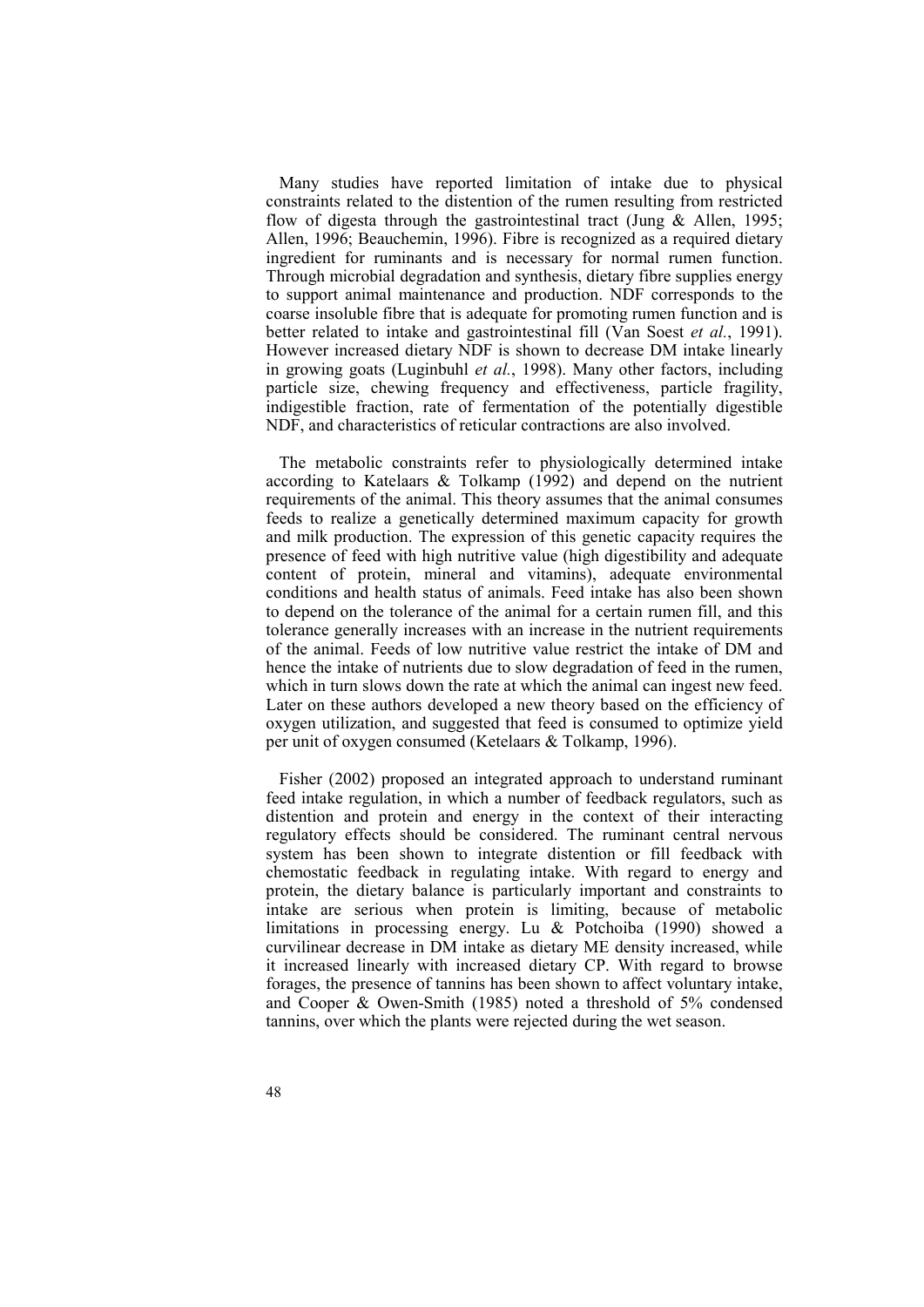Many studies have reported limitation of intake due to physical constraints related to the distention of the rumen resulting from restricted flow of digesta through the gastrointestinal tract (Jung  $\&$  Allen, 1995; Allen, 1996; Beauchemin, 1996). Fibre is recognized as a required dietary ingredient for ruminants and is necessary for normal rumen function. Through microbial degradation and synthesis, dietary fibre supplies energy to support animal maintenance and production. NDF corresponds to the coarse insoluble fibre that is adequate for promoting rumen function and is better related to intake and gastrointestinal fill (Van Soest *et al.*, 1991). However increased dietary NDF is shown to decrease DM intake linearly in growing goats (Luginbuhl *et al.*, 1998). Many other factors, including particle size, chewing frequency and effectiveness, particle fragility, indigestible fraction, rate of fermentation of the potentially digestible NDF, and characteristics of reticular contractions are also involved.

The metabolic constraints refer to physiologically determined intake according to Katelaars & Tolkamp (1992) and depend on the nutrient requirements of the animal. This theory assumes that the animal consumes feeds to realize a genetically determined maximum capacity for growth and milk production. The expression of this genetic capacity requires the presence of feed with high nutritive value (high digestibility and adequate content of protein, mineral and vitamins), adequate environmental conditions and health status of animals. Feed intake has also been shown to depend on the tolerance of the animal for a certain rumen fill, and this tolerance generally increases with an increase in the nutrient requirements of the animal. Feeds of low nutritive value restrict the intake of DM and hence the intake of nutrients due to slow degradation of feed in the rumen, which in turn slows down the rate at which the animal can ingest new feed. Later on these authors developed a new theory based on the efficiency of oxygen utilization, and suggested that feed is consumed to optimize yield per unit of oxygen consumed (Ketelaars & Tolkamp, 1996).

Fisher (2002) proposed an integrated approach to understand ruminant feed intake regulation, in which a number of feedback regulators, such as distention and protein and energy in the context of their interacting regulatory effects should be considered. The ruminant central nervous system has been shown to integrate distention or fill feedback with chemostatic feedback in regulating intake. With regard to energy and protein, the dietary balance is particularly important and constraints to intake are serious when protein is limiting, because of metabolic limitations in processing energy. Lu & Potchoiba (1990) showed a curvilinear decrease in DM intake as dietary ME density increased, while it increased linearly with increased dietary CP. With regard to browse forages, the presence of tannins has been shown to affect voluntary intake, and Cooper & Owen-Smith (1985) noted a threshold of 5% condensed tannins, over which the plants were rejected during the wet season.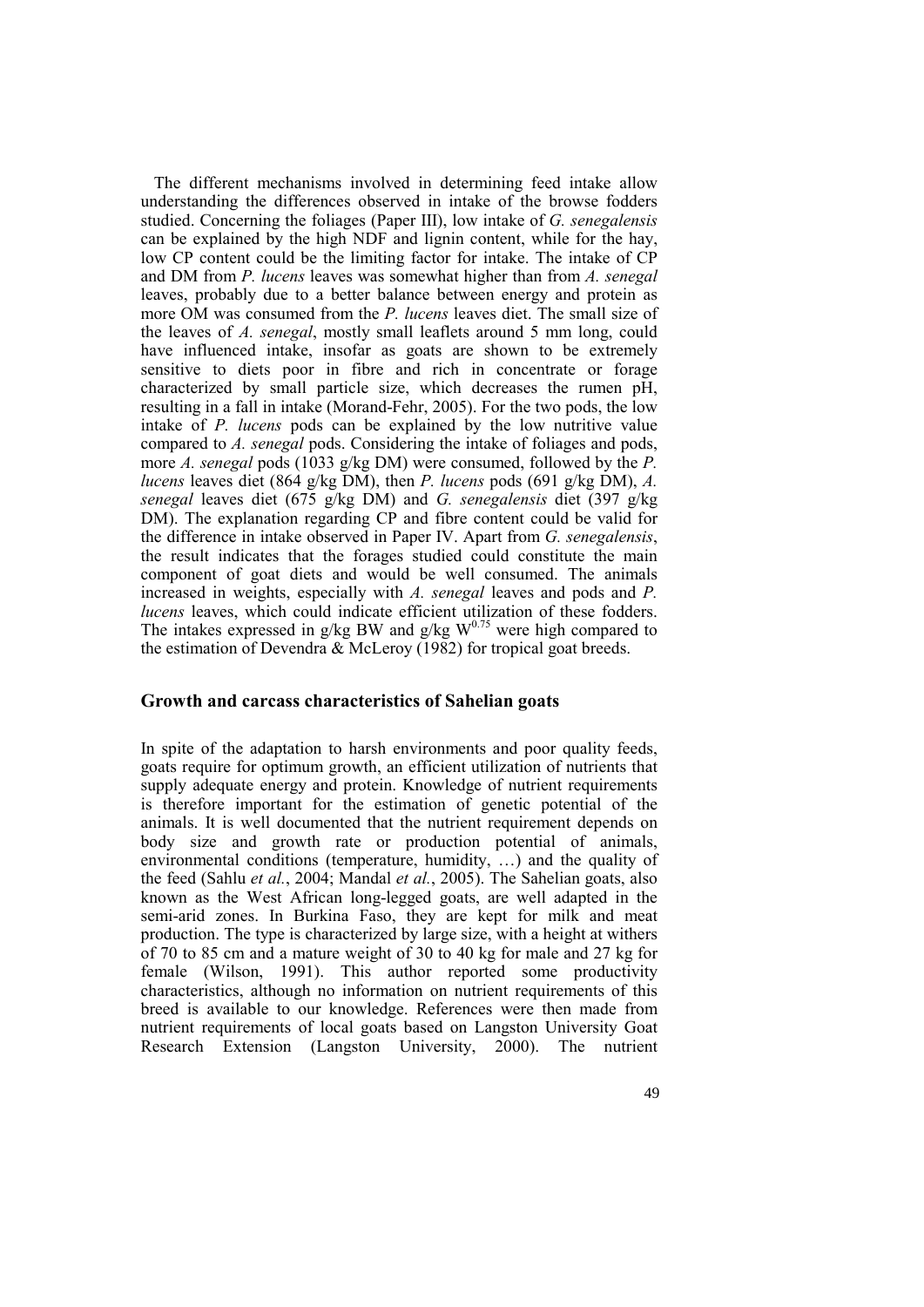The different mechanisms involved in determining feed intake allow understanding the differences observed in intake of the browse fodders studied. Concerning the foliages (Paper III), low intake of *G. senegalensis* can be explained by the high NDF and lignin content, while for the hay, low CP content could be the limiting factor for intake. The intake of CP and DM from *P. lucens* leaves was somewhat higher than from *A. senegal* leaves, probably due to a better balance between energy and protein as more OM was consumed from the *P. lucens* leaves diet. The small size of the leaves of *A. senegal*, mostly small leaflets around 5 mm long, could have influenced intake, insofar as goats are shown to be extremely sensitive to diets poor in fibre and rich in concentrate or forage characterized by small particle size, which decreases the rumen pH, resulting in a fall in intake (Morand-Fehr, 2005). For the two pods, the low intake of *P. lucens* pods can be explained by the low nutritive value compared to *A. senegal* pods. Considering the intake of foliages and pods, more *A. senegal* pods (1033 g/kg DM) were consumed, followed by the *P*. *lucens* leaves diet (864 g/kg DM), then *P. lucens* pods (691 g/kg DM), *A. senegal* leaves diet (675 g/kg DM) and *G. senegalensis* diet (397 g/kg DM). The explanation regarding CP and fibre content could be valid for the difference in intake observed in Paper IV. Apart from *G. senegalensis*, the result indicates that the forages studied could constitute the main component of goat diets and would be well consumed. The animals increased in weights, especially with *A. senegal* leaves and pods and *P. lucens* leaves, which could indicate efficient utilization of these fodders. The intakes expressed in g/kg BW and g/kg  $W^{0.75}$  were high compared to the estimation of Devendra & McLeroy (1982) for tropical goat breeds.

#### **Growth and carcass characteristics of Sahelian goats**

In spite of the adaptation to harsh environments and poor quality feeds, goats require for optimum growth, an efficient utilization of nutrients that supply adequate energy and protein. Knowledge of nutrient requirements is therefore important for the estimation of genetic potential of the animals. It is well documented that the nutrient requirement depends on body size and growth rate or production potential of animals, environmental conditions (temperature, humidity, …) and the quality of the feed (Sahlu *et al.*, 2004; Mandal *et al.*, 2005). The Sahelian goats, also known as the West African long-legged goats, are well adapted in the semi-arid zones. In Burkina Faso, they are kept for milk and meat production. The type is characterized by large size, with a height at withers of 70 to 85 cm and a mature weight of 30 to 40 kg for male and 27 kg for female (Wilson, 1991). This author reported some productivity characteristics, although no information on nutrient requirements of this breed is available to our knowledge. References were then made from nutrient requirements of local goats based on Langston University Goat Research Extension (Langston University, 2000). The nutrient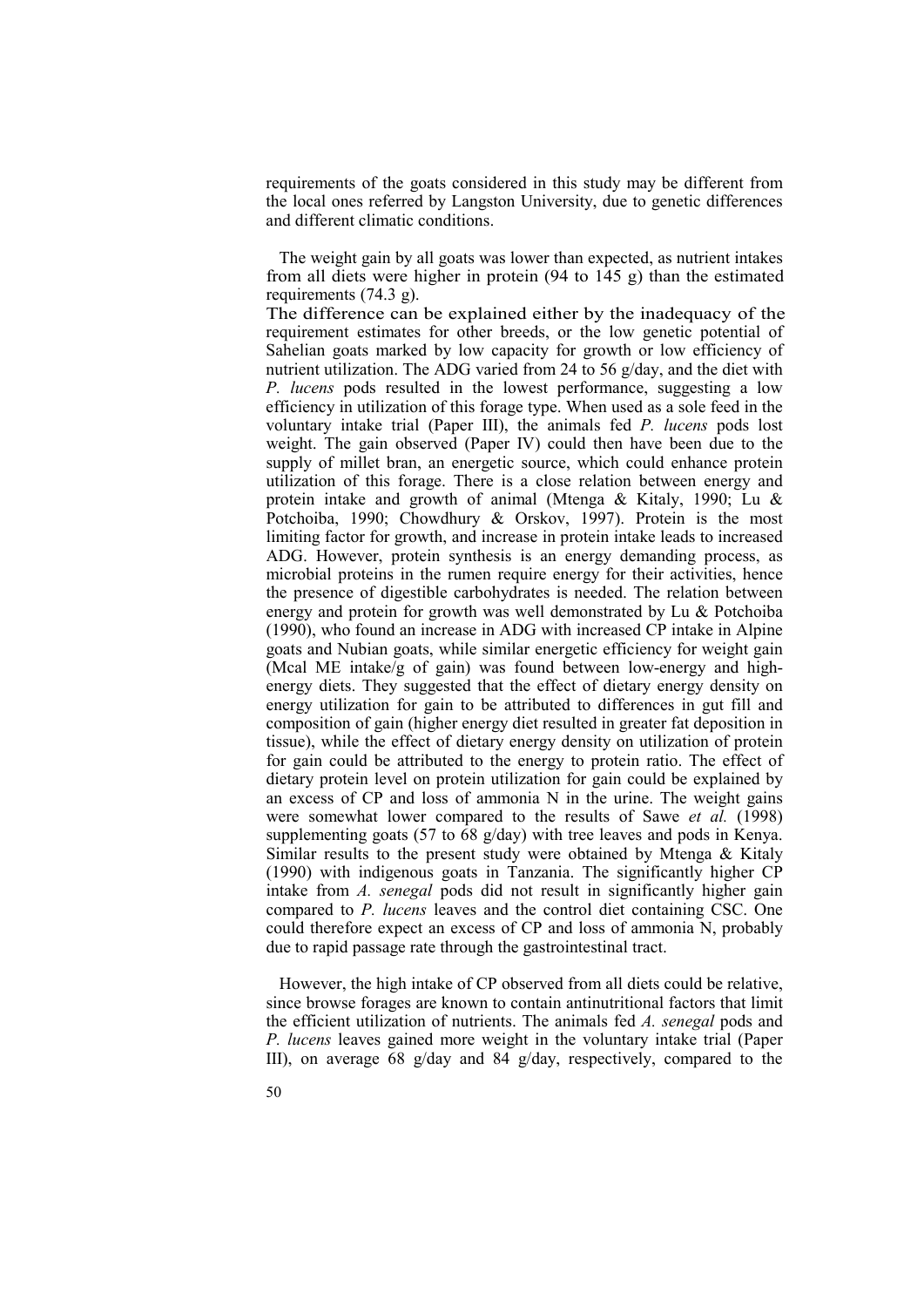requirements of the goats considered in this study may be different from the local ones referred by Langston University, due to genetic differences and different climatic conditions.

The weight gain by all goats was lower than expected, as nutrient intakes from all diets were higher in protein (94 to 145 g) than the estimated requirements (74.3 g).

The difference can be explained either by the inadequacy of the requirement estimates for other breeds, or the low genetic potential of Sahelian goats marked by low capacity for growth or low efficiency of nutrient utilization. The ADG varied from 24 to 56 g/day, and the diet with *P. lucens* pods resulted in the lowest performance, suggesting a low efficiency in utilization of this forage type. When used as a sole feed in the voluntary intake trial (Paper III), the animals fed *P. lucens* pods lost weight. The gain observed (Paper IV) could then have been due to the supply of millet bran, an energetic source, which could enhance protein utilization of this forage. There is a close relation between energy and protein intake and growth of animal (Mtenga & Kitaly, 1990; Lu & Potchoiba, 1990; Chowdhury & Orskov, 1997). Protein is the most limiting factor for growth, and increase in protein intake leads to increased ADG. However, protein synthesis is an energy demanding process, as microbial proteins in the rumen require energy for their activities, hence the presence of digestible carbohydrates is needed. The relation between energy and protein for growth was well demonstrated by Lu & Potchoiba (1990), who found an increase in ADG with increased CP intake in Alpine goats and Nubian goats, while similar energetic efficiency for weight gain (Mcal ME intake/g of gain) was found between low-energy and highenergy diets. They suggested that the effect of dietary energy density on energy utilization for gain to be attributed to differences in gut fill and composition of gain (higher energy diet resulted in greater fat deposition in tissue), while the effect of dietary energy density on utilization of protein for gain could be attributed to the energy to protein ratio. The effect of dietary protein level on protein utilization for gain could be explained by an excess of CP and loss of ammonia N in the urine. The weight gains were somewhat lower compared to the results of Sawe *et al.* (1998) supplementing goats (57 to 68 g/day) with tree leaves and pods in Kenya. Similar results to the present study were obtained by Mtenga & Kitaly (1990) with indigenous goats in Tanzania. The significantly higher CP intake from *A. senegal* pods did not result in significantly higher gain compared to *P. lucens* leaves and the control diet containing CSC. One could therefore expect an excess of CP and loss of ammonia N, probably due to rapid passage rate through the gastrointestinal tract.

However, the high intake of CP observed from all diets could be relative, since browse forages are known to contain antinutritional factors that limit the efficient utilization of nutrients. The animals fed *A. senegal* pods and *P. lucens* leaves gained more weight in the voluntary intake trial (Paper III), on average 68 g/day and 84 g/day, respectively, compared to the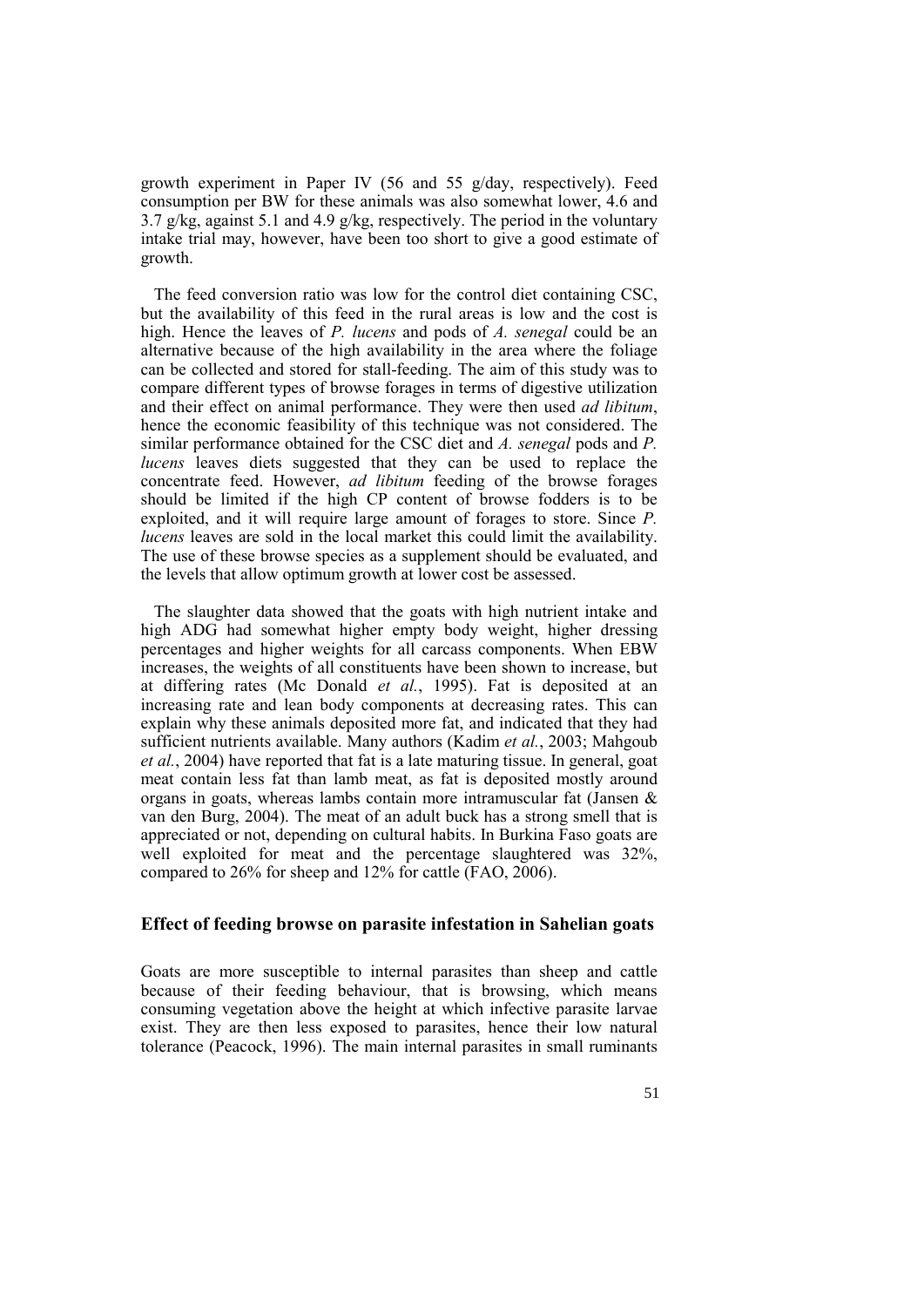growth experiment in Paper IV (56 and 55 g/day, respectively). Feed consumption per BW for these animals was also somewhat lower, 4.6 and 3.7 g/kg, against 5.1 and 4.9 g/kg, respectively. The period in the voluntary intake trial may, however, have been too short to give a good estimate of growth.

The feed conversion ratio was low for the control diet containing CSC, but the availability of this feed in the rural areas is low and the cost is high. Hence the leaves of *P. lucens* and pods of *A. senegal* could be an alternative because of the high availability in the area where the foliage can be collected and stored for stall-feeding. The aim of this study was to compare different types of browse forages in terms of digestive utilization and their effect on animal performance. They were then used *ad libitum*, hence the economic feasibility of this technique was not considered. The similar performance obtained for the CSC diet and *A. senegal* pods and *P. lucens* leaves diets suggested that they can be used to replace the concentrate feed. However, *ad libitum* feeding of the browse forages should be limited if the high CP content of browse fodders is to be exploited, and it will require large amount of forages to store. Since *P. lucens* leaves are sold in the local market this could limit the availability. The use of these browse species as a supplement should be evaluated, and the levels that allow optimum growth at lower cost be assessed.

The slaughter data showed that the goats with high nutrient intake and high ADG had somewhat higher empty body weight, higher dressing percentages and higher weights for all carcass components. When EBW increases, the weights of all constituents have been shown to increase, but at differing rates (Mc Donald *et al.*, 1995). Fat is deposited at an increasing rate and lean body components at decreasing rates. This can explain why these animals deposited more fat, and indicated that they had sufficient nutrients available. Many authors (Kadim *et al.*, 2003; Mahgoub *et al.*, 2004) have reported that fat is a late maturing tissue. In general, goat meat contain less fat than lamb meat, as fat is deposited mostly around organs in goats, whereas lambs contain more intramuscular fat (Jansen & van den Burg, 2004). The meat of an adult buck has a strong smell that is appreciated or not, depending on cultural habits. In Burkina Faso goats are well exploited for meat and the percentage slaughtered was 32%, compared to 26% for sheep and 12% for cattle (FAO, 2006).

### **Effect of feeding browse on parasite infestation in Sahelian goats**

Goats are more susceptible to internal parasites than sheep and cattle because of their feeding behaviour, that is browsing, which means consuming vegetation above the height at which infective parasite larvae exist. They are then less exposed to parasites, hence their low natural tolerance (Peacock, 1996). The main internal parasites in small ruminants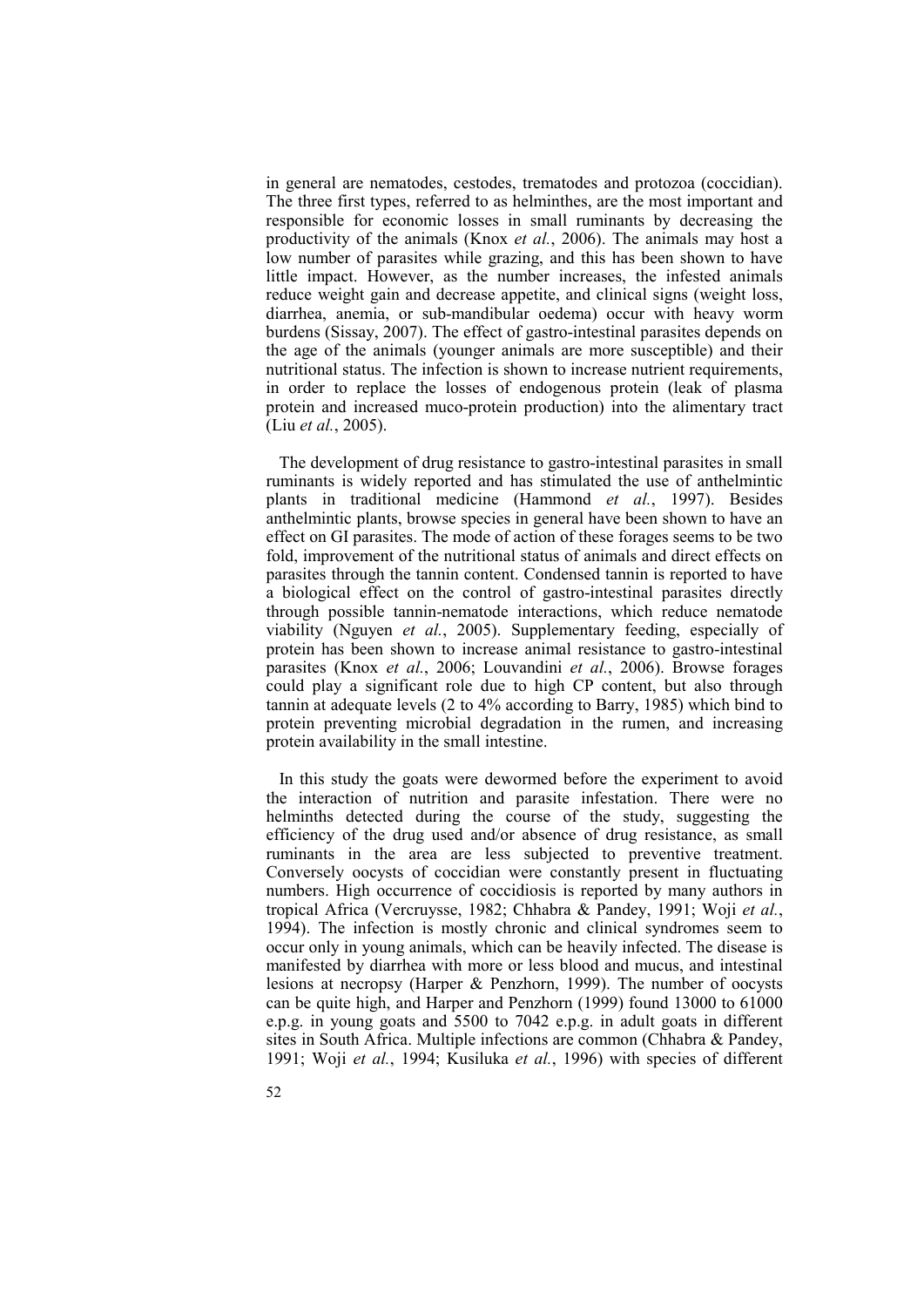in general are nematodes, cestodes, trematodes and protozoa (coccidian). The three first types, referred to as helminthes, are the most important and responsible for economic losses in small ruminants by decreasing the productivity of the animals (Knox *et al.*, 2006). The animals may host a low number of parasites while grazing, and this has been shown to have little impact. However, as the number increases, the infested animals reduce weight gain and decrease appetite, and clinical signs (weight loss, diarrhea, anemia, or sub-mandibular oedema) occur with heavy worm burdens (Sissay, 2007). The effect of gastro-intestinal parasites depends on the age of the animals (younger animals are more susceptible) and their nutritional status. The infection is shown to increase nutrient requirements, in order to replace the losses of endogenous protein (leak of plasma protein and increased muco-protein production) into the alimentary tract (Liu *et al.*, 2005).

The development of drug resistance to gastro-intestinal parasites in small ruminants is widely reported and has stimulated the use of anthelmintic plants in traditional medicine (Hammond *et al.*, 1997). Besides anthelmintic plants, browse species in general have been shown to have an effect on GI parasites. The mode of action of these forages seems to be two fold, improvement of the nutritional status of animals and direct effects on parasites through the tannin content. Condensed tannin is reported to have a biological effect on the control of gastro-intestinal parasites directly through possible tannin-nematode interactions, which reduce nematode viability (Nguyen *et al.*, 2005). Supplementary feeding, especially of protein has been shown to increase animal resistance to gastro-intestinal parasites (Knox *et al.*, 2006; Louvandini *et al.*, 2006). Browse forages could play a significant role due to high CP content, but also through tannin at adequate levels (2 to 4% according to Barry, 1985) which bind to protein preventing microbial degradation in the rumen, and increasing protein availability in the small intestine.

In this study the goats were dewormed before the experiment to avoid the interaction of nutrition and parasite infestation. There were no helminths detected during the course of the study, suggesting the efficiency of the drug used and/or absence of drug resistance, as small ruminants in the area are less subjected to preventive treatment. Conversely oocysts of coccidian were constantly present in fluctuating numbers. High occurrence of coccidiosis is reported by many authors in tropical Africa (Vercruysse, 1982; Chhabra & Pandey, 1991; Woji *et al.*, 1994). The infection is mostly chronic and clinical syndromes seem to occur only in young animals, which can be heavily infected. The disease is manifested by diarrhea with more or less blood and mucus, and intestinal lesions at necropsy (Harper & Penzhorn, 1999). The number of oocysts can be quite high, and Harper and Penzhorn (1999) found 13000 to 61000 e.p.g. in young goats and 5500 to 7042 e.p.g. in adult goats in different sites in South Africa. Multiple infections are common (Chhabra & Pandey, 1991; Woji *et al.*, 1994; Kusiluka *et al.*, 1996) with species of different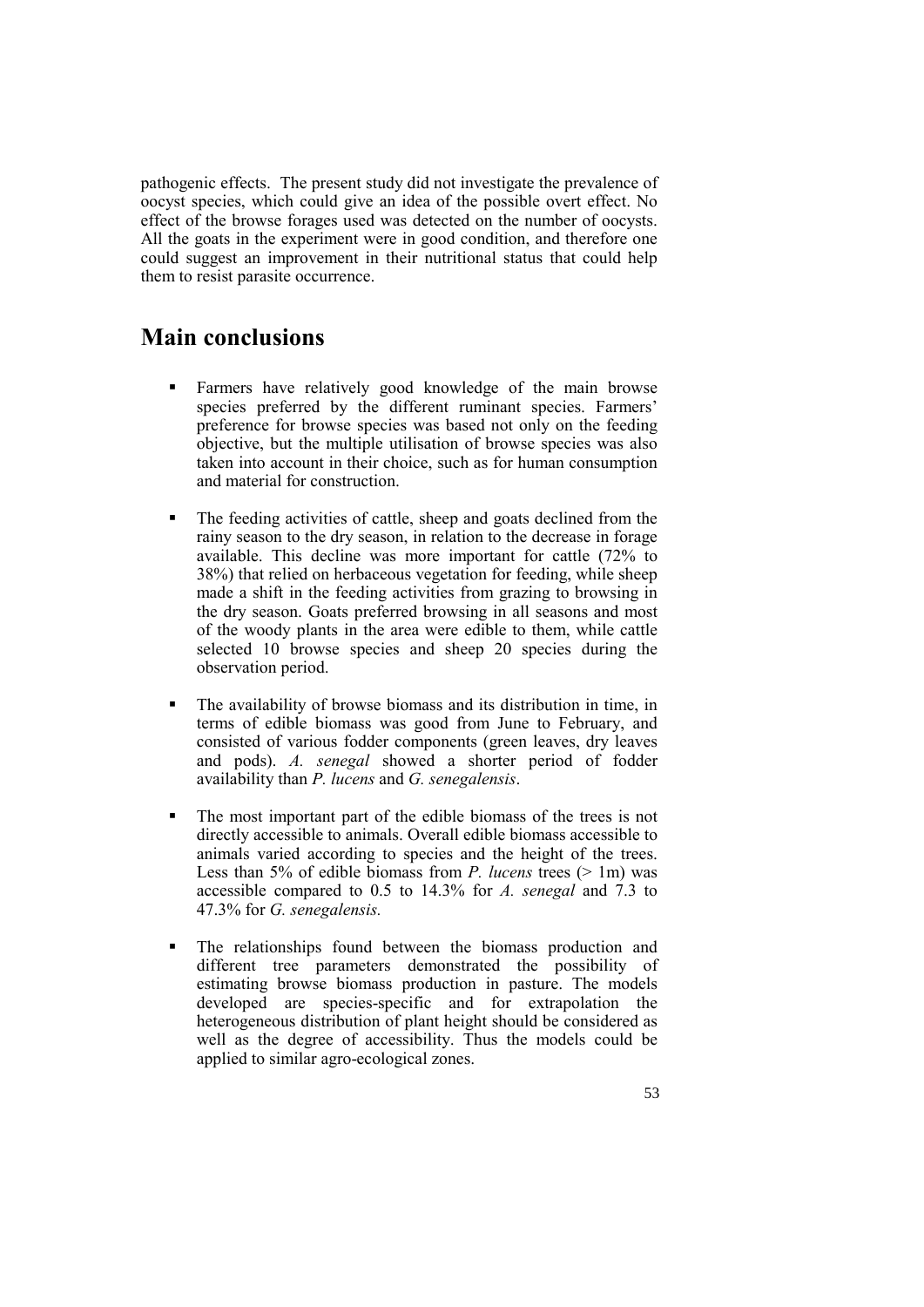pathogenic effects. The present study did not investigate the prevalence of oocyst species, which could give an idea of the possible overt effect. No effect of the browse forages used was detected on the number of oocysts. All the goats in the experiment were in good condition, and therefore one could suggest an improvement in their nutritional status that could help them to resist parasite occurrence.

# **Main conclusions**

- Farmers have relatively good knowledge of the main browse species preferred by the different ruminant species. Farmers' preference for browse species was based not only on the feeding objective, but the multiple utilisation of browse species was also taken into account in their choice, such as for human consumption and material for construction.
- The feeding activities of cattle, sheep and goats declined from the rainy season to the dry season, in relation to the decrease in forage available. This decline was more important for cattle (72% to 38%) that relied on herbaceous vegetation for feeding, while sheep made a shift in the feeding activities from grazing to browsing in the dry season. Goats preferred browsing in all seasons and most of the woody plants in the area were edible to them, while cattle selected 10 browse species and sheep 20 species during the observation period.
- The availability of browse biomass and its distribution in time, in terms of edible biomass was good from June to February, and consisted of various fodder components (green leaves, dry leaves and pods). *A. senegal* showed a shorter period of fodder availability than *P. lucens* and *G. senegalensis*.
- The most important part of the edible biomass of the trees is not directly accessible to animals. Overall edible biomass accessible to animals varied according to species and the height of the trees. Less than 5% of edible biomass from *P. lucens* trees (> 1m) was accessible compared to 0.5 to 14.3% for *A. senegal* and 7.3 to 47.3% for *G. senegalensis.*
- The relationships found between the biomass production and different tree parameters demonstrated the possibility of estimating browse biomass production in pasture. The models developed are species-specific and for extrapolation the heterogeneous distribution of plant height should be considered as well as the degree of accessibility. Thus the models could be applied to similar agro-ecological zones.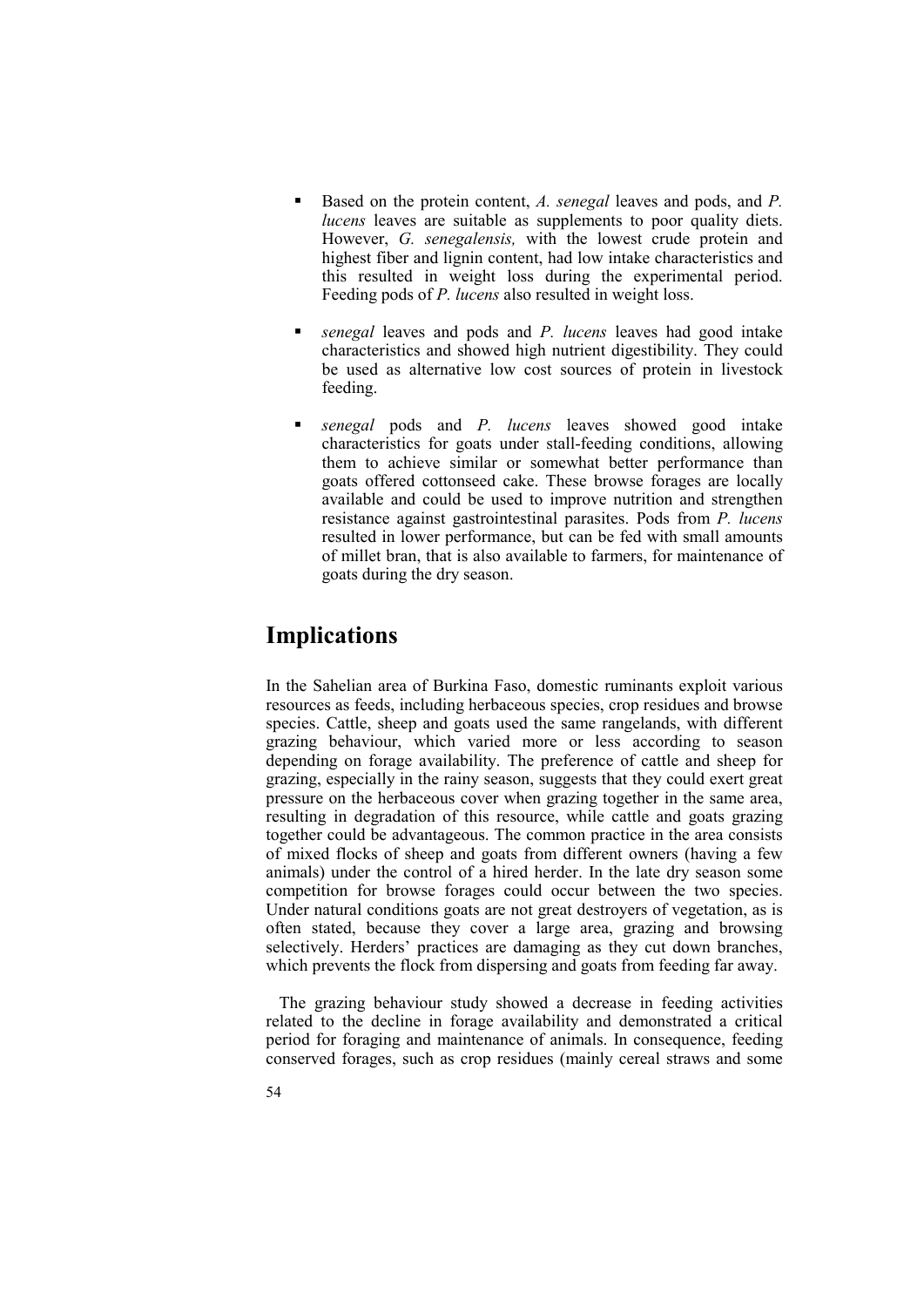- Based on the protein content, *A. senegal* leaves and pods, and *P. lucens* leaves are suitable as supplements to poor quality diets. However, *G. senegalensis,* with the lowest crude protein and highest fiber and lignin content, had low intake characteristics and this resulted in weight loss during the experimental period. Feeding pods of *P. lucens* also resulted in weight loss.
- *senegal* leaves and pods and *P. lucens* leaves had good intake characteristics and showed high nutrient digestibility. They could be used as alternative low cost sources of protein in livestock feeding.
- *senegal* pods and *P. lucens* leaves showed good intake characteristics for goats under stall-feeding conditions, allowing them to achieve similar or somewhat better performance than goats offered cottonseed cake. These browse forages are locally available and could be used to improve nutrition and strengthen resistance against gastrointestinal parasites. Pods from *P. lucens* resulted in lower performance, but can be fed with small amounts of millet bran, that is also available to farmers, for maintenance of goats during the dry season.

## **Implications**

In the Sahelian area of Burkina Faso, domestic ruminants exploit various resources as feeds, including herbaceous species, crop residues and browse species. Cattle, sheep and goats used the same rangelands, with different grazing behaviour, which varied more or less according to season depending on forage availability. The preference of cattle and sheep for grazing, especially in the rainy season, suggests that they could exert great pressure on the herbaceous cover when grazing together in the same area, resulting in degradation of this resource, while cattle and goats grazing together could be advantageous. The common practice in the area consists of mixed flocks of sheep and goats from different owners (having a few animals) under the control of a hired herder. In the late dry season some competition for browse forages could occur between the two species. Under natural conditions goats are not great destroyers of vegetation, as is often stated, because they cover a large area, grazing and browsing selectively. Herders' practices are damaging as they cut down branches, which prevents the flock from dispersing and goats from feeding far away.

The grazing behaviour study showed a decrease in feeding activities related to the decline in forage availability and demonstrated a critical period for foraging and maintenance of animals. In consequence, feeding conserved forages, such as crop residues (mainly cereal straws and some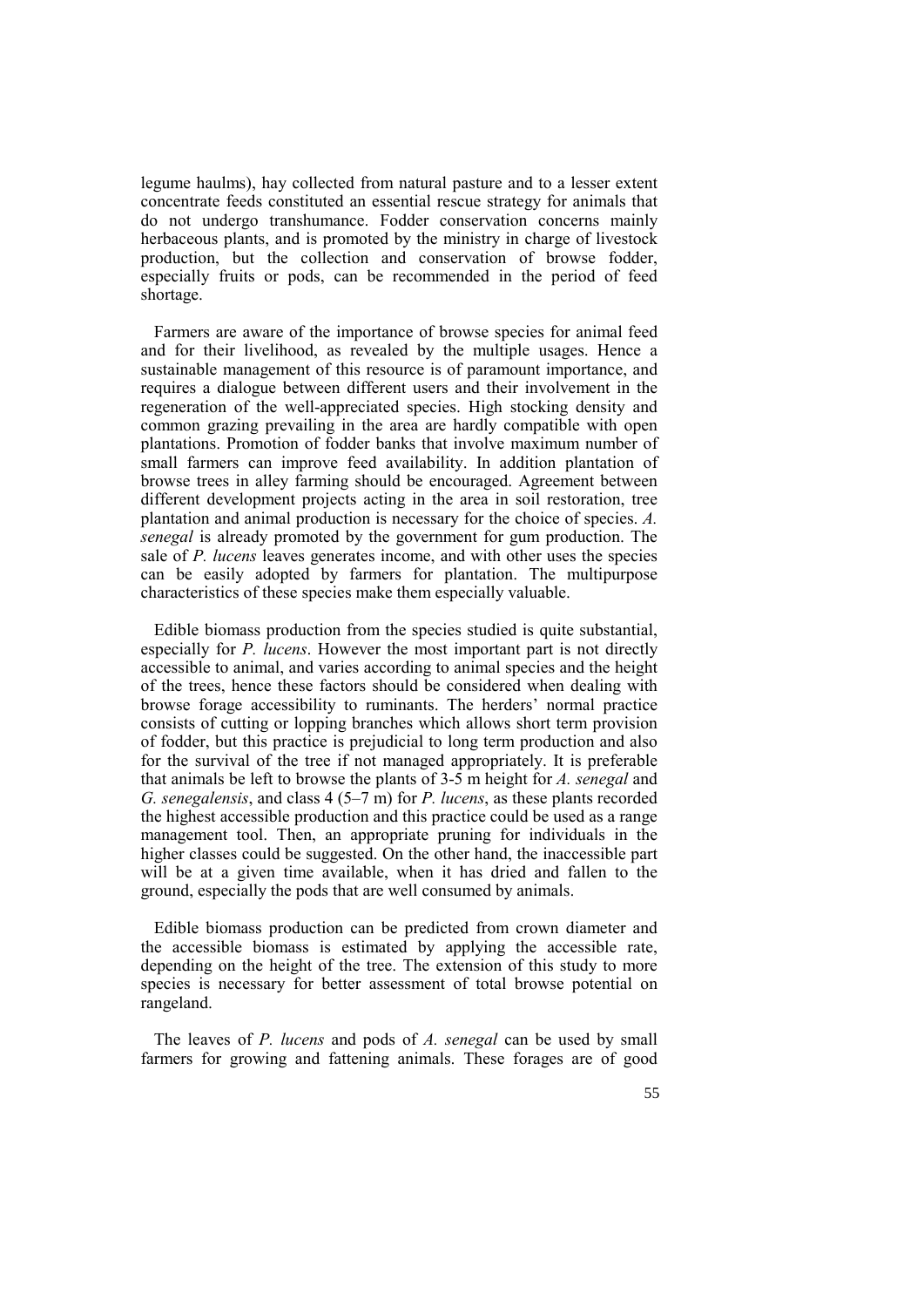legume haulms), hay collected from natural pasture and to a lesser extent concentrate feeds constituted an essential rescue strategy for animals that do not undergo transhumance. Fodder conservation concerns mainly herbaceous plants, and is promoted by the ministry in charge of livestock production, but the collection and conservation of browse fodder, especially fruits or pods, can be recommended in the period of feed shortage.

Farmers are aware of the importance of browse species for animal feed and for their livelihood, as revealed by the multiple usages. Hence a sustainable management of this resource is of paramount importance, and requires a dialogue between different users and their involvement in the regeneration of the well-appreciated species. High stocking density and common grazing prevailing in the area are hardly compatible with open plantations. Promotion of fodder banks that involve maximum number of small farmers can improve feed availability. In addition plantation of browse trees in alley farming should be encouraged. Agreement between different development projects acting in the area in soil restoration, tree plantation and animal production is necessary for the choice of species. *A. senegal* is already promoted by the government for gum production. The sale of *P. lucens* leaves generates income, and with other uses the species can be easily adopted by farmers for plantation. The multipurpose characteristics of these species make them especially valuable.

Edible biomass production from the species studied is quite substantial, especially for *P. lucens*. However the most important part is not directly accessible to animal, and varies according to animal species and the height of the trees, hence these factors should be considered when dealing with browse forage accessibility to ruminants. The herders' normal practice consists of cutting or lopping branches which allows short term provision of fodder, but this practice is prejudicial to long term production and also for the survival of the tree if not managed appropriately. It is preferable that animals be left to browse the plants of 3-5 m height for *A. senegal* and *G. senegalensis*, and class 4 (5–7 m) for *P. lucens*, as these plants recorded the highest accessible production and this practice could be used as a range management tool. Then, an appropriate pruning for individuals in the higher classes could be suggested. On the other hand, the inaccessible part will be at a given time available, when it has dried and fallen to the ground, especially the pods that are well consumed by animals.

Edible biomass production can be predicted from crown diameter and the accessible biomass is estimated by applying the accessible rate, depending on the height of the tree. The extension of this study to more species is necessary for better assessment of total browse potential on rangeland.

The leaves of *P. lucens* and pods of *A. senegal* can be used by small farmers for growing and fattening animals. These forages are of good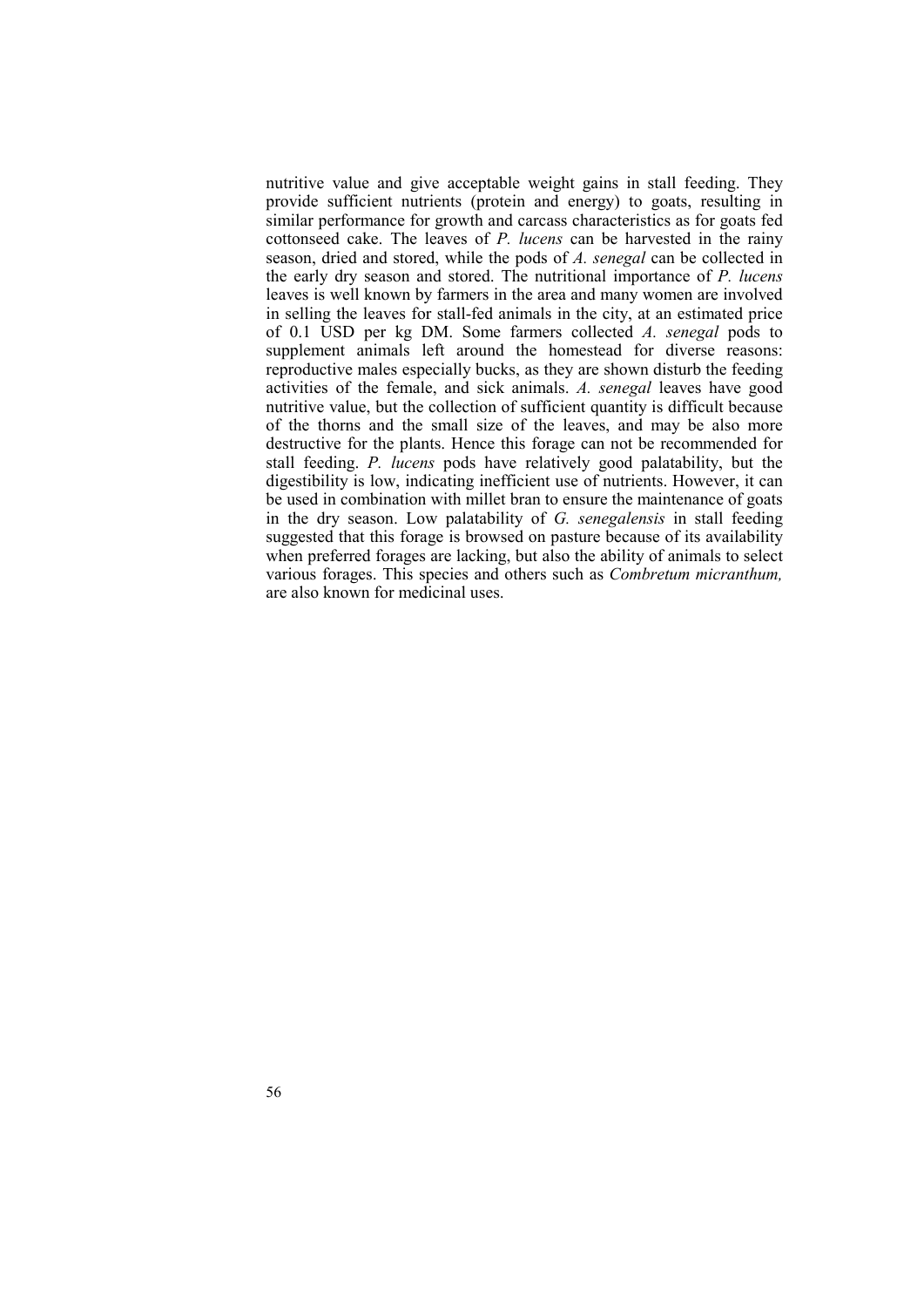nutritive value and give acceptable weight gains in stall feeding. They provide sufficient nutrients (protein and energy) to goats, resulting in similar performance for growth and carcass characteristics as for goats fed cottonseed cake. The leaves of *P. lucens* can be harvested in the rainy season, dried and stored, while the pods of *A. senegal* can be collected in the early dry season and stored. The nutritional importance of *P. lucens* leaves is well known by farmers in the area and many women are involved in selling the leaves for stall-fed animals in the city, at an estimated price of 0.1 USD per kg DM. Some farmers collected *A. senegal* pods to supplement animals left around the homestead for diverse reasons: reproductive males especially bucks, as they are shown disturb the feeding activities of the female, and sick animals. *A. senegal* leaves have good nutritive value, but the collection of sufficient quantity is difficult because of the thorns and the small size of the leaves, and may be also more destructive for the plants. Hence this forage can not be recommended for stall feeding. *P. lucens* pods have relatively good palatability, but the digestibility is low, indicating inefficient use of nutrients. However, it can be used in combination with millet bran to ensure the maintenance of goats in the dry season. Low palatability of *G. senegalensis* in stall feeding suggested that this forage is browsed on pasture because of its availability when preferred forages are lacking, but also the ability of animals to select various forages. This species and others such as *Combretum micranthum,* are also known for medicinal uses.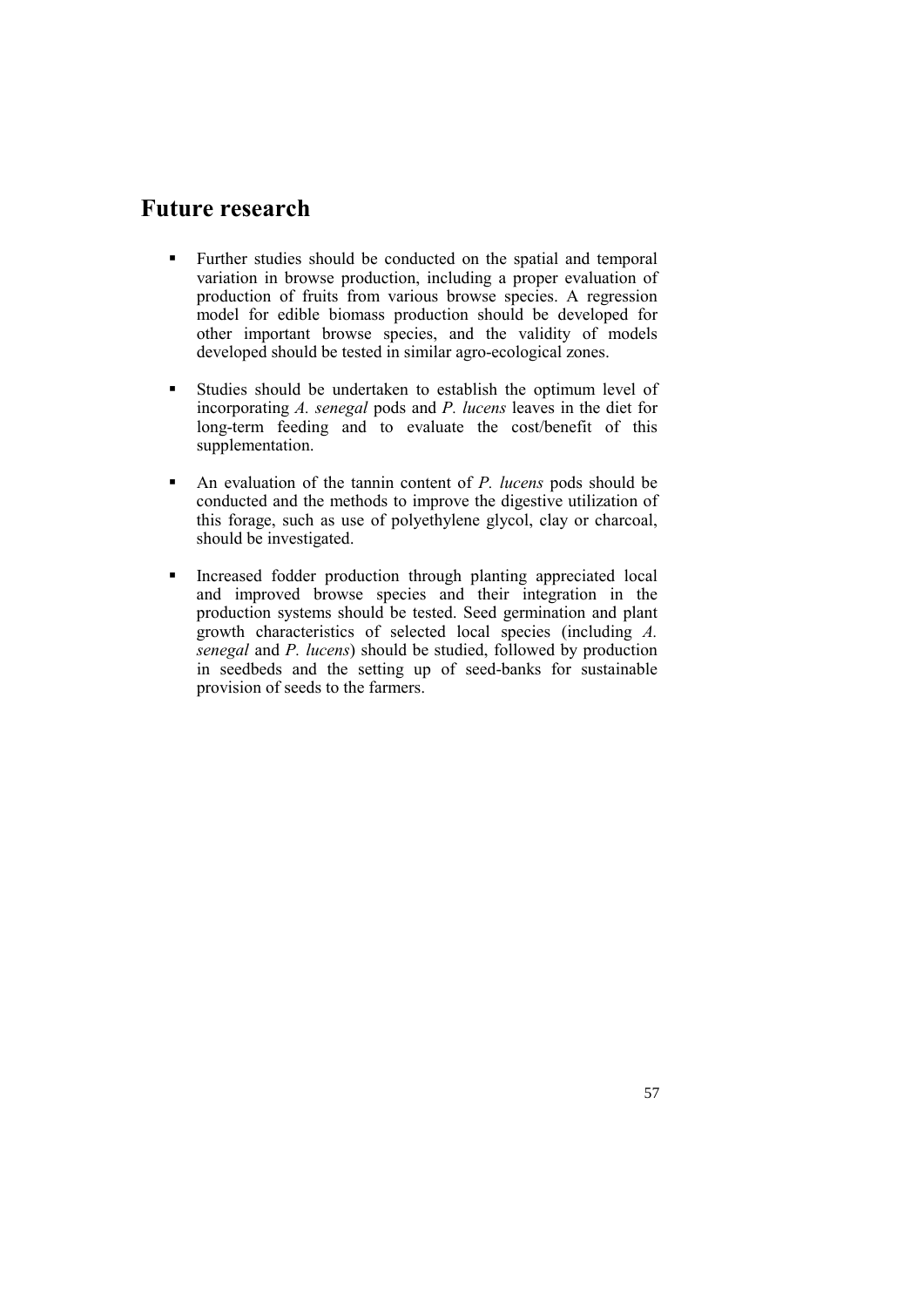## **Future research**

- Further studies should be conducted on the spatial and temporal variation in browse production, including a proper evaluation of production of fruits from various browse species. A regression model for edible biomass production should be developed for other important browse species, and the validity of models developed should be tested in similar agro-ecological zones.
- Studies should be undertaken to establish the optimum level of incorporating *A. senegal* pods and *P. lucens* leaves in the diet for long-term feeding and to evaluate the cost/benefit of this supplementation.
- An evaluation of the tannin content of *P. lucens* pods should be conducted and the methods to improve the digestive utilization of this forage, such as use of polyethylene glycol, clay or charcoal, should be investigated.
- **Increased fodder production through planting appreciated local** and improved browse species and their integration in the production systems should be tested. Seed germination and plant growth characteristics of selected local species (including *A. senegal* and *P. lucens*) should be studied, followed by production in seedbeds and the setting up of seed-banks for sustainable provision of seeds to the farmers.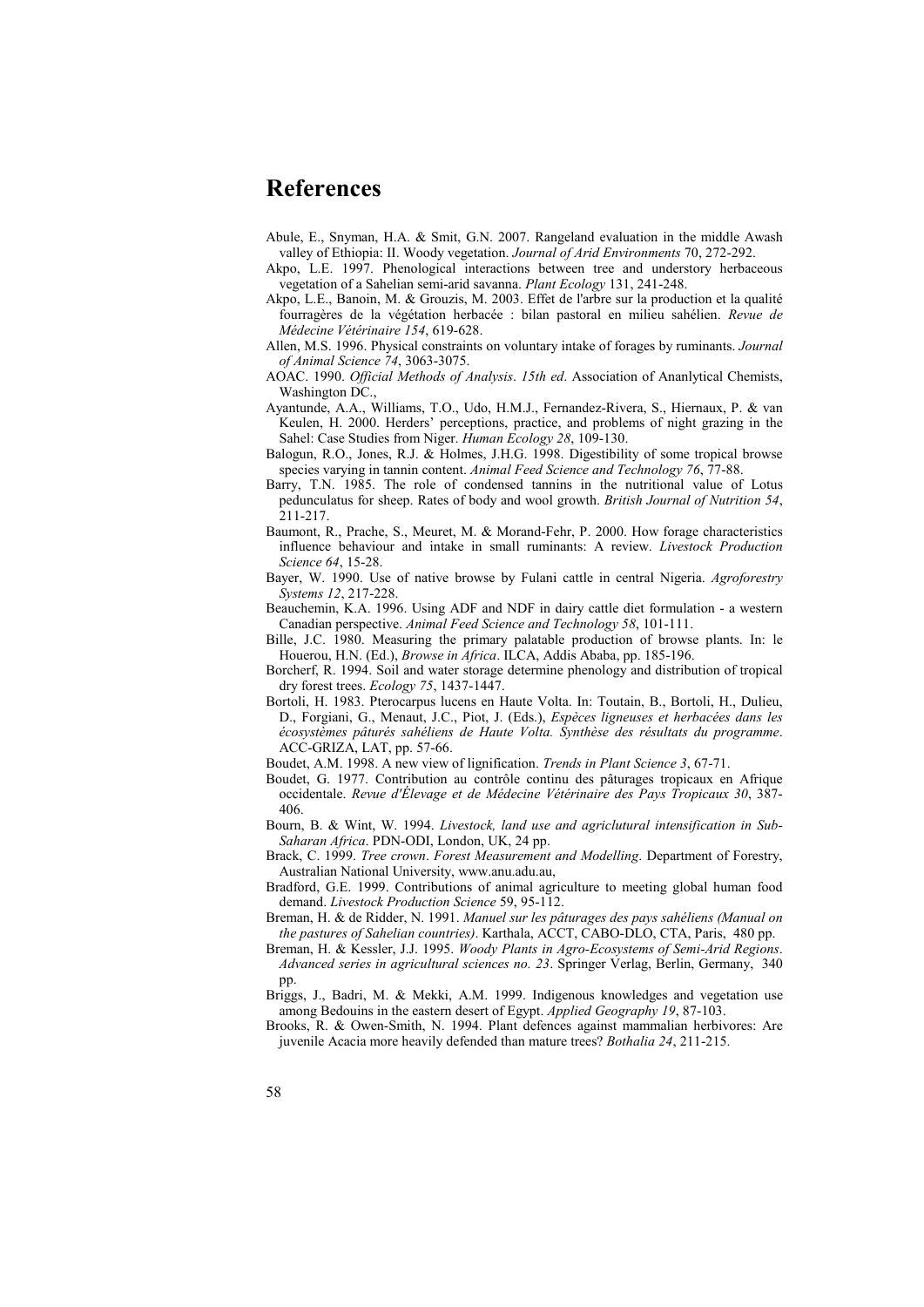## **References**

- Abule, E., Snyman, H.A. & Smit, G.N. 2007. Rangeland evaluation in the middle Awash valley of Ethiopia: II. Woody vegetation. *Journal of Arid Environments* 70, 272-292.
- Akpo, L.E. 1997. Phenological interactions between tree and understory herbaceous vegetation of a Sahelian semi-arid savanna. *Plant Ecology* 131, 241-248.
- Akpo, L.E., Banoin, M. & Grouzis, M. 2003. Effet de l'arbre sur la production et la qualité fourragères de la végétation herbacée : bilan pastoral en milieu sahélien. *Revue de Médecine Vétérinaire 154*, 619-628.
- Allen, M.S. 1996. Physical constraints on voluntary intake of forages by ruminants. *Journal of Animal Science 74*, 3063-3075.
- AOAC. 1990. *Official Methods of Analysis*. *15th ed*. Association of Ananlytical Chemists, Washington DC.,
- Ayantunde, A.A., Williams, T.O., Udo, H.M.J., Fernandez-Rivera, S., Hiernaux, P. & van Keulen, H. 2000. Herders' perceptions, practice, and problems of night grazing in the Sahel: Case Studies from Niger. *Human Ecology 28*, 109-130.
- Balogun, R.O., Jones, R.J. & Holmes, J.H.G. 1998. Digestibility of some tropical browse species varying in tannin content. *Animal Feed Science and Technology 76*, 77-88.
- Barry, T.N. 1985. The role of condensed tannins in the nutritional value of Lotus pedunculatus for sheep. Rates of body and wool growth. *British Journal of Nutrition 54*, 211-217.
- Baumont, R., Prache, S., Meuret, M. & Morand-Fehr, P. 2000. How forage characteristics influence behaviour and intake in small ruminants: A review. *Livestock Production Science 64*, 15-28.
- Bayer, W. 1990. Use of native browse by Fulani cattle in central Nigeria. *Agroforestry Systems 12*, 217-228.
- Beauchemin, K.A. 1996. Using ADF and NDF in dairy cattle diet formulation a western Canadian perspective. *Animal Feed Science and Technology 58*, 101-111.
- Bille, J.C. 1980. Measuring the primary palatable production of browse plants. In: le Houerou, H.N. (Ed.), *Browse in Africa*. ILCA, Addis Ababa, pp. 185-196.
- Borcherf, R. 1994. Soil and water storage determine phenology and distribution of tropical dry forest trees. *Ecology 75*, 1437-1447.
- Bortoli, H. 1983. Pterocarpus lucens en Haute Volta. In: Toutain, B., Bortoli, H., Dulieu, D., Forgiani, G., Menaut, J.C., Piot, J. (Eds.), *Espèces ligneuses et herbacées dans les écosystèmes pâturés sahéliens de Haute Volta. Synthèse des résultats du programme*. ACC-GRIZA, LAT, pp. 57-66.
- Boudet, A.M. 1998. A new view of lignification. *Trends in Plant Science 3*, 67-71.
- Boudet, G. 1977. Contribution au contrôle continu des pâturages tropicaux en Afrique occidentale. *Revue d'Élevage et de Médecine Vétérinaire des Pays Tropicaux 30*, 387- 406.
- Bourn, B. & Wint, W. 1994. *Livestock, land use and agriclutural intensification in Sub-Saharan Africa*. PDN-ODI, London, UK, 24 pp.
- Brack, C. 1999. *Tree crown*. *Forest Measurement and Modelling*. Department of Forestry, Australian National University, www.anu.adu.au,
- Bradford, G.E. 1999. Contributions of animal agriculture to meeting global human food demand. *Livestock Production Science* 59, 95-112.
- Breman, H. & de Ridder, N. 1991. *Manuel sur les pâturages des pays sahéliens (Manual on the pastures of Sahelian countries)*. Karthala, ACCT, CABO-DLO, CTA, Paris, 480 pp.
- Breman, H. & Kessler, J.J. 1995. *Woody Plants in Agro-Ecosystems of Semi-Arid Regions*. *Advanced series in agricultural sciences no. 23*. Springer Verlag, Berlin, Germany, 340 pp.
- Briggs, J., Badri, M. & Mekki, A.M. 1999. Indigenous knowledges and vegetation use among Bedouins in the eastern desert of Egypt. *Applied Geography 19*, 87-103.
- Brooks, R. & Owen-Smith, N. 1994. Plant defences against mammalian herbivores: Are juvenile Acacia more heavily defended than mature trees? *Bothalia 24*, 211-215.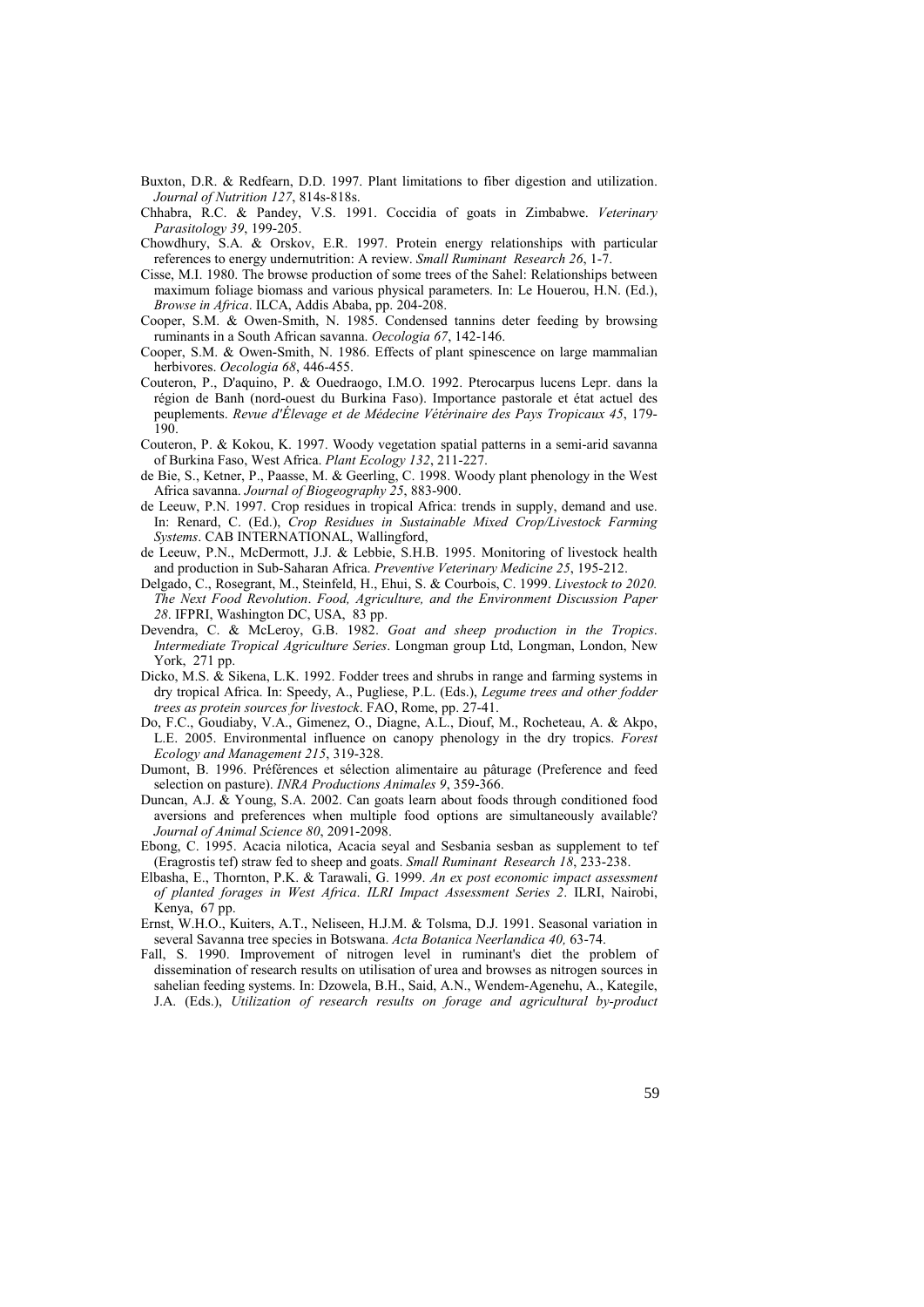- Buxton, D.R. & Redfearn, D.D. 1997. Plant limitations to fiber digestion and utilization. *Journal of Nutrition 127*, 814s-818s.
- Chhabra, R.C. & Pandey, V.S. 1991. Coccidia of goats in Zimbabwe. *Veterinary Parasitology 39*, 199-205.
- Chowdhury, S.A. & Orskov, E.R. 1997. Protein energy relationships with particular references to energy undernutrition: A review. *Small Ruminant Research 26*, 1-7.
- Cisse, M.I. 1980. The browse production of some trees of the Sahel: Relationships between maximum foliage biomass and various physical parameters. In: Le Houerou, H.N. (Ed.), *Browse in Africa*. ILCA, Addis Ababa, pp. 204-208.
- Cooper, S.M. & Owen-Smith, N. 1985. Condensed tannins deter feeding by browsing ruminants in a South African savanna. *Oecologia 67*, 142-146.
- Cooper, S.M. & Owen-Smith, N. 1986. Effects of plant spinescence on large mammalian herbivores. *Oecologia 68*, 446-455.
- Couteron, P., D'aquino, P. & Ouedraogo, I.M.O. 1992. Pterocarpus lucens Lepr. dans la région de Banh (nord-ouest du Burkina Faso). Importance pastorale et état actuel des peuplements. *Revue d'Élevage et de Médecine Vétérinaire des Pays Tropicaux 45*, 179- 190.
- Couteron, P. & Kokou, K. 1997. Woody vegetation spatial patterns in a semi-arid savanna of Burkina Faso, West Africa. *Plant Ecology 132*, 211-227.
- de Bie, S., Ketner, P., Paasse, M. & Geerling, C. 1998. Woody plant phenology in the West Africa savanna. *Journal of Biogeography 25*, 883-900.
- de Leeuw, P.N. 1997. Crop residues in tropical Africa: trends in supply, demand and use. In: Renard, C. (Ed.), *Crop Residues in Sustainable Mixed Crop/Livestock Farming Systems*. CAB INTERNATIONAL, Wallingford,
- de Leeuw, P.N., McDermott, J.J. & Lebbie, S.H.B. 1995. Monitoring of livestock health and production in Sub-Saharan Africa. *Preventive Veterinary Medicine 25*, 195-212.
- Delgado, C., Rosegrant, M., Steinfeld, H., Ehui, S. & Courbois, C. 1999. *Livestock to 2020. The Next Food Revolution*. *Food, Agriculture, and the Environment Discussion Paper 28*. IFPRI, Washington DC, USA, 83 pp.
- Devendra, C. & McLeroy, G.B. 1982. *Goat and sheep production in the Tropics*. *Intermediate Tropical Agriculture Series*. Longman group Ltd, Longman, London, New York, 271 pp.
- Dicko, M.S.  $\hat{\boldsymbol{\alpha}}$  Sikena, L.K. 1992. Fodder trees and shrubs in range and farming systems in dry tropical Africa. In: Speedy, A., Pugliese, P.L. (Eds.), *Legume trees and other fodder trees as protein sources for livestock*. FAO, Rome, pp. 27-41.
- Do, F.C., Goudiaby, V.A., Gimenez, O., Diagne, A.L., Diouf, M., Rocheteau, A. & Akpo, L.E. 2005. Environmental influence on canopy phenology in the dry tropics. *Forest Ecology and Management 215*, 319-328.
- Dumont, B. 1996. Préférences et sélection alimentaire au pâturage (Preference and feed selection on pasture). *INRA Productions Animales 9*, 359-366.
- Duncan, A.J. & Young, S.A. 2002. Can goats learn about foods through conditioned food aversions and preferences when multiple food options are simultaneously available? *Journal of Animal Science 80*, 2091-2098.
- Ebong, C. 1995. Acacia nilotica, Acacia seyal and Sesbania sesban as supplement to tef (Eragrostis tef) straw fed to sheep and goats. *Small Ruminant Research 18*, 233-238.
- Elbasha, E., Thornton, P.K. & Tarawali, G. 1999. *An ex post economic impact assessment of planted forages in West Africa*. *ILRI Impact Assessment Series 2*. ILRI, Nairobi, Kenya, 67 pp.
- Ernst, W.H.O., Kuiters, A.T., Neliseen, H.J.M. & Tolsma, D.J. 1991. Seasonal variation in several Savanna tree species in Botswana. *Acta Botanica Neerlandica 40,* 63-74.
- Fall, S. 1990. Improvement of nitrogen level in ruminant's diet the problem of dissemination of research results on utilisation of urea and browses as nitrogen sources in sahelian feeding systems. In: Dzowela, B.H., Said, A.N., Wendem-Agenehu, A., Kategile, J.A. (Eds.), *Utilization of research results on forage and agricultural by-product*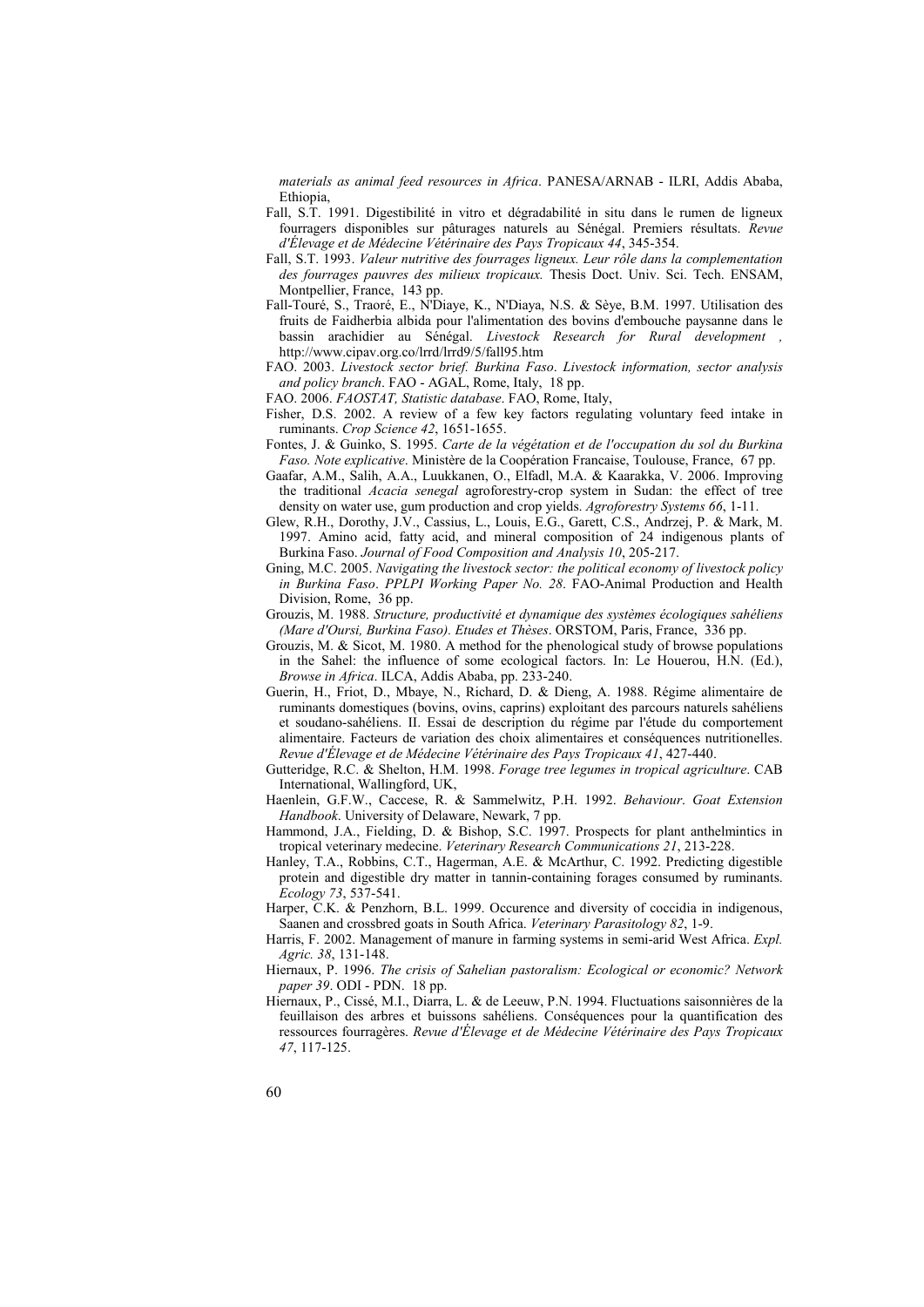*materials as animal feed resources in Africa*. PANESA/ARNAB - ILRI, Addis Ababa, Ethiopia,

- Fall, S.T. 1991. Digestibilité in vitro et dégradabilité in situ dans le rumen de ligneux fourragers disponibles sur pâturages naturels au Sénégal. Premiers résultats. *Revue d'Élevage et de Médecine Vétérinaire des Pays Tropicaux 44*, 345-354.
- Fall, S.T. 1993. *Valeur nutritive des fourrages ligneux. Leur rôle dans la complementation des fourrages pauvres des milieux tropicaux.* Thesis Doct. Univ. Sci. Tech. ENSAM, Montpellier, France, 143 pp.
- Fall-Touré, S., Traoré, E., N'Diaye, K., N'Diaya, N.S. & Sèye, B.M. 1997. Utilisation des fruits de Faidherbia albida pour l'alimentation des bovins d'embouche paysanne dans le bassin arachidier au Sénégal. *Livestock Research for Rural development ,*  http://www.cipav.org.co/lrrd/lrrd9/5/fall95.htm
- FAO. 2003. *Livestock sector brief. Burkina Faso*. *Livestock information, sector analysis and policy branch*. FAO - AGAL, Rome, Italy, 18 pp.

FAO. 2006. *FAOSTAT, Statistic database*. FAO, Rome, Italy,

- Fisher, D.S. 2002. A review of a few key factors regulating voluntary feed intake in ruminants. *Crop Science 42*, 1651-1655.
- Fontes, J. & Guinko, S. 1995. *Carte de la végétation et de l'occupation du sol du Burkina Faso. Note explicative*. Ministère de la Coopération Francaise, Toulouse, France, 67 pp.
- Gaafar, A.M., Salih, A.A., Luukkanen, O., Elfadl, M.A. & Kaarakka, V. 2006. Improving the traditional *Acacia senegal* agroforestry-crop system in Sudan: the effect of tree density on water use, gum production and crop yields. *Agroforestry Systems 66*, 1-11.
- Glew, R.H., Dorothy, J.V., Cassius, L., Louis, E.G., Garett, C.S., Andrzej, P. & Mark, M. 1997. Amino acid, fatty acid, and mineral composition of 24 indigenous plants of Burkina Faso. *Journal of Food Composition and Analysis 10*, 205-217.
- Gning, M.C. 2005. *Navigating the livestock sector: the political economy of livestock policy in Burkina Faso*. *PPLPI Working Paper No. 28*. FAO-Animal Production and Health Division, Rome, 36 pp.
- Grouzis, M. 1988. *Structure, productivité et dynamique des systèmes écologiques sahéliens (Mare d'Oursi, Burkina Faso). Etudes et Thèses*. ORSTOM, Paris, France, 336 pp.
- Grouzis, M. & Sicot, M. 1980. A method for the phenological study of browse populations in the Sahel: the influence of some ecological factors. In: Le Houerou, H.N. (Ed.), *Browse in Africa*. ILCA, Addis Ababa, pp. 233-240.
- Guerin, H., Friot, D., Mbaye, N., Richard, D. & Dieng, A. 1988. Régime alimentaire de ruminants domestiques (bovins, ovins, caprins) exploitant des parcours naturels sahéliens et soudano-sahéliens. II. Essai de description du régime par l'étude du comportement alimentaire. Facteurs de variation des choix alimentaires et conséquences nutritionelles. *Revue d'Élevage et de Médecine Vétérinaire des Pays Tropicaux 41*, 427-440.
- Gutteridge, R.C. & Shelton, H.M. 1998. *Forage tree legumes in tropical agriculture*. CAB International, Wallingford, UK,
- Haenlein, G.F.W., Caccese, R. & Sammelwitz, P.H. 1992. *Behaviour*. *Goat Extension Handbook*. University of Delaware, Newark, 7 pp.
- Hammond, J.A., Fielding, D. & Bishop, S.C. 1997. Prospects for plant anthelmintics in tropical veterinary medecine. *Veterinary Research Communications 21*, 213-228.
- Hanley, T.A., Robbins, C.T., Hagerman, A.E. & McArthur, C. 1992. Predicting digestible protein and digestible dry matter in tannin-containing forages consumed by ruminants. *Ecology 73*, 537-541.
- Harper, C.K. & Penzhorn, B.L. 1999. Occurence and diversity of coccidia in indigenous, Saanen and crossbred goats in South Africa. *Veterinary Parasitology 82*, 1-9.
- Harris, F. 2002. Management of manure in farming systems in semi-arid West Africa. *Expl. Agric. 38*, 131-148.
- Hiernaux, P. 1996. *The crisis of Sahelian pastoralism: Ecological or economic? Network paper 39*. ODI - PDN. 18 pp.
- Hiernaux, P., Cissé, M.I., Diarra, L. & de Leeuw, P.N. 1994. Fluctuations saisonnières de la feuillaison des arbres et buissons sahéliens. Conséquences pour la quantification des ressources fourragères. *Revue d'Élevage et de Médecine Vétérinaire des Pays Tropicaux 47*, 117-125.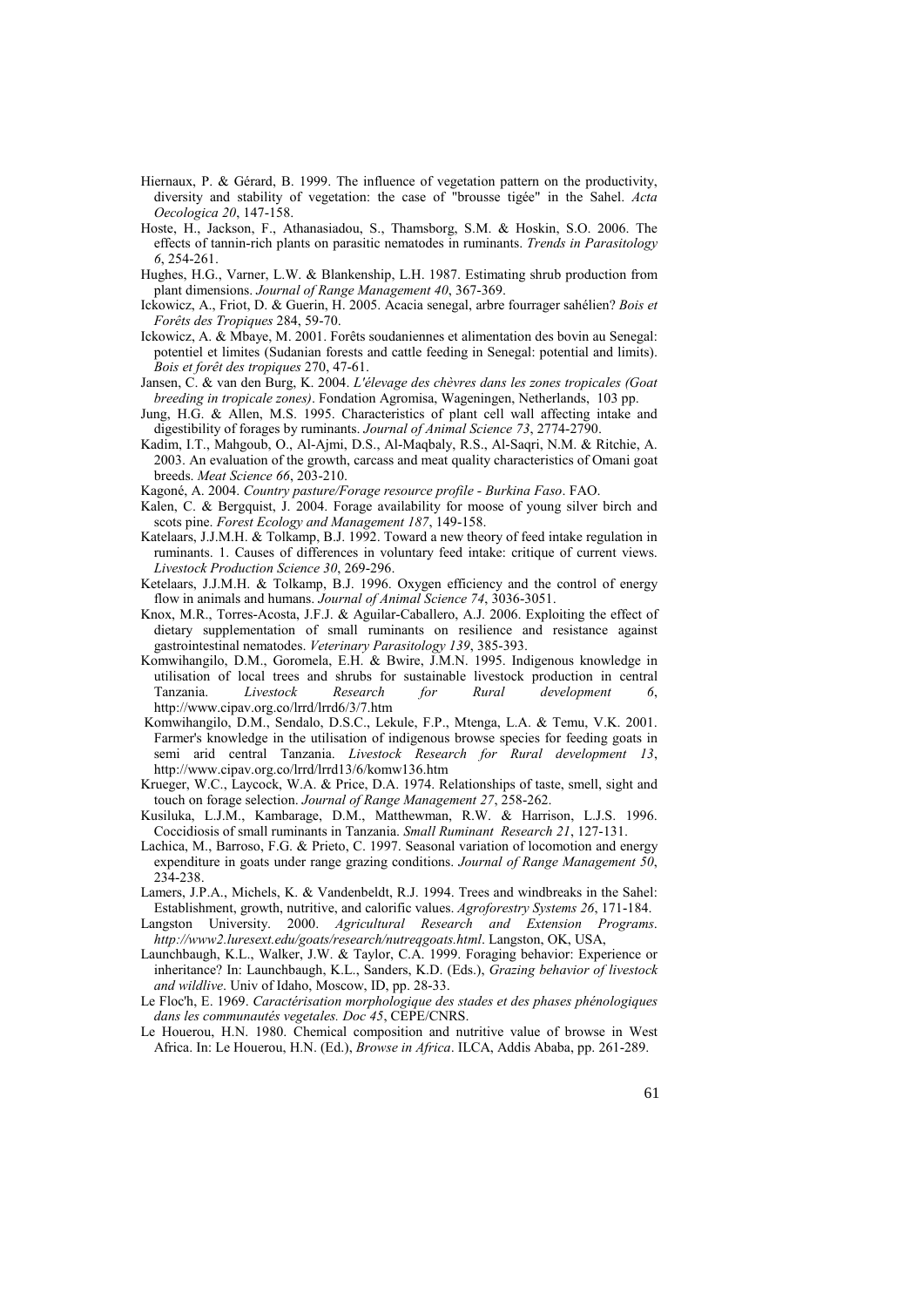- Hiernaux, P. & Gérard, B. 1999. The influence of vegetation pattern on the productivity, diversity and stability of vegetation: the case of "brousse tigée" in the Sahel. *Acta Oecologica 20*, 147-158.
- Hoste, H., Jackson, F., Athanasiadou, S., Thamsborg, S.M. & Hoskin, S.O. 2006. The effects of tannin-rich plants on parasitic nematodes in ruminants. *Trends in Parasitology 6*, 254-261.
- Hughes, H.G., Varner, L.W. & Blankenship, L.H. 1987. Estimating shrub production from plant dimensions. *Journal of Range Management 40*, 367-369.
- Ickowicz, A., Friot, D. & Guerin, H. 2005. Acacia senegal, arbre fourrager sahélien? *Bois et Forêts des Tropiques* 284, 59-70.
- Ickowicz, A. & Mbaye, M. 2001. Forêts soudaniennes et alimentation des bovin au Senegal: potentiel et limites (Sudanian forests and cattle feeding in Senegal: potential and limits). *Bois et forêt des tropiques* 270, 47-61.
- Jansen, C. & van den Burg, K. 2004. *L'élevage des chèvres dans les zones tropicales (Goat breeding in tropicale zones)*. Fondation Agromisa, Wageningen, Netherlands, 103 pp.
- Jung, H.G. & Allen, M.S. 1995. Characteristics of plant cell wall affecting intake and digestibility of forages by ruminants. *Journal of Animal Science 73*, 2774-2790.
- Kadim, I.T., Mahgoub, O., Al-Ajmi, D.S., Al-Maqbaly, R.S., Al-Saqri, N.M. & Ritchie, A. 2003. An evaluation of the growth, carcass and meat quality characteristics of Omani goat breeds. *Meat Science 66*, 203-210.
- Kagoné, A. 2004. *Country pasture/Forage resource profile Burkina Faso*. FAO.
- Kalen, C. & Bergquist, J. 2004. Forage availability for moose of young silver birch and scots pine. *Forest Ecology and Management 187*, 149-158.
- Katelaars, J.J.M.H. & Tolkamp, B.J. 1992. Toward a new theory of feed intake regulation in ruminants. 1. Causes of differences in voluntary feed intake: critique of current views. *Livestock Production Science 30*, 269-296.
- Ketelaars, J.J.M.H. & Tolkamp, B.J. 1996. Oxygen efficiency and the control of energy flow in animals and humans. *Journal of Animal Science 74*, 3036-3051.
- Knox, M.R., Torres-Acosta, J.F.J. & Aguilar-Caballero, A.J. 2006. Exploiting the effect of dietary supplementation of small ruminants on resilience and resistance against gastrointestinal nematodes. *Veterinary Parasitology 139*, 385-393.
- Komwihangilo, D.M., Goromela, E.H. & Bwire, J.M.N. 1995. Indigenous knowledge in utilisation of local trees and shrubs for sustainable livestock production in central Tanzania. *Livestock Research for Rural development 6*, http://www.cipav.org.co/lrrd/lrrd6/3/7.htm
- Komwihangilo, D.M., Sendalo, D.S.C., Lekule, F.P., Mtenga, L.A. & Temu, V.K. 2001. Farmer's knowledge in the utilisation of indigenous browse species for feeding goats in semi arid central Tanzania. *Livestock Research for Rural development 13*, http://www.cipav.org.co/lrrd/lrrd13/6/komw136.htm
- Krueger, W.C., Laycock, W.A. & Price, D.A. 1974. Relationships of taste, smell, sight and touch on forage selection. *Journal of Range Management 27*, 258-262.
- Kusiluka, L.J.M., Kambarage, D.M., Matthewman, R.W. & Harrison, L.J.S. 1996. Coccidiosis of small ruminants in Tanzania. *Small Ruminant Research 21*, 127-131.
- Lachica, M., Barroso, F.G. & Prieto, C. 1997. Seasonal variation of locomotion and energy expenditure in goats under range grazing conditions. *Journal of Range Management 50*, 234-238.
- Lamers, J.P.A., Michels, K. & Vandenbeldt, R.J. 1994. Trees and windbreaks in the Sahel: Establishment, growth, nutritive, and calorific values. *Agroforestry Systems 26*, 171-184.
- Langston University. 2000. *Agricultural Research and Extension Programs*. *http://www2.luresext.edu/goats/research/nutreqgoats.html*. Langston, OK, USA,
- Launchbaugh, K.L., Walker, J.W. & Taylor, C.A. 1999. Foraging behavior: Experience or inheritance? In: Launchbaugh, K.L., Sanders, K.D. (Eds.), *Grazing behavior of livestock and wildlive*. Univ of Idaho, Moscow, ID, pp. 28-33.
- Le Floc'h, E. 1969. *Caractérisation morphologique des stades et des phases phénologiques dans les communautés vegetales. Doc 45*, CEPE/CNRS.
- Le Houerou, H.N. 1980. Chemical composition and nutritive value of browse in West Africa. In: Le Houerou, H.N. (Ed.), *Browse in Africa*. ILCA, Addis Ababa, pp. 261-289.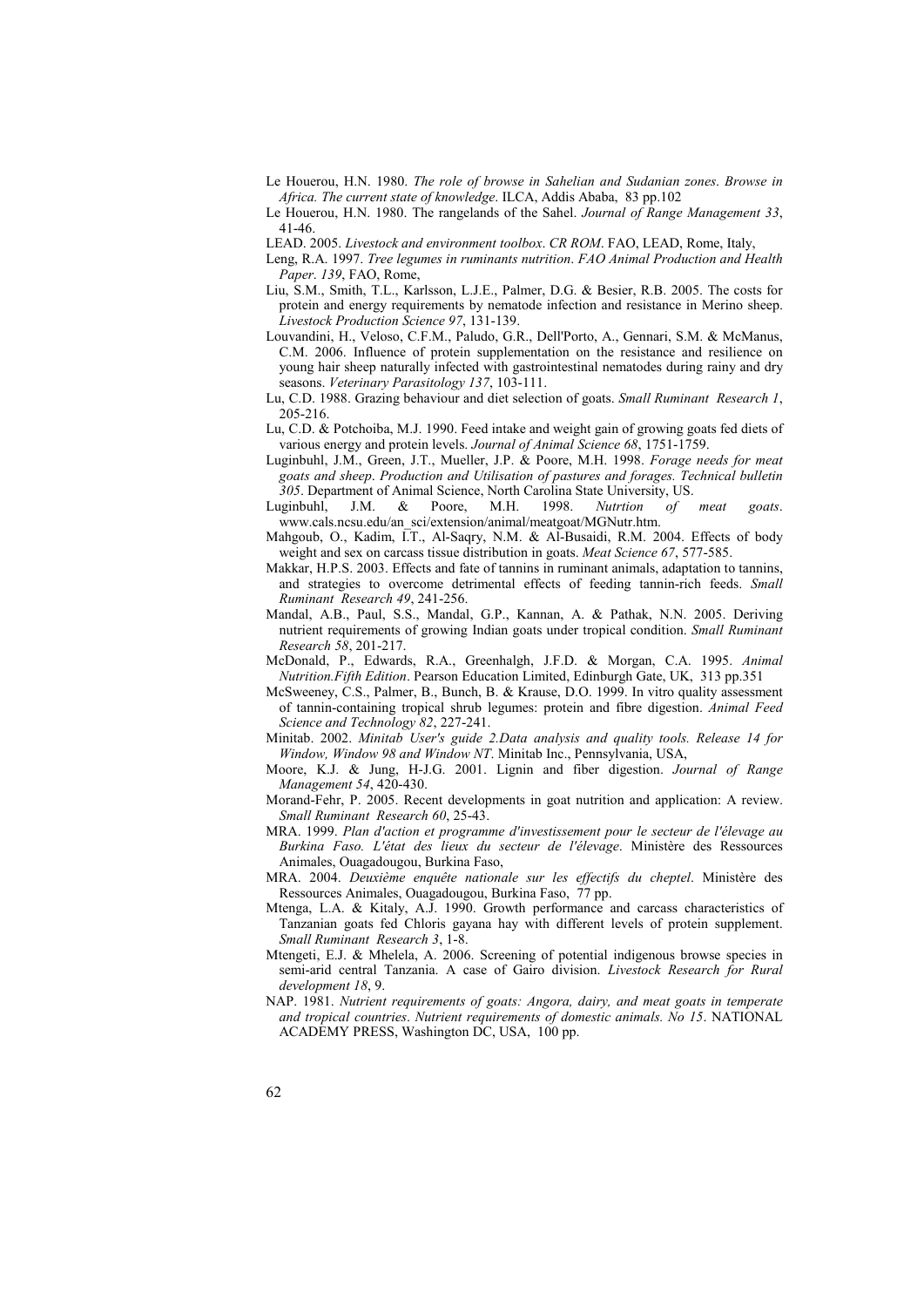- Le Houerou, H.N. 1980. *The role of browse in Sahelian and Sudanian zones*. *Browse in Africa. The current state of knowledge*. ILCA, Addis Ababa, 83 pp.102
- Le Houerou, H.N. 1980. The rangelands of the Sahel. *Journal of Range Management 33*, 41-46.
- LEAD. 2005. *Livestock and environment toolbox*. *CR ROM*. FAO, LEAD, Rome, Italy,
- Leng, R.A. 1997. *Tree legumes in ruminants nutrition*. *FAO Animal Production and Health Paper*. *139*, FAO, Rome,
- Liu, S.M., Smith, T.L., Karlsson, L.J.E., Palmer, D.G. & Besier, R.B. 2005. The costs for protein and energy requirements by nematode infection and resistance in Merino sheep. *Livestock Production Science 97*, 131-139.
- Louvandini, H., Veloso, C.F.M., Paludo, G.R., Dell'Porto, A., Gennari, S.M. & McManus, C.M. 2006. Influence of protein supplementation on the resistance and resilience on young hair sheep naturally infected with gastrointestinal nematodes during rainy and dry seasons. *Veterinary Parasitology 137*, 103-111.
- Lu, C.D. 1988. Grazing behaviour and diet selection of goats. *Small Ruminant Research 1*, 205-216.
- Lu, C.D. & Potchoiba, M.J. 1990. Feed intake and weight gain of growing goats fed diets of various energy and protein levels. *Journal of Animal Science 68*, 1751-1759.
- Luginbuhl, J.M., Green, J.T., Mueller, J.P. & Poore, M.H. 1998. *Forage needs for meat goats and sheep*. *Production and Utilisation of pastures and forages. Technical bulletin 305*. Department of Animal Science, North Carolina State University, US.
- Luginbuhl, J.M. & Poore, M.H. 1998. *Nutrtion of meat goats*. www.cals.ncsu.edu/an\_sci/extension/animal/meatgoat/MGNutr.htm.
- Mahgoub, O., Kadim, I.T., Al-Saqry, N.M. & Al-Busaidi, R.M. 2004. Effects of body weight and sex on carcass tissue distribution in goats. *Meat Science 67*, 577-585.
- Makkar, H.P.S. 2003. Effects and fate of tannins in ruminant animals, adaptation to tannins, and strategies to overcome detrimental effects of feeding tannin-rich feeds. *Small Ruminant Research 49*, 241-256.
- Mandal, A.B., Paul, S.S., Mandal, G.P., Kannan, A. & Pathak, N.N. 2005. Deriving nutrient requirements of growing Indian goats under tropical condition. *Small Ruminant Research 58*, 201-217.
- McDonald, P., Edwards, R.A., Greenhalgh, J.F.D. & Morgan, C.A. 1995. *Animal Nutrition.Fifth Edition*. Pearson Education Limited, Edinburgh Gate, UK, 313 pp.351
- McSweeney, C.S., Palmer, B., Bunch, B. & Krause, D.O. 1999. In vitro quality assessment of tannin-containing tropical shrub legumes: protein and fibre digestion. *Animal Feed Science and Technology 82*, 227-241.
- Minitab. 2002. *Minitab User's guide 2.Data analysis and quality tools. Release 14 for Window, Window 98 and Window NT*. Minitab Inc., Pennsylvania, USA,
- Moore, K.J. & Jung, H-J.G. 2001. Lignin and fiber digestion. *Journal of Range Management 54*, 420-430.
- Morand-Fehr, P. 2005. Recent developments in goat nutrition and application: A review. *Small Ruminant Research 60*, 25-43.
- MRA. 1999. *Plan d'action et programme d'investissement pour le secteur de l'élevage au Burkina Faso. L'état des lieux du secteur de l'élevage*. Ministère des Ressources Animales, Ouagadougou, Burkina Faso,
- MRA. 2004. *Deuxième enquête nationale sur les effectifs du cheptel*. Ministère des Ressources Animales, Ouagadougou, Burkina Faso, 77 pp.
- Mtenga, L.A. & Kitaly, A.J. 1990. Growth performance and carcass characteristics of Tanzanian goats fed Chloris gayana hay with different levels of protein supplement. *Small Ruminant Research 3*, 1-8.
- Mtengeti, E.J. & Mhelela, A. 2006. Screening of potential indigenous browse species in semi-arid central Tanzania. A case of Gairo division. *Livestock Research for Rural development 18*, 9.
- NAP. 1981. *Nutrient requirements of goats: Angora, dairy, and meat goats in temperate and tropical countries*. *Nutrient requirements of domestic animals. No 15*. NATIONAL ACADEMY PRESS, Washington DC, USA, 100 pp.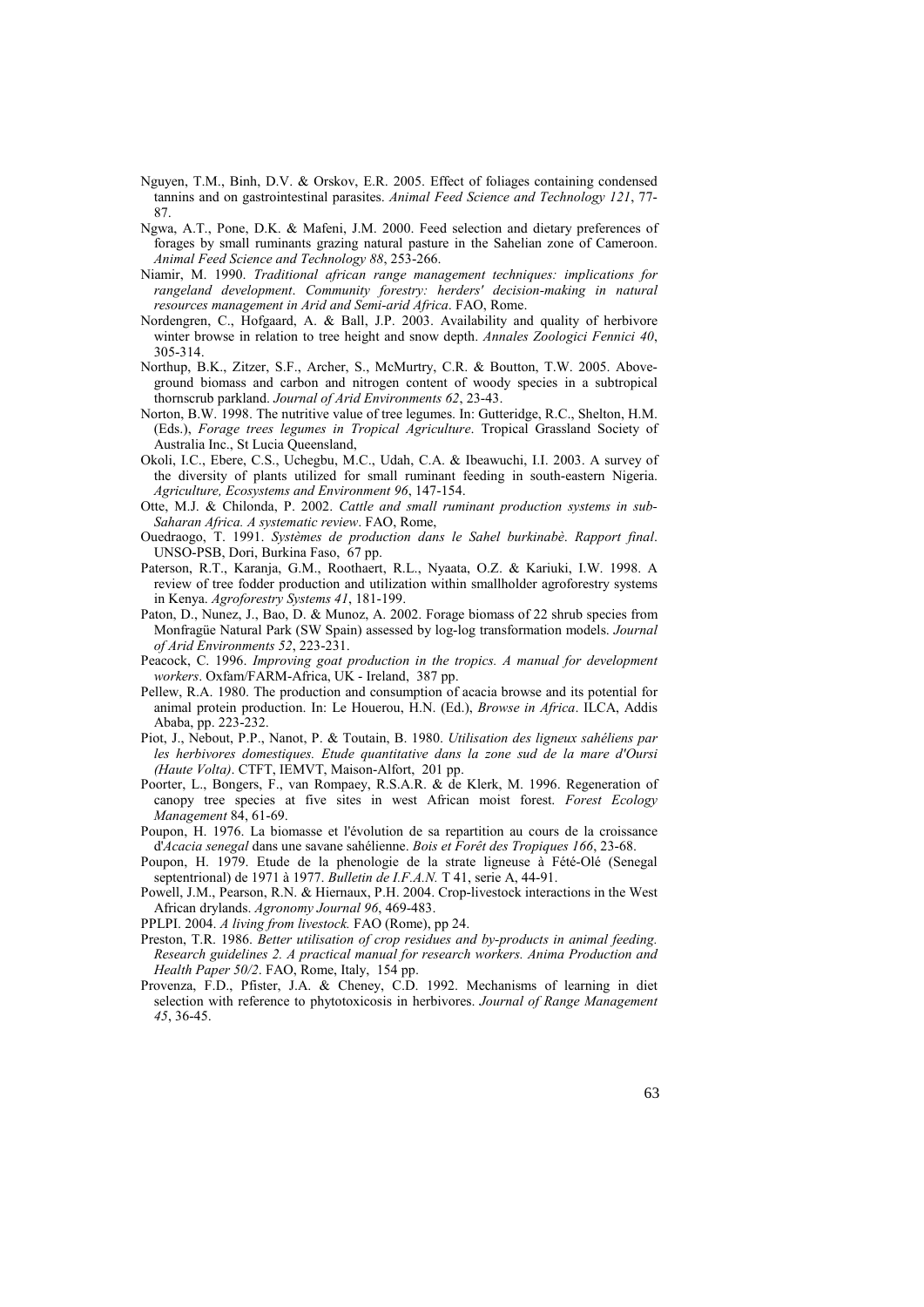- Nguyen, T.M., Binh, D.V. & Orskov, E.R. 2005. Effect of foliages containing condensed tannins and on gastrointestinal parasites. *Animal Feed Science and Technology 121*, 77- 87.
- Ngwa, A.T., Pone, D.K. & Mafeni, J.M. 2000. Feed selection and dietary preferences of forages by small ruminants grazing natural pasture in the Sahelian zone of Cameroon. *Animal Feed Science and Technology 88*, 253-266.
- Niamir, M. 1990. *Traditional african range management techniques: implications for rangeland development*. *Community forestry: herders' decision-making in natural resources management in Arid and Semi-arid Africa*. FAO, Rome.
- Nordengren, C., Hofgaard, A. & Ball, J.P. 2003. Availability and quality of herbivore winter browse in relation to tree height and snow depth. *Annales Zoologici Fennici 40*, 305-314.
- Northup, B.K., Zitzer, S.F., Archer, S., McMurtry, C.R. & Boutton, T.W. 2005. Aboveground biomass and carbon and nitrogen content of woody species in a subtropical thornscrub parkland. *Journal of Arid Environments 62*, 23-43.
- Norton, B.W. 1998. The nutritive value of tree legumes. In: Gutteridge, R.C., Shelton, H.M. (Eds.), *Forage trees legumes in Tropical Agriculture*. Tropical Grassland Society of Australia Inc., St Lucia Queensland,
- Okoli, I.C., Ebere, C.S., Uchegbu, M.C., Udah, C.A. & Ibeawuchi, I.I. 2003. A survey of the diversity of plants utilized for small ruminant feeding in south-eastern Nigeria. *Agriculture, Ecosystems and Environment 96*, 147-154.
- Otte, M.J. & Chilonda, P. 2002. *Cattle and small ruminant production systems in sub-Saharan Africa. A systematic review*. FAO, Rome,
- Ouedraogo, T. 1991. *Systèmes de production dans le Sahel burkinabè*. *Rapport final*. UNSO-PSB, Dori, Burkina Faso, 67 pp.
- Paterson, R.T., Karanja, G.M., Roothaert, R.L., Nyaata, O.Z. & Kariuki, I.W. 1998. A review of tree fodder production and utilization within smallholder agroforestry systems in Kenya. *Agroforestry Systems 41*, 181-199.
- Paton, D., Nunez, J., Bao, D. & Munoz, A. 2002. Forage biomass of 22 shrub species from Monfragüe Natural Park (SW Spain) assessed by log-log transformation models. *Journal of Arid Environments 52*, 223-231.
- Peacock, C. 1996. *Improving goat production in the tropics. A manual for development workers*. Oxfam/FARM-Africa, UK - Ireland, 387 pp.
- Pellew, R.A. 1980. The production and consumption of acacia browse and its potential for animal protein production. In: Le Houerou, H.N. (Ed.), *Browse in Africa*. ILCA, Addis Ababa, pp. 223-232.
- Piot, J., Nebout, P.P., Nanot, P. & Toutain, B. 1980. *Utilisation des ligneux sahéliens par les herbivores domestiques. Etude quantitative dans la zone sud de la mare d'Oursi (Haute Volta)*. CTFT, IEMVT, Maison-Alfort, 201 pp.
- Poorter, L., Bongers, F., van Rompaey, R.S.A.R. & de Klerk, M. 1996. Regeneration of canopy tree species at five sites in west African moist forest. *Forest Ecology Management* 84, 61-69.
- Poupon, H. 1976. La biomasse et l'évolution de sa repartition au cours de la croissance d'*Acacia senegal* dans une savane sahélienne. *Bois et Forêt des Tropiques 166*, 23-68.
- Poupon, H. 1979. Etude de la phenologie de la strate ligneuse à Fété-Olé (Senegal septentrional) de 1971 à 1977. *Bulletin de I.F.A.N.* T 41, serie A, 44-91.
- Powell, J.M., Pearson, R.N. & Hiernaux, P.H. 2004. Crop-livestock interactions in the West African drylands. *Agronomy Journal 96*, 469-483.
- PPLPI. 2004. *A living from livestock.* FAO (Rome), pp 24.
- Preston, T.R. 1986. *Better utilisation of crop residues and by-products in animal feeding. Research guidelines 2. A practical manual for research workers. Anima Production and Health Paper 50/2*. FAO, Rome, Italy, 154 pp.
- Provenza, F.D., Pfister, J.A. & Cheney, C.D. 1992. Mechanisms of learning in diet selection with reference to phytotoxicosis in herbivores. *Journal of Range Management 45*, 36-45.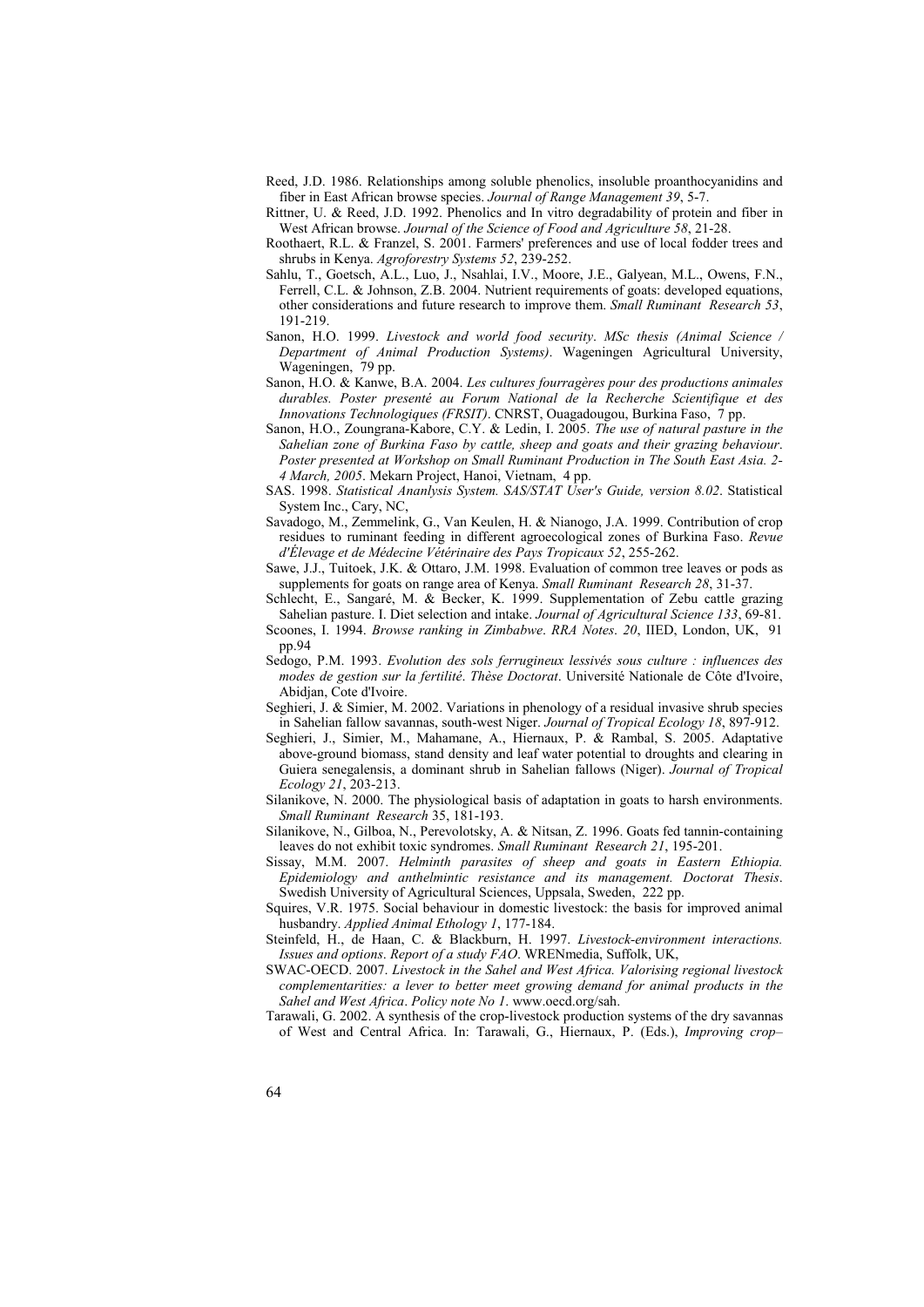- Reed, J.D. 1986. Relationships among soluble phenolics, insoluble proanthocyanidins and fiber in East African browse species. *Journal of Range Management 39*, 5-7.
- Rittner, U. & Reed, J.D. 1992. Phenolics and In vitro degradability of protein and fiber in West African browse. *Journal of the Science of Food and Agriculture 58*, 21-28.
- Roothaert, R.L. & Franzel, S. 2001. Farmers' preferences and use of local fodder trees and shrubs in Kenya. *Agroforestry Systems 52*, 239-252.
- Sahlu, T., Goetsch, A.L., Luo, J., Nsahlai, I.V., Moore, J.E., Galyean, M.L., Owens, F.N., Ferrell, C.L. & Johnson, Z.B. 2004. Nutrient requirements of goats: developed equations, other considerations and future research to improve them. *Small Ruminant Research 53*, 191-219.
- Sanon, H.O. 1999. *Livestock and world food security*. *MSc thesis (Animal Science / Department of Animal Production Systems)*. Wageningen Agricultural University, Wageningen, 79 pp.
- Sanon, H.O. & Kanwe, B.A. 2004. *Les cultures fourragères pour des productions animales durables. Poster presenté au Forum National de la Recherche Scientifique et des Innovations Technologiques (FRSIT)*. CNRST, Ouagadougou, Burkina Faso, 7 pp.
- Sanon, H.O., Zoungrana-Kabore, C.Y. & Ledin, I. 2005. *The use of natural pasture in the Sahelian zone of Burkina Faso by cattle, sheep and goats and their grazing behaviour*. *Poster presented at Workshop on Small Ruminant Production in The South East Asia. 2- 4 March, 2005*. Mekarn Project, Hanoi, Vietnam, 4 pp.
- SAS. 1998. *Statistical Ananlysis System. SAS/STAT User's Guide, version 8.02*. Statistical System Inc., Cary, NC,
- Savadogo, M., Zemmelink, G., Van Keulen, H. & Nianogo, J.A. 1999. Contribution of crop residues to ruminant feeding in different agroecological zones of Burkina Faso. *Revue d'Élevage et de Médecine Vétérinaire des Pays Tropicaux 52*, 255-262.
- Sawe, J.J., Tuitoek, J.K. & Ottaro, J.M. 1998. Evaluation of common tree leaves or pods as supplements for goats on range area of Kenya. *Small Ruminant Research 28*, 31-37.
- Schlecht, E., Sangaré, M. & Becker, K. 1999. Supplementation of Zebu cattle grazing Sahelian pasture. I. Diet selection and intake. *Journal of Agricultural Science 133*, 69-81. Scoones, I. 1994. *Browse ranking in Zimbabwe*. *RRA Notes*. *20*, IIED, London, UK, 91
- pp.94 Sedogo, P.M. 1993. *Evolution des sols ferrugineux lessivés sous culture : influences des*
- *modes de gestion sur la fertilité*. *Thèse Doctorat*. Université Nationale de Côte d'Ivoire, Abidjan, Cote d'Ivoire.
- Seghieri, J. & Simier, M. 2002. Variations in phenology of a residual invasive shrub species in Sahelian fallow savannas, south-west Niger. *Journal of Tropical Ecology 18*, 897-912.
- Seghieri, J., Simier, M., Mahamane, A., Hiernaux, P. & Rambal, S. 2005. Adaptative above-ground biomass, stand density and leaf water potential to droughts and clearing in Guiera senegalensis, a dominant shrub in Sahelian fallows (Niger). *Journal of Tropical Ecology 21*, 203-213.
- Silanikove, N. 2000. The physiological basis of adaptation in goats to harsh environments. *Small Ruminant Research* 35, 181-193.
- Silanikove, N., Gilboa, N., Perevolotsky, A. & Nitsan, Z. 1996. Goats fed tannin-containing leaves do not exhibit toxic syndromes. *Small Ruminant Research 21*, 195-201.
- Sissay, M.M. 2007. *Helminth parasites of sheep and goats in Eastern Ethiopia. Epidemiology and anthelmintic resistance and its management. Doctorat Thesis*. Swedish University of Agricultural Sciences, Uppsala, Sweden, 222 pp.
- Squires, V.R. 1975. Social behaviour in domestic livestock: the basis for improved animal husbandry. *Applied Animal Ethology 1*, 177-184.
- Steinfeld, H., de Haan, C. & Blackburn, H. 1997. *Livestock-environment interactions. Issues and options*. *Report of a study FAO*. WRENmedia, Suffolk, UK,
- SWAC-OECD. 2007. *Livestock in the Sahel and West Africa. Valorising regional livestock complementarities: a lever to better meet growing demand for animal products in the Sahel and West Africa*. *Policy note No 1*. www.oecd.org/sah.
- Tarawali, G. 2002. A synthesis of the crop-livestock production systems of the dry savannas of West and Central Africa. In: Tarawali, G., Hiernaux, P. (Eds.), *Improving crop–*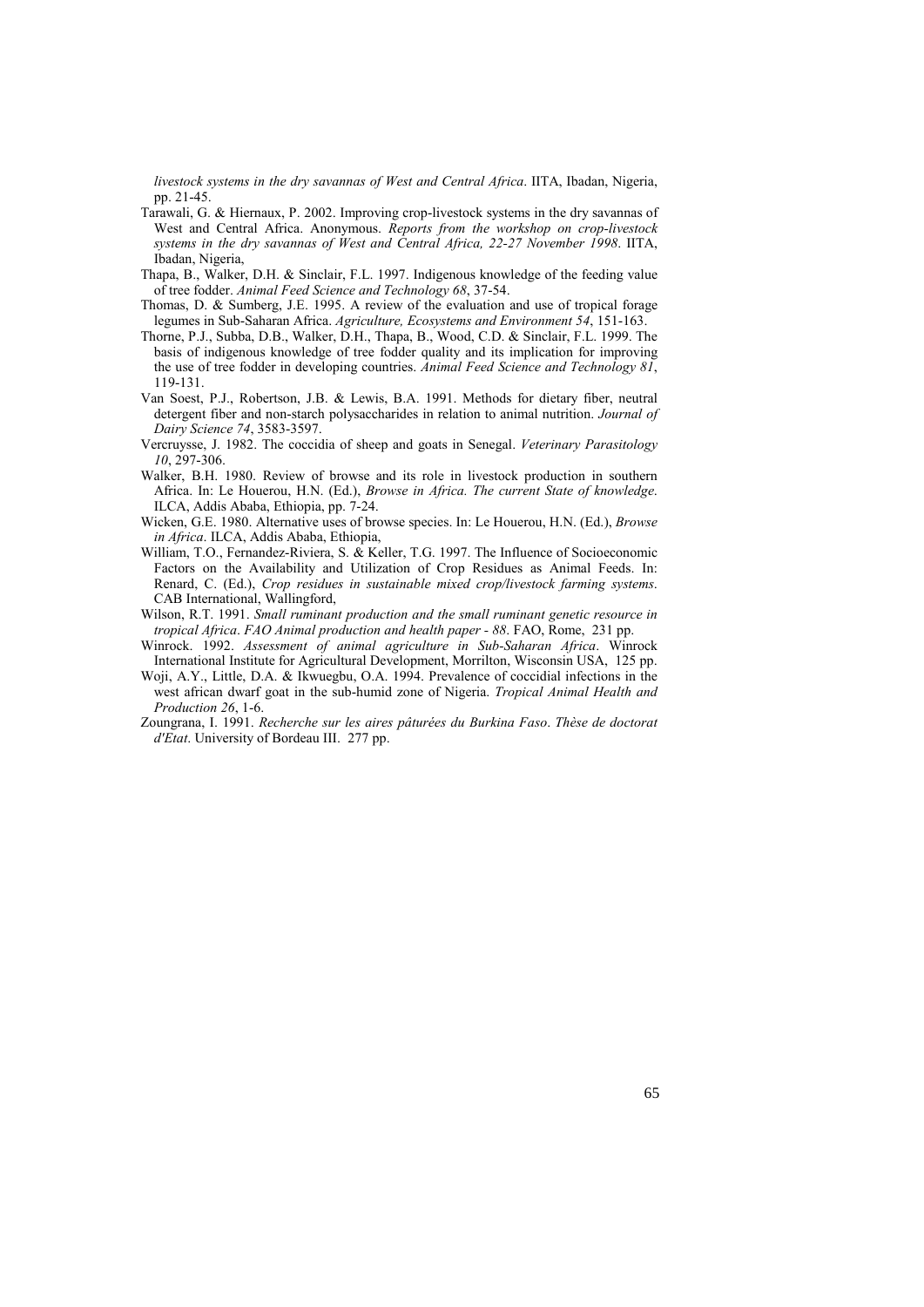*livestock systems in the dry savannas of West and Central Africa*. IITA, Ibadan, Nigeria, pp. 21-45.

- Tarawali, G. & Hiernaux, P. 2002. Improving crop-livestock systems in the dry savannas of West and Central Africa. Anonymous. *Reports from the workshop on crop-livestock systems in the dry savannas of West and Central Africa, 22-27 November 1998*. IITA, Ibadan, Nigeria,
- Thapa, B., Walker, D.H. & Sinclair, F.L. 1997. Indigenous knowledge of the feeding value of tree fodder. *Animal Feed Science and Technology 68*, 37-54.
- Thomas, D. & Sumberg, J.E. 1995. A review of the evaluation and use of tropical forage legumes in Sub-Saharan Africa. *Agriculture, Ecosystems and Environment 54*, 151-163.
- Thorne, P.J., Subba, D.B., Walker, D.H., Thapa, B., Wood, C.D. & Sinclair, F.L. 1999. The basis of indigenous knowledge of tree fodder quality and its implication for improving the use of tree fodder in developing countries. *Animal Feed Science and Technology 81*, 119-131.
- Van Soest, P.J., Robertson, J.B. & Lewis, B.A. 1991. Methods for dietary fiber, neutral detergent fiber and non-starch polysaccharides in relation to animal nutrition. *Journal of Dairy Science 74*, 3583-3597.
- Vercruysse, J. 1982. The coccidia of sheep and goats in Senegal. *Veterinary Parasitology 10*, 297-306.
- Walker, B.H. 1980. Review of browse and its role in livestock production in southern Africa. In: Le Houerou, H.N. (Ed.), *Browse in Africa. The current State of knowledge*. ILCA, Addis Ababa, Ethiopia, pp. 7-24.
- Wicken, G.E. 1980. Alternative uses of browse species. In: Le Houerou, H.N. (Ed.), *Browse in Africa*. ILCA, Addis Ababa, Ethiopia,
- William, T.O., Fernandez-Riviera, S. & Keller, T.G. 1997. The Influence of Socioeconomic Factors on the Availability and Utilization of Crop Residues as Animal Feeds. In: Renard, C. (Ed.), *Crop residues in sustainable mixed crop/livestock farming systems*. CAB International, Wallingford,
- Wilson, R.T. 1991. *Small ruminant production and the small ruminant genetic resource in tropical Africa*. *FAO Animal production and health paper - 88*. FAO, Rome, 231 pp.
- Winrock. 1992. *Assessment of animal agriculture in Sub-Saharan Africa*. Winrock International Institute for Agricultural Development, Morrilton, Wisconsin USA, 125 pp.
- Woji, A.Y., Little, D.A. & Ikwuegbu, O.A. 1994. Prevalence of coccidial infections in the west african dwarf goat in the sub-humid zone of Nigeria. *Tropical Animal Health and Production 26*, 1-6.
- Zoungrana, I. 1991. *Recherche sur les aires pâturées du Burkina Faso*. *Thèse de doctorat d'Etat*. University of Bordeau III. 277 pp.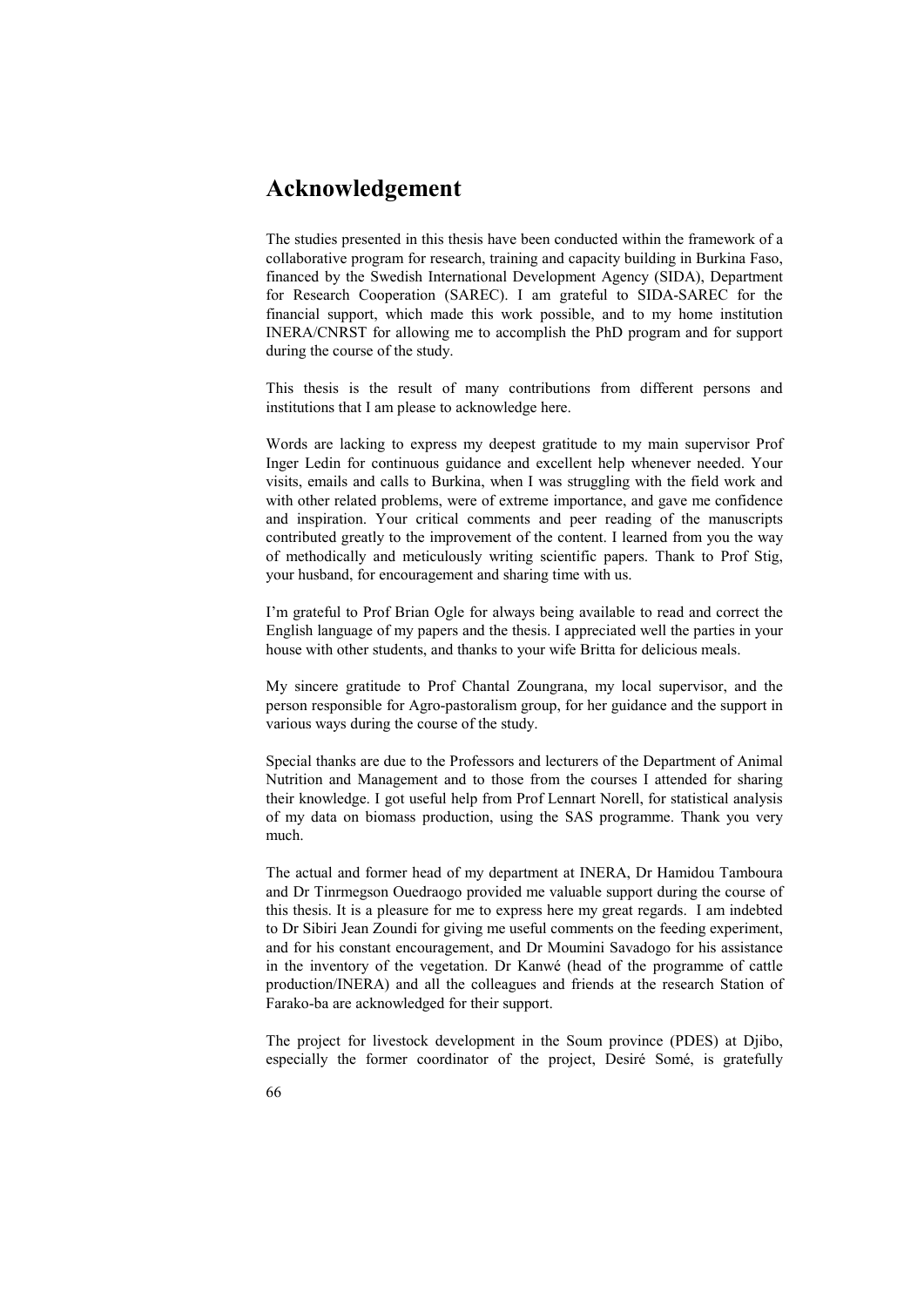# **Acknowledgement**

The studies presented in this thesis have been conducted within the framework of a collaborative program for research, training and capacity building in Burkina Faso, financed by the Swedish International Development Agency (SIDA), Department for Research Cooperation (SAREC). I am grateful to SIDA-SAREC for the financial support, which made this work possible, and to my home institution INERA/CNRST for allowing me to accomplish the PhD program and for support during the course of the study.

This thesis is the result of many contributions from different persons and institutions that I am please to acknowledge here.

Words are lacking to express my deepest gratitude to my main supervisor Prof Inger Ledin for continuous guidance and excellent help whenever needed. Your visits, emails and calls to Burkina, when I was struggling with the field work and with other related problems, were of extreme importance, and gave me confidence and inspiration. Your critical comments and peer reading of the manuscripts contributed greatly to the improvement of the content. I learned from you the way of methodically and meticulously writing scientific papers. Thank to Prof Stig, your husband, for encouragement and sharing time with us.

I'm grateful to Prof Brian Ogle for always being available to read and correct the English language of my papers and the thesis. I appreciated well the parties in your house with other students, and thanks to your wife Britta for delicious meals.

My sincere gratitude to Prof Chantal Zoungrana, my local supervisor, and the person responsible for Agro-pastoralism group, for her guidance and the support in various ways during the course of the study.

Special thanks are due to the Professors and lecturers of the Department of Animal Nutrition and Management and to those from the courses I attended for sharing their knowledge. I got useful help from Prof Lennart Norell, for statistical analysis of my data on biomass production, using the SAS programme. Thank you very much.

The actual and former head of my department at INERA, Dr Hamidou Tamboura and Dr Tinrmegson Ouedraogo provided me valuable support during the course of this thesis. It is a pleasure for me to express here my great regards. I am indebted to Dr Sibiri Jean Zoundi for giving me useful comments on the feeding experiment, and for his constant encouragement, and Dr Moumini Savadogo for his assistance in the inventory of the vegetation. Dr Kanwé (head of the programme of cattle production/INERA) and all the colleagues and friends at the research Station of Farako-ba are acknowledged for their support.

The project for livestock development in the Soum province (PDES) at Djibo, especially the former coordinator of the project, Desiré Somé, is gratefully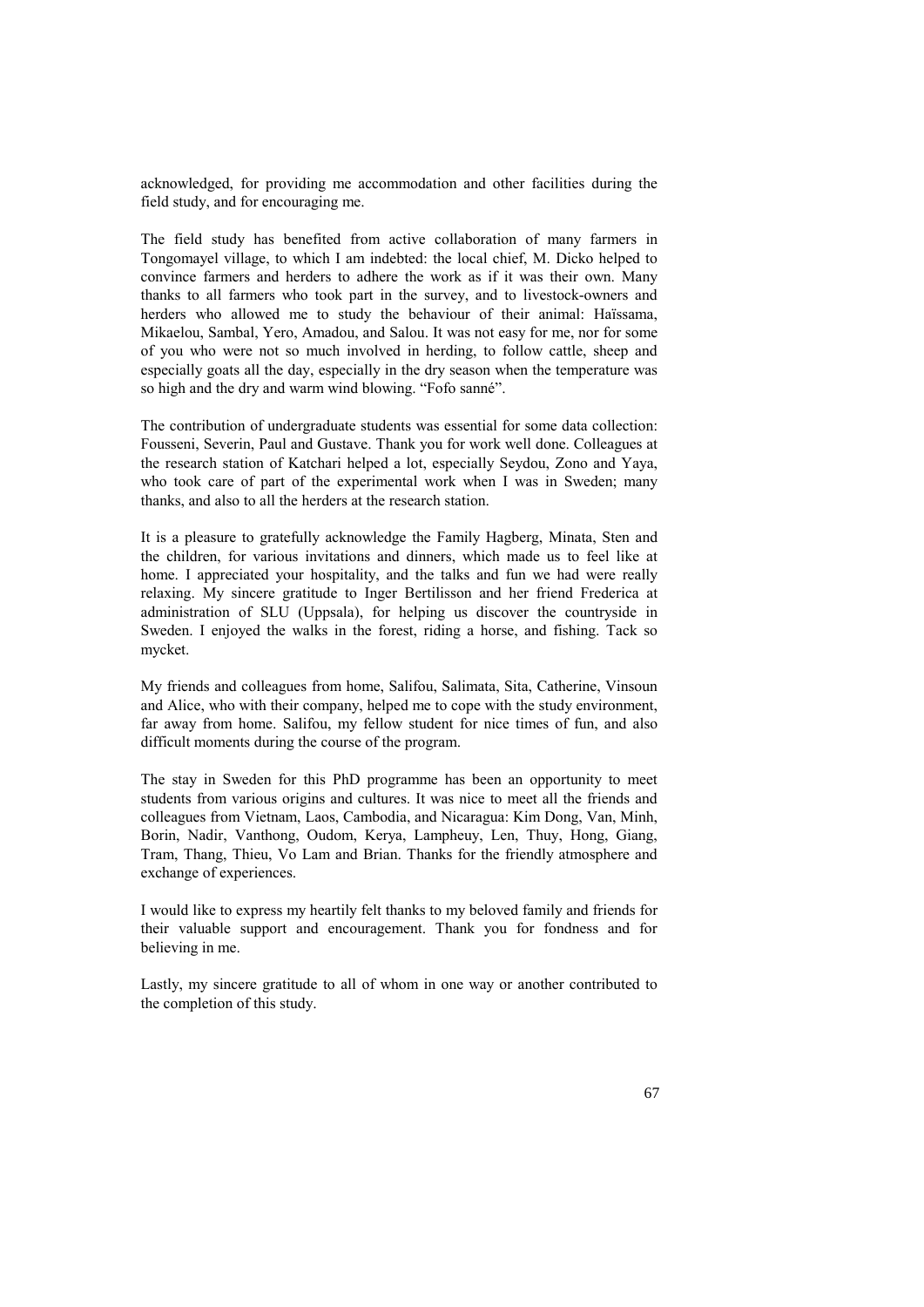acknowledged, for providing me accommodation and other facilities during the field study, and for encouraging me.

The field study has benefited from active collaboration of many farmers in Tongomayel village, to which I am indebted: the local chief, M. Dicko helped to convince farmers and herders to adhere the work as if it was their own. Many thanks to all farmers who took part in the survey, and to livestock-owners and herders who allowed me to study the behaviour of their animal: Haïssama, Mikaelou, Sambal, Yero, Amadou, and Salou. It was not easy for me, nor for some of you who were not so much involved in herding, to follow cattle, sheep and especially goats all the day, especially in the dry season when the temperature was so high and the dry and warm wind blowing. "Fofo sanné".

The contribution of undergraduate students was essential for some data collection: Fousseni, Severin, Paul and Gustave. Thank you for work well done. Colleagues at the research station of Katchari helped a lot, especially Seydou, Zono and Yaya, who took care of part of the experimental work when I was in Sweden; many thanks, and also to all the herders at the research station.

It is a pleasure to gratefully acknowledge the Family Hagberg, Minata, Sten and the children, for various invitations and dinners, which made us to feel like at home. I appreciated your hospitality, and the talks and fun we had were really relaxing. My sincere gratitude to Inger Bertilisson and her friend Frederica at administration of SLU (Uppsala), for helping us discover the countryside in Sweden. I enjoyed the walks in the forest, riding a horse, and fishing. Tack so mycket.

My friends and colleagues from home, Salifou, Salimata, Sita, Catherine, Vinsoun and Alice, who with their company, helped me to cope with the study environment, far away from home. Salifou, my fellow student for nice times of fun, and also difficult moments during the course of the program.

The stay in Sweden for this PhD programme has been an opportunity to meet students from various origins and cultures. It was nice to meet all the friends and colleagues from Vietnam, Laos, Cambodia, and Nicaragua: Kim Dong, Van, Minh, Borin, Nadir, Vanthong, Oudom, Kerya, Lampheuy, Len, Thuy, Hong, Giang, Tram, Thang, Thieu, Vo Lam and Brian. Thanks for the friendly atmosphere and exchange of experiences.

I would like to express my heartily felt thanks to my beloved family and friends for their valuable support and encouragement. Thank you for fondness and for believing in me.

Lastly, my sincere gratitude to all of whom in one way or another contributed to the completion of this study.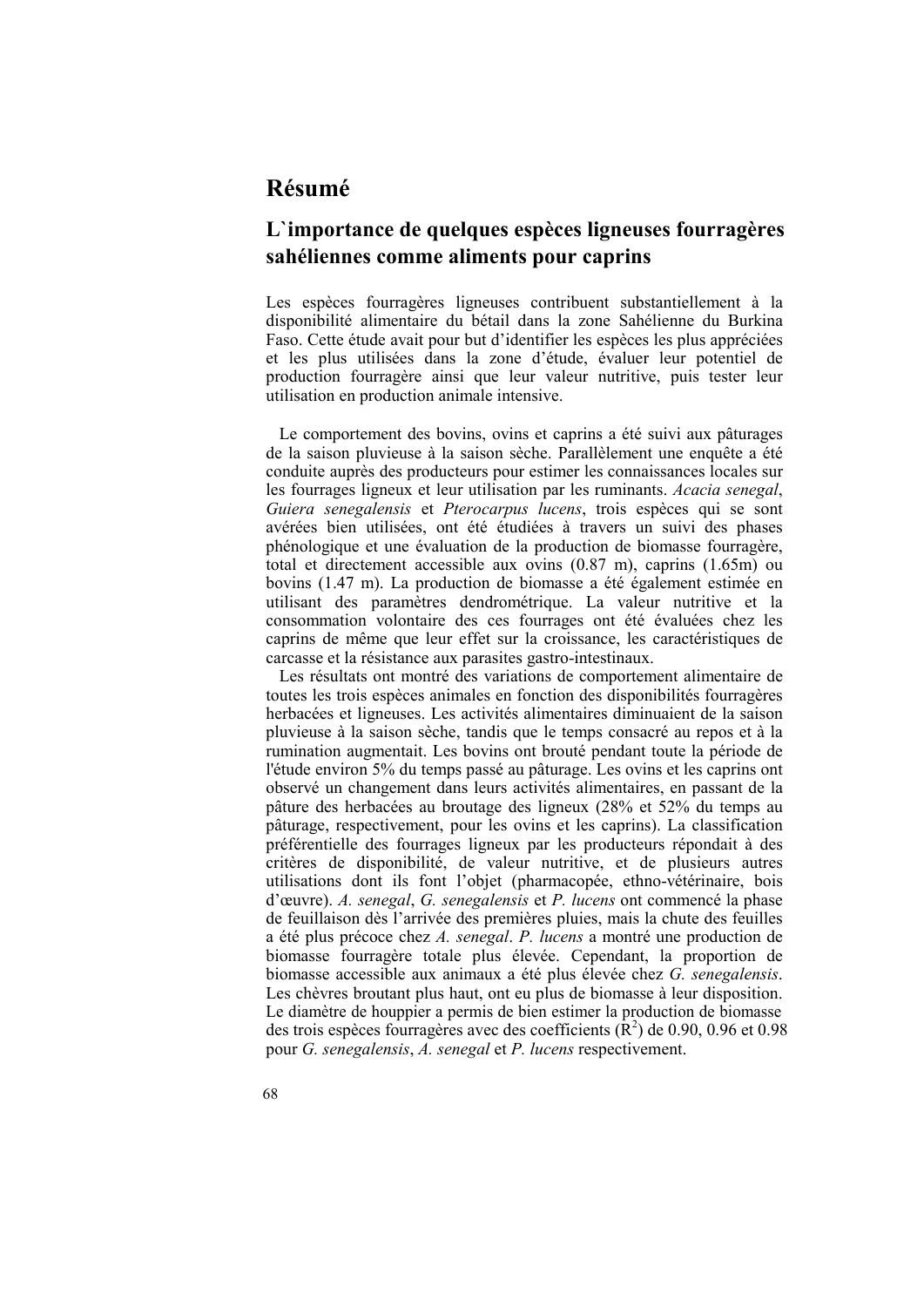# **Résumé**

# **L`importance de quelques espèces ligneuses fourragères sahéliennes comme aliments pour caprins**

Les espèces fourragères ligneuses contribuent substantiellement à la disponibilité alimentaire du bétail dans la zone Sahélienne du Burkina Faso. Cette étude avait pour but d'identifier les espèces les plus appréciées et les plus utilisées dans la zone d'étude, évaluer leur potentiel de production fourragère ainsi que leur valeur nutritive, puis tester leur utilisation en production animale intensive.

Le comportement des bovins, ovins et caprins a été suivi aux pâturages de la saison pluvieuse à la saison sèche. Parallèlement une enquête a été conduite auprès des producteurs pour estimer les connaissances locales sur les fourrages ligneux et leur utilisation par les ruminants. *Acacia senegal*, *Guiera senegalensis* et *Pterocarpus lucens*, trois espèces qui se sont avérées bien utilisées, ont été étudiées à travers un suivi des phases phénologique et une évaluation de la production de biomasse fourragère, total et directement accessible aux ovins (0.87 m), caprins (1.65m) ou bovins (1.47 m). La production de biomasse a été également estimée en utilisant des paramètres dendrométrique. La valeur nutritive et la consommation volontaire des ces fourrages ont été évaluées chez les caprins de même que leur effet sur la croissance, les caractéristiques de carcasse et la résistance aux parasites gastro-intestinaux.

Les résultats ont montré des variations de comportement alimentaire de toutes les trois espèces animales en fonction des disponibilités fourragères herbacées et ligneuses. Les activités alimentaires diminuaient de la saison pluvieuse à la saison sèche, tandis que le temps consacré au repos et à la rumination augmentait. Les bovins ont brouté pendant toute la période de l'étude environ 5% du temps passé au pâturage. Les ovins et les caprins ont observé un changement dans leurs activités alimentaires, en passant de la pâture des herbacées au broutage des ligneux (28% et 52% du temps au pâturage, respectivement, pour les ovins et les caprins). La classification préférentielle des fourrages ligneux par les producteurs répondait à des critères de disponibilité, de valeur nutritive, et de plusieurs autres utilisations dont ils font l'objet (pharmacopée, ethno-vétérinaire, bois d'œuvre). *A. senegal*, *G. senegalensis* et *P. lucens* ont commencé la phase de feuillaison dès l'arrivée des premières pluies, mais la chute des feuilles a été plus précoce chez *A. senegal*. *P. lucens* a montré une production de biomasse fourragère totale plus élevée. Cependant, la proportion de biomasse accessible aux animaux a été plus élevée chez *G. senegalensis*. Les chèvres broutant plus haut, ont eu plus de biomasse à leur disposition. Le diamètre de houppier a permis de bien estimer la production de biomasse des trois espèces fourragères avec des coefficients  $(\mathbf{\hat{R}}^2)$  de 0.90, 0.96 et 0.98 pour *G. senegalensis*, *A. senegal* et *P. lucens* respectivement.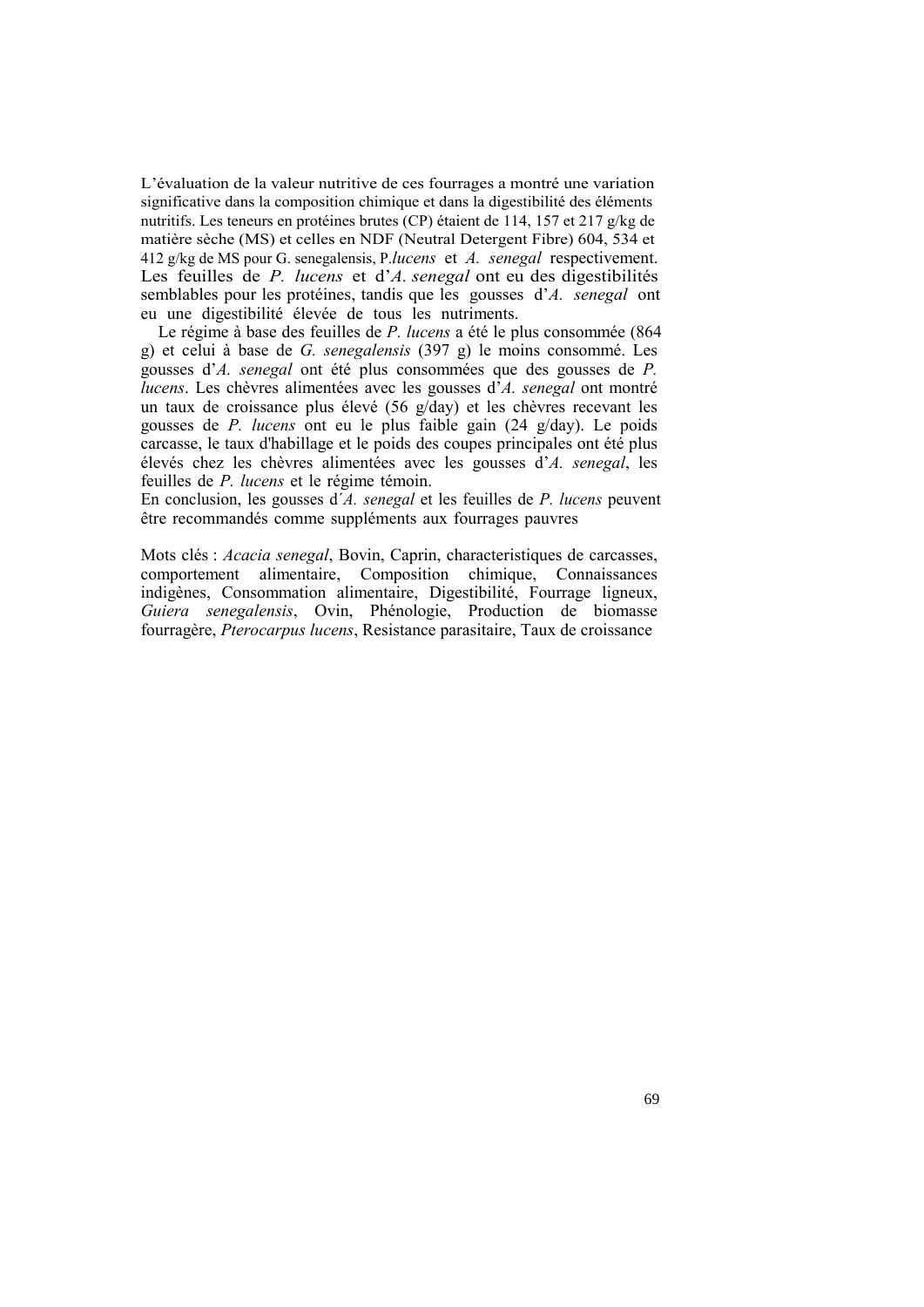L'évaluation de la valeur nutritive de ces fourrages a montré une variation significative dans la composition chimique et dans la digestibilité des éléments nutritifs. Les teneurs en protéines brutes (CP) étaient de 114, 157 et 217 g/kg de matière sèche (MS) et celles en NDF (Neutral Detergent Fibre) 604, 534 et 412 g/kg de MS pour G. senegalensis, P.*lucens* et *A. senegal* respectivement. Les feuilles de *P. lucens* et d'*A. senegal* ont eu des digestibilités semblables pour les protéines, tandis que les gousses d'*A. senegal* ont eu une digestibilité élevée de tous les nutriments.

Le régime à base des feuilles de *P. lucens* a été le plus consommée (864 g) et celui à base de *G. senegalensis* (397 g) le moins consommé. Les gousses d'*A. senegal* ont été plus consommées que des gousses de *P. lucens*. Les chèvres alimentées avec les gousses d'*A. senegal* ont montré un taux de croissance plus élevé (56 g/day) et les chèvres recevant les gousses de *P. lucens* ont eu le plus faible gain (24 g/day). Le poids carcasse, le taux d'habillage et le poids des coupes principales ont été plus élevés chez les chèvres alimentées avec les gousses d'*A. senegal*, les feuilles de *P. lucens* et le régime témoin.

En conclusion, les gousses d´*A. senegal* et les feuilles de *P. lucens* peuvent être recommandés comme suppléments aux fourrages pauvres

Mots clés : *Acacia senegal*, Bovin, Caprin, characteristiques de carcasses, comportement alimentaire, Composition chimique, Connaissances indigènes, Consommation alimentaire, Digestibilité, Fourrage ligneux, *Guiera senegalensis*, Ovin, Phénologie, Production de biomasse fourragère, *Pterocarpus lucens*, Resistance parasitaire, Taux de croissance